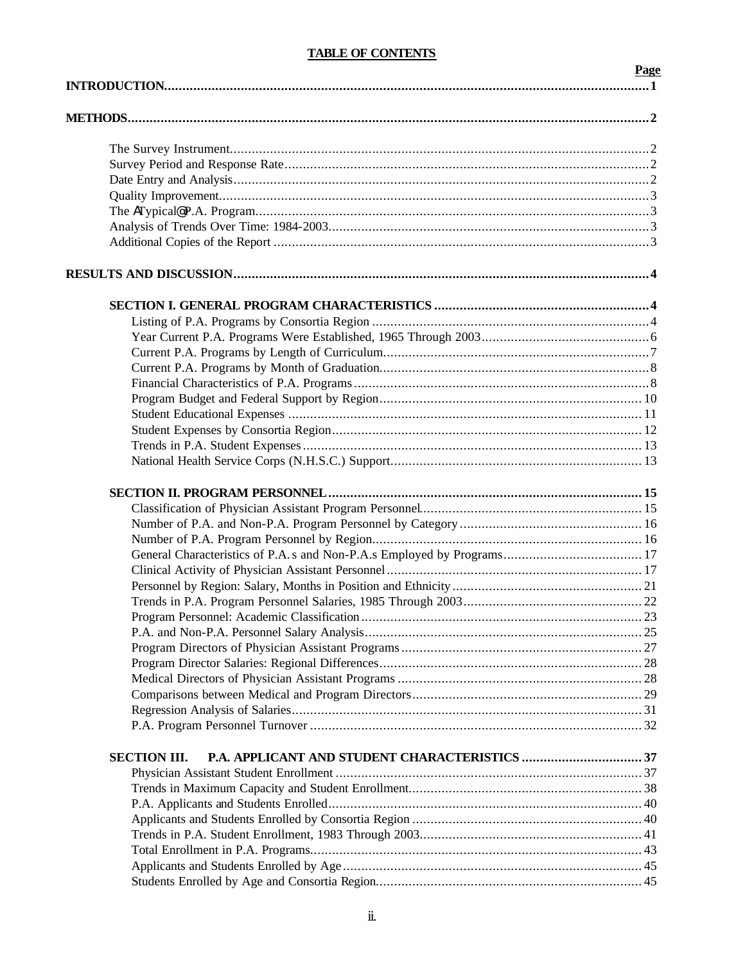# **TABLE OF CONTENTS**

| <b>TADLE OF CONTRATIO</b> |      |
|---------------------------|------|
|                           | Page |
|                           |      |
|                           |      |
|                           |      |
|                           |      |
|                           |      |
|                           |      |
|                           |      |
|                           |      |
|                           |      |
|                           |      |
|                           |      |
|                           |      |
|                           |      |
|                           |      |
|                           |      |
|                           |      |
|                           |      |
|                           |      |
|                           |      |
|                           |      |
|                           |      |
|                           |      |
|                           |      |
|                           |      |
|                           |      |
|                           |      |
|                           |      |
|                           |      |
|                           |      |
|                           |      |
|                           |      |
|                           |      |
|                           |      |
|                           |      |
|                           |      |
|                           |      |
|                           |      |
| <b>SECTION III.</b>       |      |
|                           |      |
|                           |      |
|                           |      |
|                           |      |
|                           |      |
|                           |      |
|                           |      |
|                           |      |
|                           |      |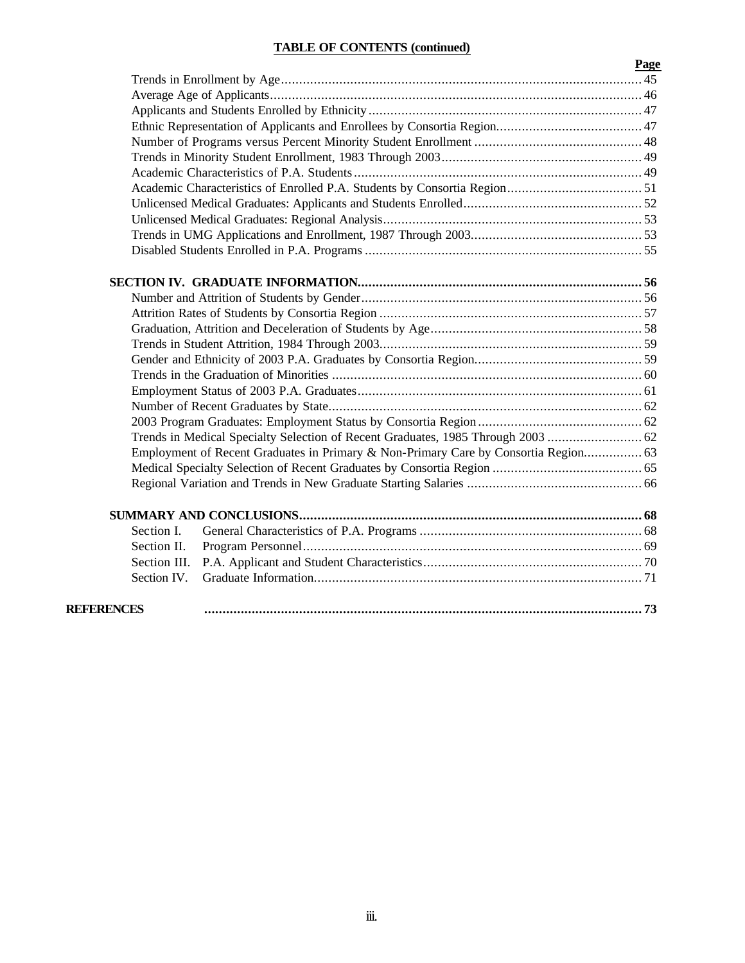# **TABLE OF CONTENTS (continued)**

|              |                                                                                     | Page |  |  |  |  |
|--------------|-------------------------------------------------------------------------------------|------|--|--|--|--|
|              |                                                                                     |      |  |  |  |  |
|              |                                                                                     |      |  |  |  |  |
|              |                                                                                     |      |  |  |  |  |
|              |                                                                                     |      |  |  |  |  |
|              |                                                                                     |      |  |  |  |  |
|              |                                                                                     |      |  |  |  |  |
|              |                                                                                     |      |  |  |  |  |
|              |                                                                                     |      |  |  |  |  |
|              |                                                                                     |      |  |  |  |  |
|              |                                                                                     |      |  |  |  |  |
|              |                                                                                     |      |  |  |  |  |
|              |                                                                                     |      |  |  |  |  |
|              |                                                                                     |      |  |  |  |  |
|              |                                                                                     |      |  |  |  |  |
|              |                                                                                     |      |  |  |  |  |
|              |                                                                                     |      |  |  |  |  |
|              |                                                                                     |      |  |  |  |  |
|              |                                                                                     |      |  |  |  |  |
|              |                                                                                     |      |  |  |  |  |
|              |                                                                                     |      |  |  |  |  |
|              |                                                                                     |      |  |  |  |  |
|              |                                                                                     |      |  |  |  |  |
|              |                                                                                     |      |  |  |  |  |
|              | Employment of Recent Graduates in Primary & Non-Primary Care by Consortia Region 63 |      |  |  |  |  |
|              |                                                                                     |      |  |  |  |  |
|              |                                                                                     |      |  |  |  |  |
|              |                                                                                     |      |  |  |  |  |
| Section I.   |                                                                                     |      |  |  |  |  |
| Section II.  |                                                                                     |      |  |  |  |  |
| Section III. |                                                                                     |      |  |  |  |  |
| Section IV.  |                                                                                     |      |  |  |  |  |
| REERENCES    |                                                                                     |      |  |  |  |  |
|              |                                                                                     |      |  |  |  |  |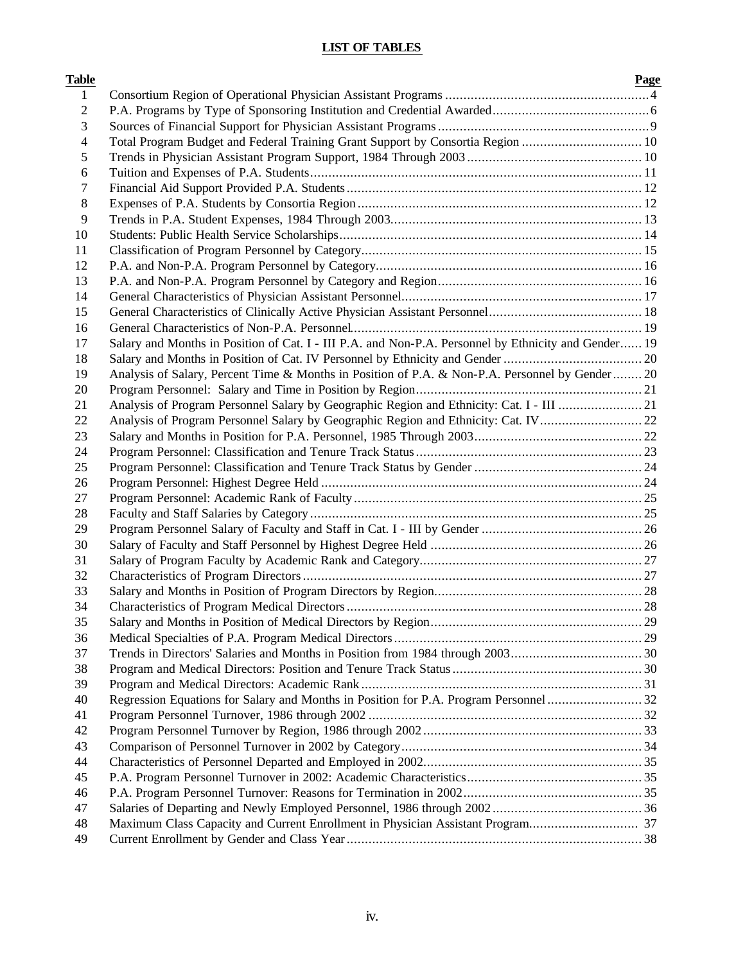# **LIST OF TABLES**

| <b>Table</b>   |                                                                                                      | Page |
|----------------|------------------------------------------------------------------------------------------------------|------|
| $\mathbf{1}$   |                                                                                                      |      |
| $\overline{c}$ |                                                                                                      |      |
| 3              |                                                                                                      |      |
| 4              | Total Program Budget and Federal Training Grant Support by Consortia Region  10                      |      |
| 5              |                                                                                                      |      |
| 6              |                                                                                                      |      |
| 7              |                                                                                                      |      |
| 8              |                                                                                                      |      |
| 9              |                                                                                                      |      |
| 10             |                                                                                                      |      |
| 11             |                                                                                                      |      |
| 12             |                                                                                                      |      |
| 13             |                                                                                                      |      |
| 14             |                                                                                                      |      |
| 15             |                                                                                                      |      |
| 16             |                                                                                                      |      |
| 17             | Salary and Months in Position of Cat. I - III P.A. and Non-P.A. Personnel by Ethnicity and Gender 19 |      |
| 18             |                                                                                                      |      |
| 19             | Analysis of Salary, Percent Time & Months in Position of P.A. & Non-P.A. Personnel by Gender 20      |      |
| 20             |                                                                                                      |      |
| 21             | Analysis of Program Personnel Salary by Geographic Region and Ethnicity: Cat. I - III 21             |      |
| 22             | Analysis of Program Personnel Salary by Geographic Region and Ethnicity: Cat. IV 22                  |      |
| 23             |                                                                                                      |      |
| 24             |                                                                                                      |      |
| 25             |                                                                                                      |      |
| 26             |                                                                                                      |      |
| 27             |                                                                                                      |      |
| 28             |                                                                                                      |      |
| 29             |                                                                                                      |      |
| 30             |                                                                                                      |      |
| 31             |                                                                                                      |      |
| 32             |                                                                                                      |      |
| 33             |                                                                                                      |      |
| 34             |                                                                                                      |      |
| 35             |                                                                                                      |      |
| 36             |                                                                                                      |      |
| 37             |                                                                                                      |      |
| 38             |                                                                                                      |      |
| 39             |                                                                                                      |      |
| 40             |                                                                                                      |      |
| 41             |                                                                                                      |      |
| 42             |                                                                                                      |      |
| 43             |                                                                                                      |      |
| 44             |                                                                                                      |      |
| 45             |                                                                                                      |      |
| 46             |                                                                                                      |      |
| 47             |                                                                                                      |      |
| 48             |                                                                                                      |      |
| 49             |                                                                                                      |      |
|                |                                                                                                      |      |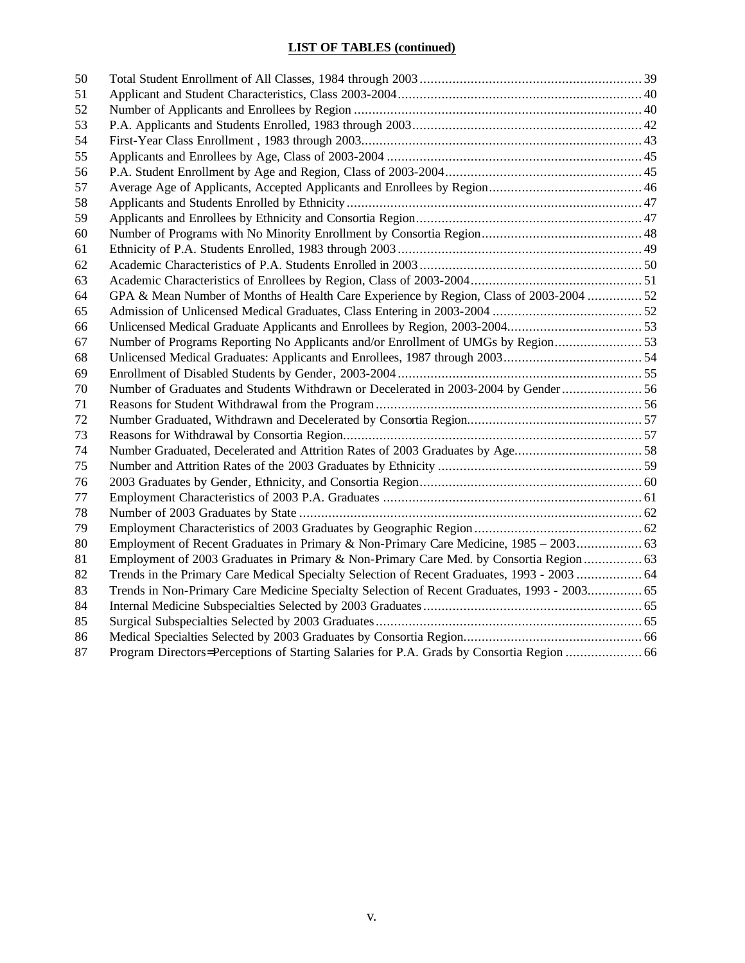# **LIST OF TABLES (continued)**

| 50 |                                                                                             |  |
|----|---------------------------------------------------------------------------------------------|--|
| 51 |                                                                                             |  |
| 52 |                                                                                             |  |
| 53 |                                                                                             |  |
| 54 |                                                                                             |  |
| 55 |                                                                                             |  |
| 56 |                                                                                             |  |
| 57 |                                                                                             |  |
| 58 |                                                                                             |  |
| 59 |                                                                                             |  |
| 60 |                                                                                             |  |
| 61 |                                                                                             |  |
| 62 |                                                                                             |  |
| 63 |                                                                                             |  |
| 64 | GPA & Mean Number of Months of Health Care Experience by Region, Class of 2003-2004  52     |  |
| 65 |                                                                                             |  |
| 66 |                                                                                             |  |
| 67 | Number of Programs Reporting No Applicants and/or Enrollment of UMGs by Region              |  |
| 68 |                                                                                             |  |
| 69 |                                                                                             |  |
| 70 | Number of Graduates and Students Withdrawn or Decelerated in 2003-2004 by Gender  56        |  |
| 71 |                                                                                             |  |
| 72 |                                                                                             |  |
| 73 |                                                                                             |  |
| 74 | Number Graduated, Decelerated and Attrition Rates of 2003 Graduates by Age58                |  |
| 75 |                                                                                             |  |
| 76 |                                                                                             |  |
| 77 |                                                                                             |  |
| 78 |                                                                                             |  |
| 79 |                                                                                             |  |
| 80 |                                                                                             |  |
| 81 | Employment of 2003 Graduates in Primary & Non-Primary Care Med. by Consortia Region  63     |  |
| 82 | Trends in the Primary Care Medical Specialty Selection of Recent Graduates, 1993 - 2003  64 |  |
| 83 | Trends in Non-Primary Care Medicine Specialty Selection of Recent Graduates, 1993 - 2003 65 |  |
| 84 |                                                                                             |  |
| 85 |                                                                                             |  |
| 86 |                                                                                             |  |
| 87 |                                                                                             |  |
|    |                                                                                             |  |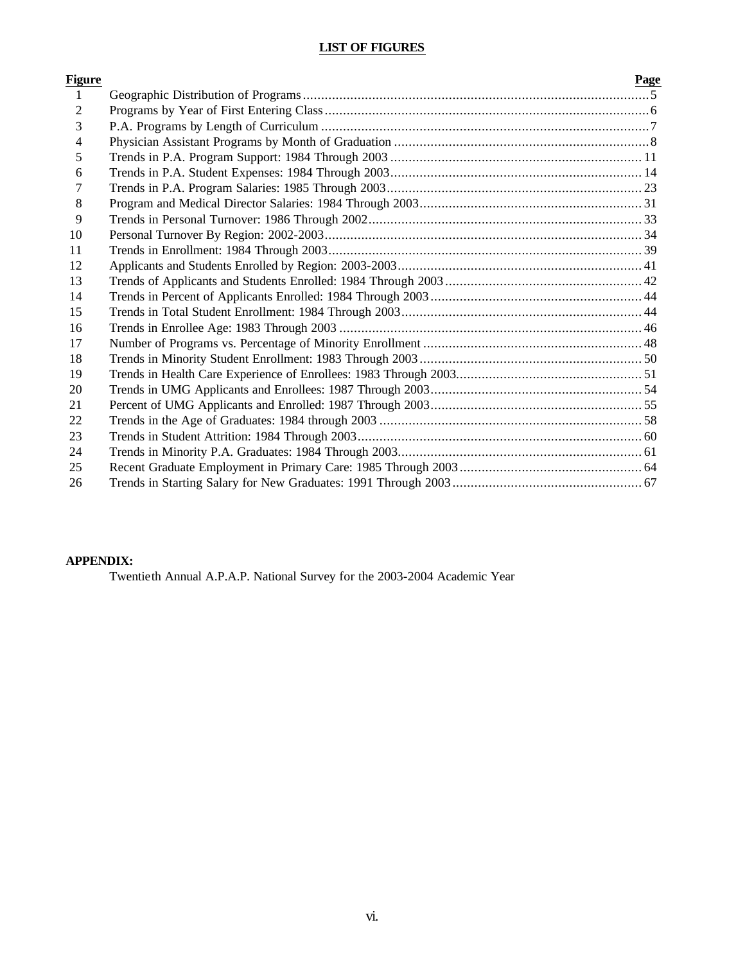# **LIST OF FIGURES**

| Figure         | Page |
|----------------|------|
| $\mathbf{1}$   |      |
| $\overline{2}$ |      |
| 3              |      |
| 4              |      |
| 5              |      |
| 6              |      |
| 7              |      |
| 8              |      |
| 9              |      |
| 10             |      |
| 11             |      |
| 12             |      |
| 13             |      |
| 14             |      |
| 15             |      |
| 16             |      |
| 17             |      |
| 18             |      |
| 19             |      |
| 20             |      |
| 21             |      |
| 22             |      |
| 23             |      |
| 24             |      |
| 25             |      |
| 26             |      |

# **APPENDIX:**

Twentieth Annual A.P.A.P. National Survey for the 2003-2004 Academic Year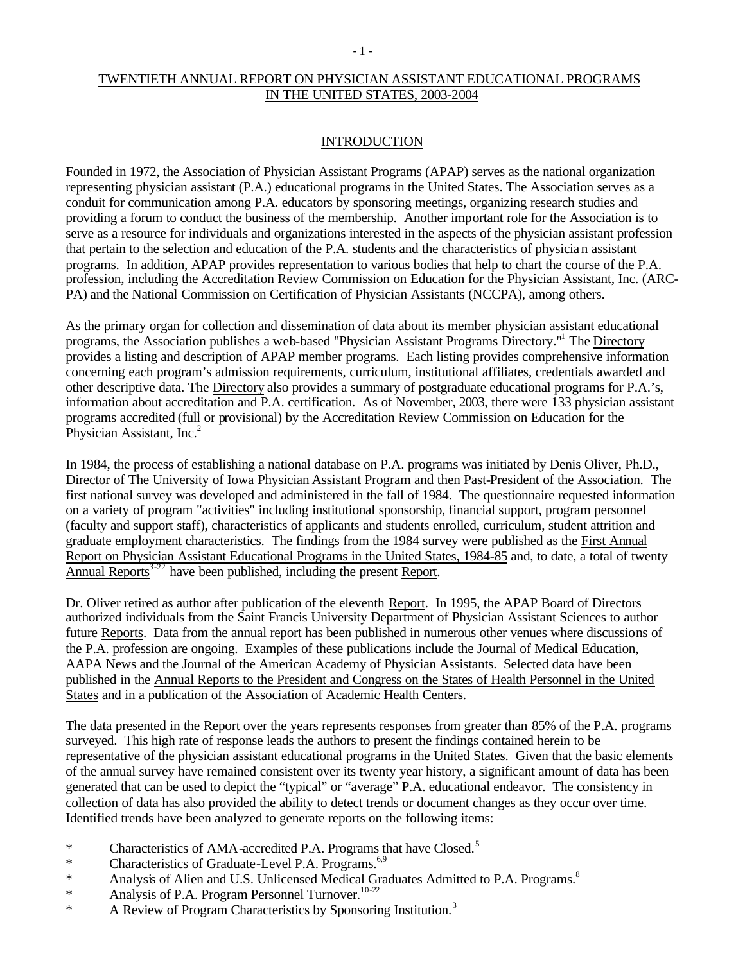# TWENTIETH ANNUAL REPORT ON PHYSICIAN ASSISTANT EDUCATIONAL PROGRAMS IN THE UNITED STATES, 2003-2004

## INTRODUCTION

Founded in 1972, the Association of Physician Assistant Programs (APAP) serves as the national organization representing physician assistant (P.A.) educational programs in the United States. The Association serves as a conduit for communication among P.A. educators by sponsoring meetings, organizing research studies and providing a forum to conduct the business of the membership. Another important role for the Association is to serve as a resource for individuals and organizations interested in the aspects of the physician assistant profession that pertain to the selection and education of the P.A. students and the characteristics of physician assistant programs. In addition, APAP provides representation to various bodies that help to chart the course of the P.A. profession, including the Accreditation Review Commission on Education for the Physician Assistant, Inc. (ARC-PA) and the National Commission on Certification of Physician Assistants (NCCPA), among others.

As the primary organ for collection and dissemination of data about its member physician assistant educational programs, the Association publishes a web-based "Physician Assistant Programs Directory."<sup>1</sup> The Directory provides a listing and description of APAP member programs. Each listing provides comprehensive information concerning each program's admission requirements, curriculum, institutional affiliates, credentials awarded and other descriptive data. The Directory also provides a summary of postgraduate educational programs for P.A.'s, information about accreditation and P.A. certification. As of November, 2003, there were 133 physician assistant programs accredited (full or provisional) by the Accreditation Review Commission on Education for the Physician Assistant, Inc.<sup>2</sup>

In 1984, the process of establishing a national database on P.A. programs was initiated by Denis Oliver, Ph.D., Director of The University of Iowa Physician Assistant Program and then Past-President of the Association. The first national survey was developed and administered in the fall of 1984. The questionnaire requested information on a variety of program "activities" including institutional sponsorship, financial support, program personnel (faculty and support staff), characteristics of applicants and students enrolled, curriculum, student attrition and graduate employment characteristics. The findings from the 1984 survey were published as the First Annual Report on Physician Assistant Educational Programs in the United States, 1984-85 and, to date, a total of twenty Annual Reports<sup>3-22</sup> have been published, including the present Report.

Dr. Oliver retired as author after publication of the eleventh Report. In 1995, the APAP Board of Directors authorized individuals from the Saint Francis University Department of Physician Assistant Sciences to author future Reports. Data from the annual report has been published in numerous other venues where discussions of the P.A. profession are ongoing. Examples of these publications include the Journal of Medical Education, AAPA News and the Journal of the American Academy of Physician Assistants. Selected data have been published in the Annual Reports to the President and Congress on the States of Health Personnel in the United States and in a publication of the Association of Academic Health Centers.

The data presented in the Report over the years represents responses from greater than 85% of the P.A. programs surveyed. This high rate of response leads the authors to present the findings contained herein to be representative of the physician assistant educational programs in the United States. Given that the basic elements of the annual survey have remained consistent over its twenty year history, a significant amount of data has been generated that can be used to depict the "typical" or "average" P.A. educational endeavor. The consistency in collection of data has also provided the ability to detect trends or document changes as they occur over time. Identified trends have been analyzed to generate reports on the following items:

- \* Characteristics of AMA-accredited P.A. Programs that have  $Closed$ <sup>5</sup>
- \* Characteristics of Graduate-Level P.A. Programs.<sup>6,9</sup>
- \* Analysis of Alien and U.S. Unlicensed Medical Graduates Admitted to P.A. Programs.<sup>8</sup>
- \* Analysis of P.A. Program Personnel Turnover.<sup>10-22</sup>
- \* A Review of Program Characteristics by Sponsoring Institution.<sup>3</sup>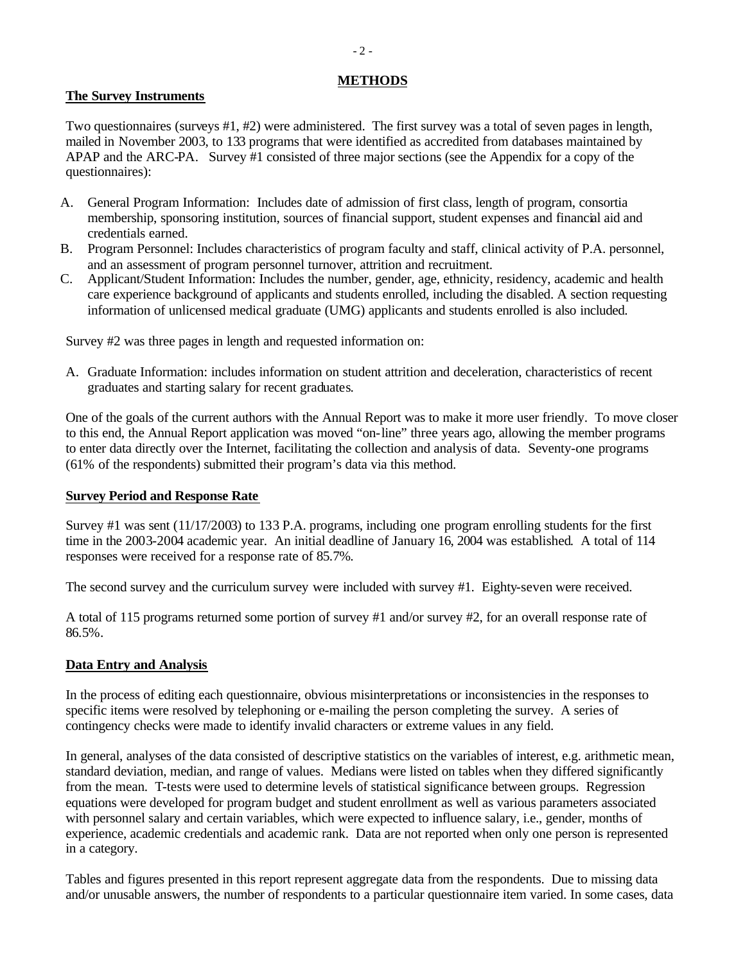# **METHODS**

# **The Survey Instruments**

Two questionnaires (surveys #1, #2) were administered. The first survey was a total of seven pages in length, mailed in November 2003, to 133 programs that were identified as accredited from databases maintained by APAP and the ARC-PA. Survey #1 consisted of three major sections (see the Appendix for a copy of the questionnaires):

- A. General Program Information: Includes date of admission of first class, length of program, consortia membership, sponsoring institution, sources of financial support, student expenses and financial aid and credentials earned.
- B. Program Personnel: Includes characteristics of program faculty and staff, clinical activity of P.A. personnel, and an assessment of program personnel turnover, attrition and recruitment.
- C. Applicant/Student Information: Includes the number, gender, age, ethnicity, residency, academic and health care experience background of applicants and students enrolled, including the disabled. A section requesting information of unlicensed medical graduate (UMG) applicants and students enrolled is also included.

Survey #2 was three pages in length and requested information on:

A. Graduate Information: includes information on student attrition and deceleration, characteristics of recent graduates and starting salary for recent graduates.

One of the goals of the current authors with the Annual Report was to make it more user friendly. To move closer to this end, the Annual Report application was moved "on-line" three years ago, allowing the member programs to enter data directly over the Internet, facilitating the collection and analysis of data. Seventy-one programs (61% of the respondents) submitted their program's data via this method.

# **Survey Period and Response Rate**

Survey #1 was sent (11/17/2003) to 133 P.A. programs, including one program enrolling students for the first time in the 2003-2004 academic year. An initial deadline of January 16, 2004 was established. A total of 114 responses were received for a response rate of 85.7%.

The second survey and the curriculum survey were included with survey #1. Eighty-seven were received.

A total of 115 programs returned some portion of survey #1 and/or survey #2, for an overall response rate of 86.5%.

# **Data Entry and Analysis**

In the process of editing each questionnaire, obvious misinterpretations or inconsistencies in the responses to specific items were resolved by telephoning or e-mailing the person completing the survey. A series of contingency checks were made to identify invalid characters or extreme values in any field.

In general, analyses of the data consisted of descriptive statistics on the variables of interest, e.g. arithmetic mean, standard deviation, median, and range of values. Medians were listed on tables when they differed significantly from the mean. T-tests were used to determine levels of statistical significance between groups. Regression equations were developed for program budget and student enrollment as well as various parameters associated with personnel salary and certain variables, which were expected to influence salary, i.e., gender, months of experience, academic credentials and academic rank. Data are not reported when only one person is represented in a category.

Tables and figures presented in this report represent aggregate data from the respondents. Due to missing data and/or unusable answers, the number of respondents to a particular questionnaire item varied. In some cases, data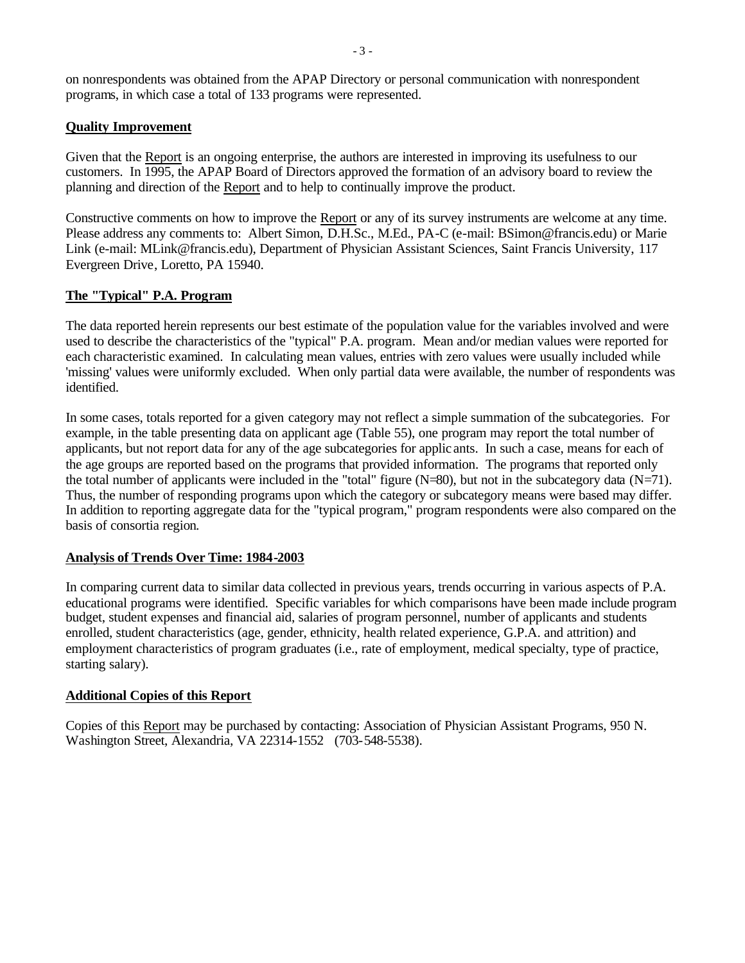on nonrespondents was obtained from the APAP Directory or personal communication with nonrespondent programs, in which case a total of 133 programs were represented.

# **Quality Improvement**

Given that the Report is an ongoing enterprise, the authors are interested in improving its usefulness to our customers. In 1995, the APAP Board of Directors approved the formation of an advisory board to review the planning and direction of the Report and to help to continually improve the product.

Constructive comments on how to improve the Report or any of its survey instruments are welcome at any time. Please address any comments to: Albert Simon, D.H.Sc., M.Ed., PA-C (e-mail: BSimon@francis.edu) or Marie Link (e-mail: MLink@francis.edu), Department of Physician Assistant Sciences, Saint Francis University, 117 Evergreen Drive, Loretto, PA 15940.

# **The "Typical" P.A. Program**

The data reported herein represents our best estimate of the population value for the variables involved and were used to describe the characteristics of the "typical" P.A. program. Mean and/or median values were reported for each characteristic examined. In calculating mean values, entries with zero values were usually included while 'missing' values were uniformly excluded. When only partial data were available, the number of respondents was identified.

In some cases, totals reported for a given category may not reflect a simple summation of the subcategories. For example, in the table presenting data on applicant age (Table 55), one program may report the total number of applicants, but not report data for any of the age subcategories for applic ants. In such a case, means for each of the age groups are reported based on the programs that provided information. The programs that reported only the total number of applicants were included in the "total" figure  $(N=80)$ , but not in the subcategory data  $(N=71)$ . Thus, the number of responding programs upon which the category or subcategory means were based may differ. In addition to reporting aggregate data for the "typical program," program respondents were also compared on the basis of consortia region.

### **Analysis of Trends Over Time: 1984-2003**

In comparing current data to similar data collected in previous years, trends occurring in various aspects of P.A. educational programs were identified. Specific variables for which comparisons have been made include program budget, student expenses and financial aid, salaries of program personnel, number of applicants and students enrolled, student characteristics (age, gender, ethnicity, health related experience, G.P.A. and attrition) and employment characteristics of program graduates (i.e., rate of employment, medical specialty, type of practice, starting salary).

### **Additional Copies of this Report**

Copies of this Report may be purchased by contacting: Association of Physician Assistant Programs, 950 N. Washington Street, Alexandria, VA 22314-1552 (703-548-5538).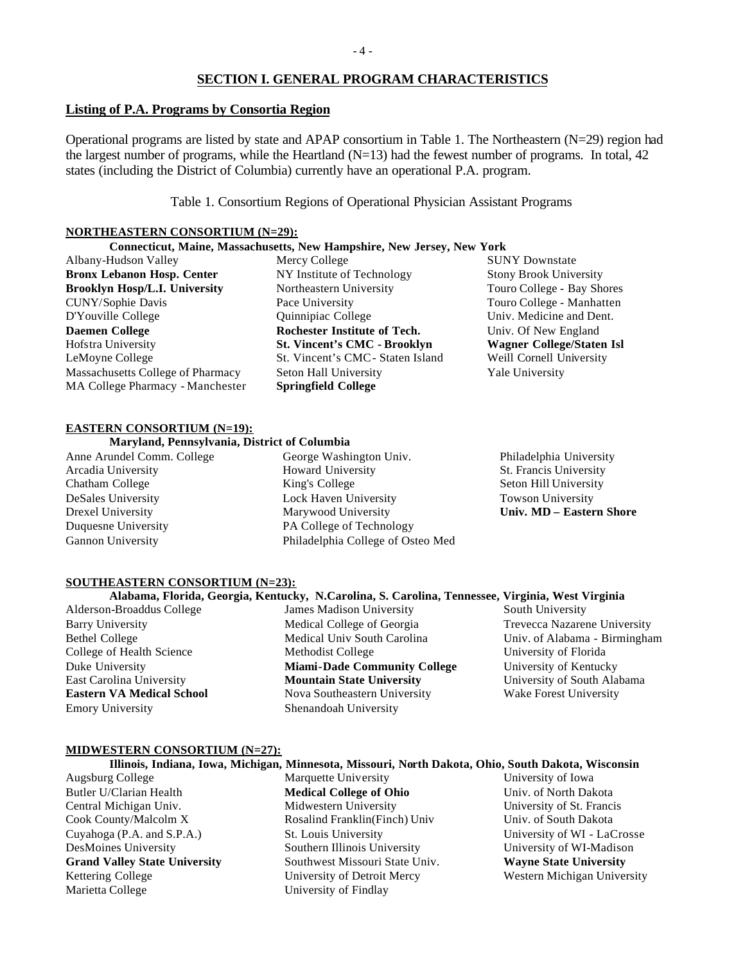# **SECTION I. GENERAL PROGRAM CHARACTERISTICS**

#### **Listing of P.A. Programs by Consortia Region**

Operational programs are listed by state and APAP consortium in Table 1. The Northeastern (N=29) region had the largest number of programs, while the Heartland  $(N=13)$  had the fewest number of programs. In total, 42 states (including the District of Columbia) currently have an operational P.A. program.

Table 1. Consortium Regions of Operational Physician Assistant Programs

#### **NORTHEASTERN CONSORTIUM (N=29):**

# **Connecticut, Maine, Massachusetts, New Hampshire, New Jersey, New York**

Albany-Hudson Valley **Bronx Lebanon Hosp. Center Brooklyn Hosp/L.I. University** CUNY/Sophie Davis D'Youville College **Daemen College** Hofstra University LeMoyne College Massachusetts College of Pharmacy MA College Pharmacy - Manchester Mercy College NY Institute of Technology Northeastern University Pace University Quinnipiac College **Rochester Institute of Tech. St. Vincent's CMC - Brooklyn** St. Vincent's CMC- Staten Island Seton Hall University **Springfield College**

SUNY Downstate Stony Brook University Touro College - Bay Shores Touro College - Manhatten Univ. Medicine and Dent. Univ. Of New England **Wagner College/Staten Isl** Weill Cornell University Yale University

#### **EASTERN CONSORTIUM (N=19):**

#### **Maryland, Pennsylvania, District of Columbia**

- Anne Arundel Comm. College Arcadia University Chatham College DeSales University Drexel University Duquesne University Gannon University
- George Washington Univ. Howard University King's College Lock Haven University Marywood University PA College of Technology Philadelphia College of Osteo Med
- Philadelphia University St. Francis University Seton Hill University Towson University **Univ. MD – Eastern Shore**

#### **SOUTHEASTERN CONSORTIUM (N=23):**

# **Alabama, Florida, Georgia, Kentucky, N.Carolina, S. Carolina, Tennessee, Virginia, West Virginia**

Alderson-Broaddus College Barry University Bethel College College of Health Science Duke University East Carolina University **Eastern VA Medical School** Emory University

James Madison University Medical College of Georgia Medical Univ South Carolina Methodist College **Miami-Dade Community College Mountain State University** Nova Southeastern University Shenandoah University

South University Trevecca Nazarene University Univ. of Alabama - Birmingham University of Florida University of Kentucky University of South Alabama Wake Forest University

#### **MIDWESTERN CONSORTIUM (N=27):**

#### **Illinois, Indiana, Iowa, Michigan, Minnesota, Missouri, North Dakota, Ohio, South Dakota, Wisconsin**

Augsburg College Butler U/Clarian Health Central Michigan Univ. Cook County/Malcolm X Cuyahoga (P.A. and S.P.A.) DesMoines University **Grand Valley State University** Kettering College Marietta College

Marquette University **Medical College of Ohio** Midwestern University Rosalind Franklin(Finch) Univ St. Louis University Southern Illinois University Southwest Missouri State Univ. University of Detroit Mercy University of Findlay

University of Iowa Univ. of North Dakota University of St. Francis Univ. of South Dakota University of WI - LaCrosse University of WI-Madison **Wayne State University** Western Michigan University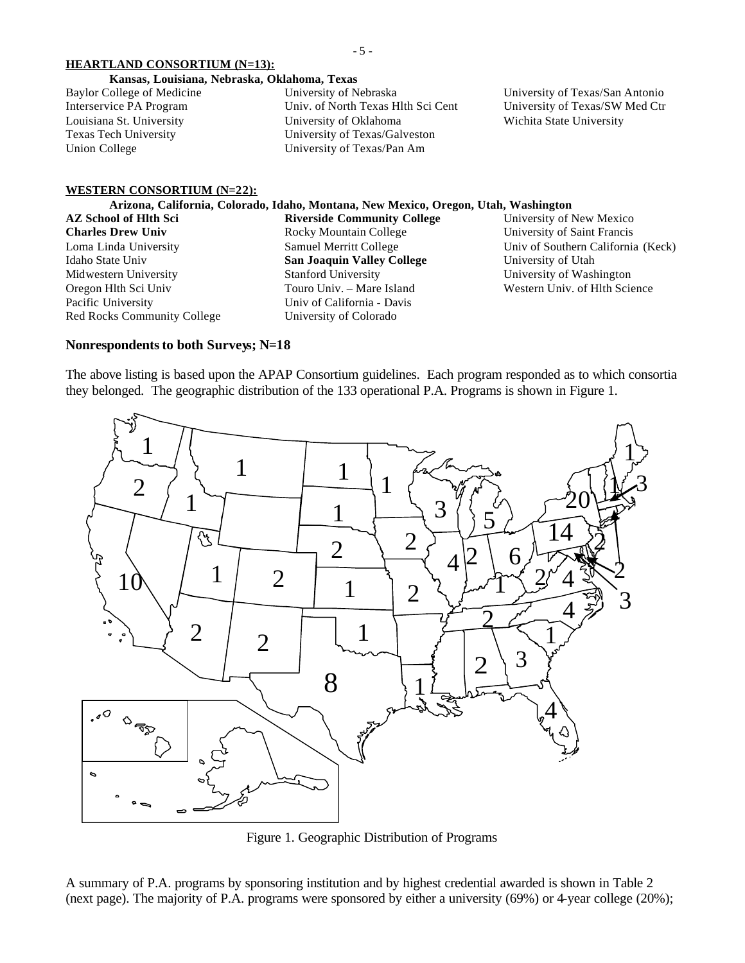#### **HEARTLAND CONSORTIUM (N=13):**

- 5 -

#### **Kansas, Louisiana, Nebraska, Oklahoma, Texas**

| Baylor College of Medicine | University of Nebraska             |
|----------------------------|------------------------------------|
| Interservice PA Program    | Univ. of North Texas Hlth Sci Cent |
| Louisiana St. University   | University of Oklahoma             |
| Texas Tech University      | University of Texas/Galveston      |
| Union College              | University of Texas/Pan Am         |

University of Texas/San Antonio University of Texas/SW Med Ctr Wichita State University

#### **WESTERN CONSORTIUM (N=22):**

#### **Arizona, California, Colorado, Idaho, Montana, New Mexico, Oregon, Utah, Washington AZ School of Hlth Sci Riverside Community College**

**Charles Drew Univ** Loma Linda University Idaho State Univ Midwestern University Oregon Hlth Sci Univ Pacific University Red Rocks Community College

Rocky Mountain College Samuel Merritt College **San Joaquin Valley College** Stanford University Touro Univ. – Mare Island Univ of California - Davis University of Colorado

University of New Mexico University of Saint Francis Univ of Southern California (Keck) University of Utah University of Washington Western Univ. of Hlth Science

# **Nonrespondents to both Surveys; N=18**

The above listing is based upon the APAP Consortium guidelines. Each program responded as to which consortia they belonged. The geographic distribution of the 133 operational P.A. Programs is shown in Figure 1.



Figure 1. Geographic Distribution of Programs

A summary of P.A. programs by sponsoring institution and by highest credential awarded is shown in Table 2 (next page). The majority of P.A. programs were sponsored by either a university (69%) or 4-year college (20%);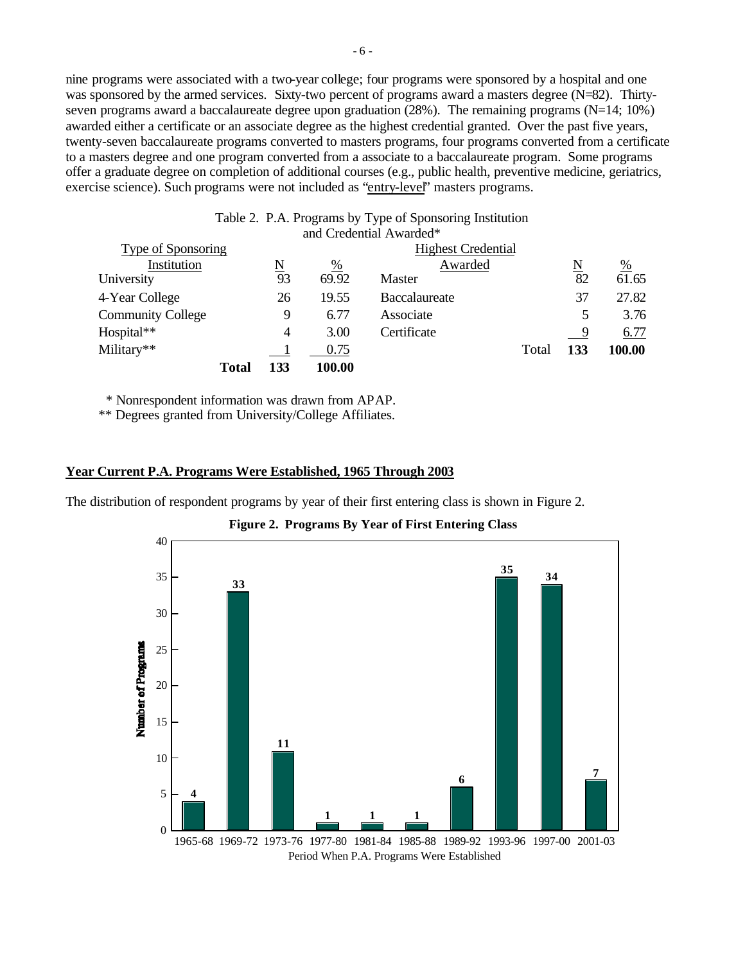nine programs were associated with a two-year college; four programs were sponsored by a hospital and one was sponsored by the armed services. Sixty-two percent of programs award a masters degree (N=82). Thirtyseven programs award a baccalaureate degree upon graduation (28%). The remaining programs (N=14; 10%) awarded either a certificate or an associate degree as the highest credential granted. Over the past five years, twenty-seven baccalaureate programs converted to masters programs, four programs converted from a certificate to a masters degree and one program converted from a associate to a baccalaureate program. Some programs offer a graduate degree on completion of additional courses (e.g., public health, preventive medicine, geriatrics, exercise science). Such programs were not included as "entry-level" masters programs.

| Table 2. P.A. Programs by Type of Sponsoring Institution |                     |               |                         |                     |                    |  |  |
|----------------------------------------------------------|---------------------|---------------|-------------------------|---------------------|--------------------|--|--|
|                                                          |                     |               |                         |                     |                    |  |  |
| Type of Sponsoring<br><b>Highest Credential</b>          |                     |               |                         |                     |                    |  |  |
|                                                          | $\frac{\%}{\%}$     | Awarded       |                         | $\underline{\rm N}$ | $\frac{\%}{61.65}$ |  |  |
| 93                                                       | 69.92               | <b>Master</b> |                         | 82                  |                    |  |  |
| 26                                                       | 19.55               | Baccalaureate |                         | 37                  | 27.82              |  |  |
| 9                                                        | 6.77                | Associate     |                         | 5                   | 3.76               |  |  |
| 4                                                        | 3.00                | Certificate   |                         | - 9                 | 6.77               |  |  |
|                                                          | 0.75                |               | Total                   | 133                 | 100.00             |  |  |
| 133<br><b>Total</b>                                      | 100.00              |               |                         |                     |                    |  |  |
|                                                          | $\underline{\rm N}$ |               | and Credential Awarded* |                     |                    |  |  |

\* Nonrespondent information was drawn from APAP.

\*\* Degrees granted from University/College Affiliates.

#### **Year Current P.A. Programs Were Established, 1965 Through 2003**

The distribution of respondent programs by year of their first entering class is shown in Figure 2.



**Figure 2. Programs By Year of First Entering Class**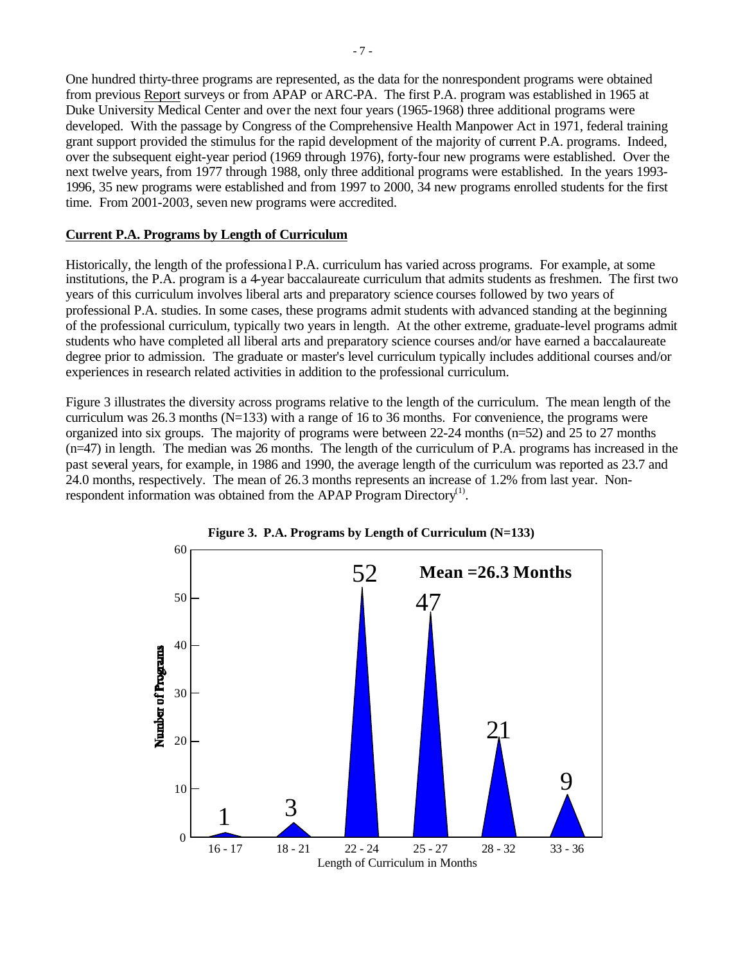One hundred thirty-three programs are represented, as the data for the nonrespondent programs were obtained from previous Report surveys or from APAP or ARC-PA. The first P.A. program was established in 1965 at Duke University Medical Center and over the next four years (1965-1968) three additional programs were developed. With the passage by Congress of the Comprehensive Health Manpower Act in 1971, federal training grant support provided the stimulus for the rapid development of the majority of current P.A. programs. Indeed, over the subsequent eight-year period (1969 through 1976), forty-four new programs were established. Over the next twelve years, from 1977 through 1988, only three additional programs were established. In the years 1993- 1996, 35 new programs were established and from 1997 to 2000, 34 new programs enrolled students for the first time. From 2001-2003, seven new programs were accredited.

# **Current P.A. Programs by Length of Curriculum**

Historically, the length of the professiona l P.A. curriculum has varied across programs. For example, at some institutions, the P.A. program is a 4-year baccalaureate curriculum that admits students as freshmen. The first two years of this curriculum involves liberal arts and preparatory science courses followed by two years of professional P.A. studies. In some cases, these programs admit students with advanced standing at the beginning of the professional curriculum, typically two years in length. At the other extreme, graduate-level programs admit students who have completed all liberal arts and preparatory science courses and/or have earned a baccalaureate degree prior to admission. The graduate or master's level curriculum typically includes additional courses and/or experiences in research related activities in addition to the professional curriculum.

Figure 3 illustrates the diversity across programs relative to the length of the curriculum. The mean length of the curriculum was 26.3 months  $(N=133)$  with a range of 16 to 36 months. For convenience, the programs were organized into six groups. The majority of programs were between 22-24 months (n=52) and 25 to 27 months (n=47) in length. The median was 26 months. The length of the curriculum of P.A. programs has increased in the past several years, for example, in 1986 and 1990, the average length of the curriculum was reported as 23.7 and 24.0 months, respectively. The mean of 26.3 months represents an increase of 1.2% from last year. Nonrespondent information was obtained from the APAP Program Directory<sup>(1)</sup>.



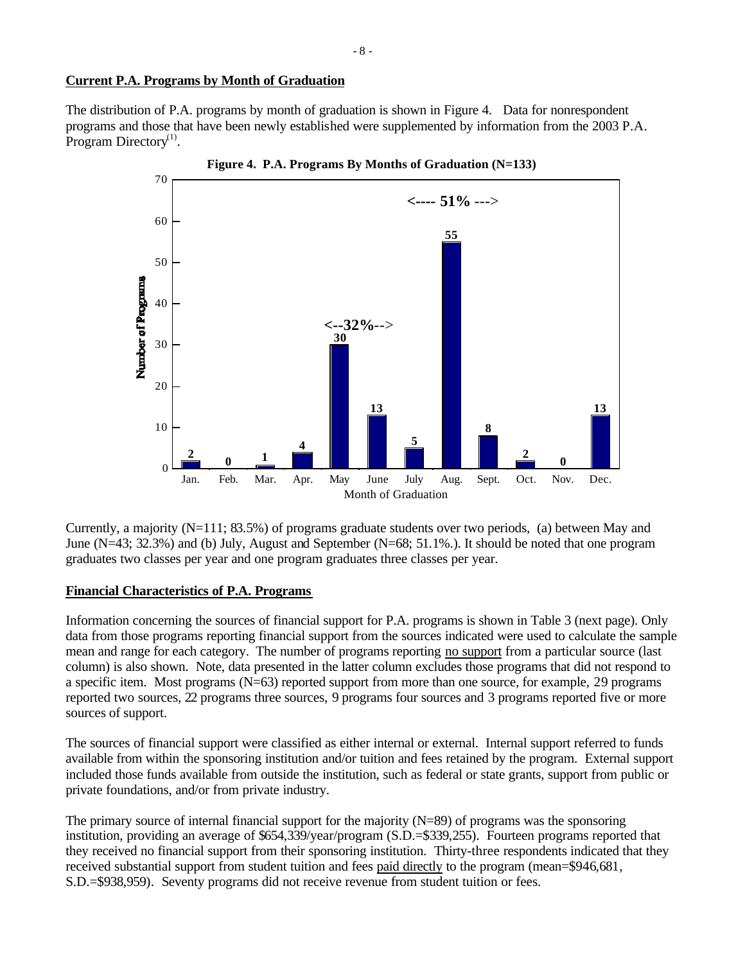# **Current P.A. Programs by Month of Graduation**

The distribution of P.A. programs by month of graduation is shown in Figure 4. Data for nonrespondent programs and those that have been newly established were supplemented by information from the 2003 P.A. Program Directory $^{(1)}$ .



Currently, a majority (N=111; 83.5%) of programs graduate students over two periods, (a) between May and June (N=43; 32.3%) and (b) July, August and September (N=68; 51.1%.). It should be noted that one program graduates two classes per year and one program graduates three classes per year.

### **Financial Characteristics of P.A. Programs**

Information concerning the sources of financial support for P.A. programs is shown in Table 3 (next page). Only data from those programs reporting financial support from the sources indicated were used to calculate the sample mean and range for each category. The number of programs reporting no support from a particular source (last column) is also shown. Note, data presented in the latter column excludes those programs that did not respond to a specific item. Most programs (N=63) reported support from more than one source, for example, 29 programs reported two sources, 22 programs three sources, 9 programs four sources and 3 programs reported five or more sources of support.

The sources of financial support were classified as either internal or external. Internal support referred to funds available from within the sponsoring institution and/or tuition and fees retained by the program. External support included those funds available from outside the institution, such as federal or state grants, support from public or private foundations, and/or from private industry.

The primary source of internal financial support for the majority (N=89) of programs was the sponsoring institution, providing an average of \$654,339/year/program (S.D.=\$339,255). Fourteen programs reported that they received no financial support from their sponsoring institution. Thirty-three respondents indicated that they received substantial support from student tuition and fees paid directly to the program (mean=\$946,681, S.D.=\$938,959). Seventy programs did not receive revenue from student tuition or fees.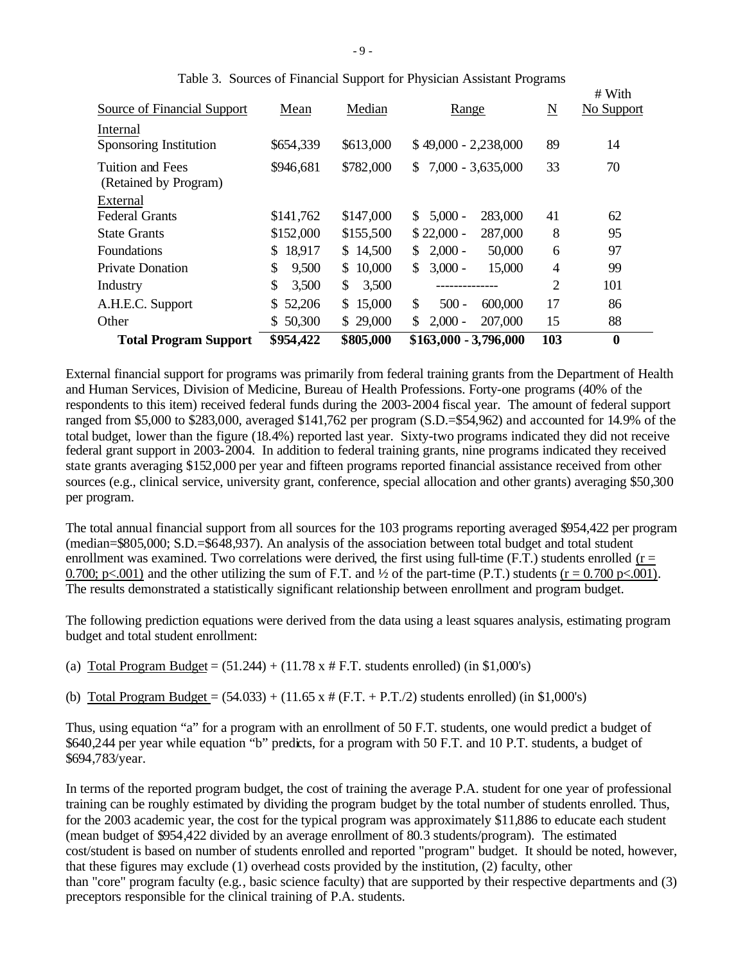| <b>Total Program Support</b>              | \$954,422     | \$805,000   | $$163,000 - 3,796,000$              | 103            | $\boldsymbol{0}$     |
|-------------------------------------------|---------------|-------------|-------------------------------------|----------------|----------------------|
| Other                                     | 50,300<br>\$  | \$29,000    | $2,000 -$<br>207,000<br>\$.         | 15             | 88                   |
| A.H.E.C. Support                          | \$.<br>52,206 | \$15,000    | \$<br>$500 -$<br>600,000            | 17             | 86                   |
| Industry                                  | \$<br>3,500   | \$<br>3,500 |                                     | $\overline{2}$ | 101                  |
| <b>Private Donation</b>                   | \$<br>9,500   | \$10,000    | \$<br>$3,000 -$<br>15,000           | 4              | 99                   |
| <b>Foundations</b>                        | 18,917<br>S.  | \$14,500    | $2,000 -$<br>50,000<br>\$           | 6              | 97                   |
| <b>State Grants</b>                       | \$152,000     | \$155,500   | $$22,000 -$<br>287,000              | 8              | 95                   |
| External<br><b>Federal Grants</b>         | \$141,762     | \$147,000   | $5,000 -$<br>283,000<br>S.          | 41             | 62                   |
| Tuition and Fees<br>(Retained by Program) | \$946,681     | \$782,000   | $7,000 - 3,635,000$<br>$\mathbb{S}$ | 33             | 70                   |
| Internal<br>Sponsoring Institution        | \$654,339     | \$613,000   | \$49,000 - 2,238,000                | 89             | 14                   |
| Source of Financial Support               | Mean          | Median      | Range                               | N              | # With<br>No Support |

|  |  | Table 3. Sources of Financial Support for Physician Assistant Programs |  |
|--|--|------------------------------------------------------------------------|--|
|  |  |                                                                        |  |

External financial support for programs was primarily from federal training grants from the Department of Health and Human Services, Division of Medicine, Bureau of Health Professions. Forty-one programs (40% of the respondents to this item) received federal funds during the 2003-2004 fiscal year. The amount of federal support ranged from \$5,000 to \$283,000, averaged \$141,762 per program (S.D.=\$54,962) and accounted for 14.9% of the total budget, lower than the figure (18.4%) reported last year. Sixty-two programs indicated they did not receive federal grant support in 2003-2004. In addition to federal training grants, nine programs indicated they received state grants averaging \$152,000 per year and fifteen programs reported financial assistance received from other sources (e.g., clinical service, university grant, conference, special allocation and other grants) averaging \$50,300 per program.

The total annual financial support from all sources for the 103 programs reporting averaged \$954,422 per program (median=\$805,000; S.D.=\$648,937). An analysis of the association between total budget and total student enrollment was examined. Two correlations were derived, the first using full-time (F.T.) students enrolled ( $r =$ 0.700; p $\lt$ .001) and the other utilizing the sum of F.T. and  $\frac{1}{2}$  of the part-time (P.T.) students (r = 0.700 p $\lt$ .001). The results demonstrated a statistically significant relationship between enrollment and program budget.

The following prediction equations were derived from the data using a least squares analysis, estimating program budget and total student enrollment:

(a) Total Program Budget =  $(51.244) + (11.78 \times # F.T.$  students enrolled) (in \$1,000's)

(b) Total Program Budget =  $(54.033) + (11.65 \times # (F.T. + P.T./2)$  students enrolled) (in \$1,000's)

Thus, using equation "a" for a program with an enrollment of 50 F.T. students, one would predict a budget of \$640,244 per year while equation "b" predicts, for a program with 50 F.T. and 10 P.T. students, a budget of \$694,783/year.

In terms of the reported program budget, the cost of training the average P.A. student for one year of professional training can be roughly estimated by dividing the program budget by the total number of students enrolled. Thus, for the 2003 academic year, the cost for the typical program was approximately \$11,886 to educate each student (mean budget of \$954,422 divided by an average enrollment of 80.3 students/program). The estimated cost/student is based on number of students enrolled and reported "program" budget. It should be noted, however, that these figures may exclude (1) overhead costs provided by the institution, (2) faculty, other than "core" program faculty (e.g., basic science faculty) that are supported by their respective departments and (3) preceptors responsible for the clinical training of P.A. students.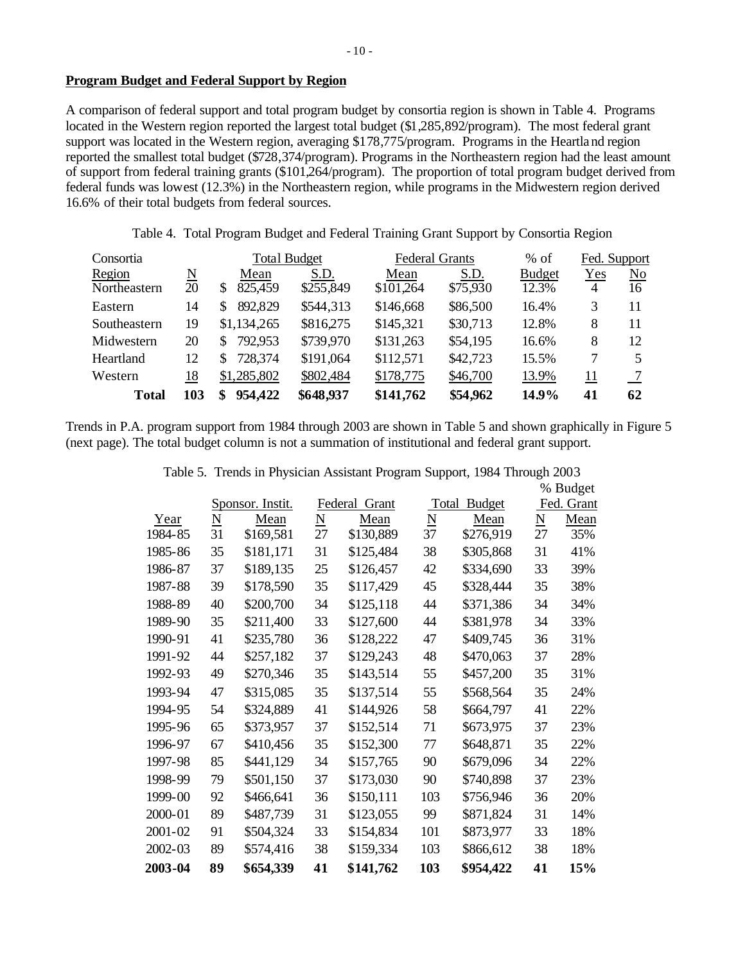# **Program Budget and Federal Support by Region**

A comparison of federal support and total program budget by consortia region is shown in Table 4. Programs located in the Western region reported the largest total budget (\$1,285,892/program). The most federal grant support was located in the Western region, averaging \$178,775/program. Programs in the Heartland region reported the smallest total budget (\$728,374/program). Programs in the Northeastern region had the least amount of support from federal training grants (\$101,264/program). The proportion of total program budget derived from federal funds was lowest (12.3%) in the Northeastern region, while programs in the Midwestern region derived 16.6% of their total budgets from federal sources.

Table 4. Total Program Budget and Federal Training Grant Support by Consortia Region

| Consortia    |          | <b>Total Budget</b> |           | <b>Federal Grants</b> |          | $%$ of        | Fed. Support |    |
|--------------|----------|---------------------|-----------|-----------------------|----------|---------------|--------------|----|
| Region       | <u>N</u> | Mean                | S.D.      | Mean                  | S.D.     | <b>Budget</b> | Yes          | No |
| Northeastern | 20       | 825,459<br>S        | \$255,849 | \$101,264             | \$75,930 | 12.3%         | 4            | 16 |
| Eastern      | 14       | 892,829<br>S        | \$544,313 | \$146,668             | \$86,500 | 16.4%         | 3            | 11 |
| Southeastern | 19       | \$1,134,265         | \$816,275 | \$145,321             | \$30,713 | 12.8%         | 8            | 11 |
| Midwestern   | 20       | 792,953<br>S        | \$739,970 | \$131,263             | \$54,195 | 16.6%         | 8            | 12 |
| Heartland    | 12       | 728,374<br>S        | \$191,064 | \$112,571             | \$42,723 | 15.5%         | 7            |    |
| Western      | 18       | \$1,285,802         | \$802,484 | \$178,775             | \$46,700 | 13.9%         | 11           |    |
| Total        | 103      | 954,422<br>S        | \$648,937 | \$141,762             | \$54,962 | 14.9%         | 41           | 62 |

Trends in P.A. program support from 1984 through 2003 are shown in Table 5 and shown graphically in Figure 5 (next page). The total budget column is not a summation of institutional and federal grant support.

|             |                          |                  |                          |                  |                 |               |    | % Budget   |
|-------------|--------------------------|------------------|--------------------------|------------------|-----------------|---------------|----|------------|
|             |                          | Sponsor. Instit. |                          | Federal<br>Grant | Total           | <b>Budget</b> |    | Fed. Grant |
| Year        | $\underline{\mathbf{N}}$ | Mean             | $\underline{\mathbf{N}}$ | Mean             | $\underline{N}$ | Mean          | N  | Mean       |
| 1984-85     | 31                       | \$169,581        | 27                       | \$130,889        | 37              | \$276,919     | 27 | 35%        |
| 1985-86     | 35                       | \$181,171        | 31                       | \$125,484        | 38              | \$305,868     | 31 | 41%        |
| 1986-87     | 37                       | \$189,135        | 25                       | \$126,457        | 42              | \$334,690     | 33 | 39%        |
| 1987-88     | 39                       | \$178,590        | 35                       | \$117,429        | 45              | \$328,444     | 35 | 38%        |
| 1988-89     | 40                       | \$200,700        | 34                       | \$125,118        | 44              | \$371,386     | 34 | 34%        |
| 1989-90     | 35                       | \$211,400        | 33                       | \$127,600        | 44              | \$381,978     | 34 | 33%        |
| 1990-91     | 41                       | \$235,780        | 36                       | \$128,222        | 47              | \$409,745     | 36 | 31%        |
| 1991-92     | 44                       | \$257,182        | 37                       | \$129,243        | 48              | \$470,063     | 37 | 28%        |
| 1992-93     | 49                       | \$270,346        | 35                       | \$143,514        | 55              | \$457,200     | 35 | 31%        |
| 1993-94     | 47                       | \$315,085        | 35                       | \$137,514        | 55              | \$568,564     | 35 | 24%        |
| 1994-95     | 54                       | \$324,889        | 41                       | \$144,926        | 58              | \$664,797     | 41 | 22%        |
| 1995-96     | 65                       | \$373,957        | 37                       | \$152,514        | 71              | \$673,975     | 37 | 23%        |
| 1996-97     | 67                       | \$410,456        | 35                       | \$152,300        | 77              | \$648,871     | 35 | 22%        |
| 1997-98     | 85                       | \$441,129        | 34                       | \$157,765        | 90              | \$679,096     | 34 | 22%        |
| 1998-99     | 79                       | \$501,150        | 37                       | \$173,030        | 90              | \$740,898     | 37 | 23%        |
| 1999-00     | 92                       | \$466,641        | 36                       | \$150,111        | 103             | \$756,946     | 36 | 20%        |
| 2000-01     | 89                       | \$487,739        | 31                       | \$123,055        | 99              | \$871,824     | 31 | 14%        |
| $2001 - 02$ | 91                       | \$504,324        | 33                       | \$154,834        | 101             | \$873,977     | 33 | 18%        |
| $2002 - 03$ | 89                       | \$574,416        | 38                       | \$159,334        | 103             | \$866,612     | 38 | 18%        |
| 2003-04     | 89                       | \$654,339        | 41                       | \$141,762        | 103             | \$954,422     | 41 | 15%        |

|  |  |  | Table 5. Trends in Physician Assistant Program Support, 1984 Through 2003 |  |
|--|--|--|---------------------------------------------------------------------------|--|
|  |  |  |                                                                           |  |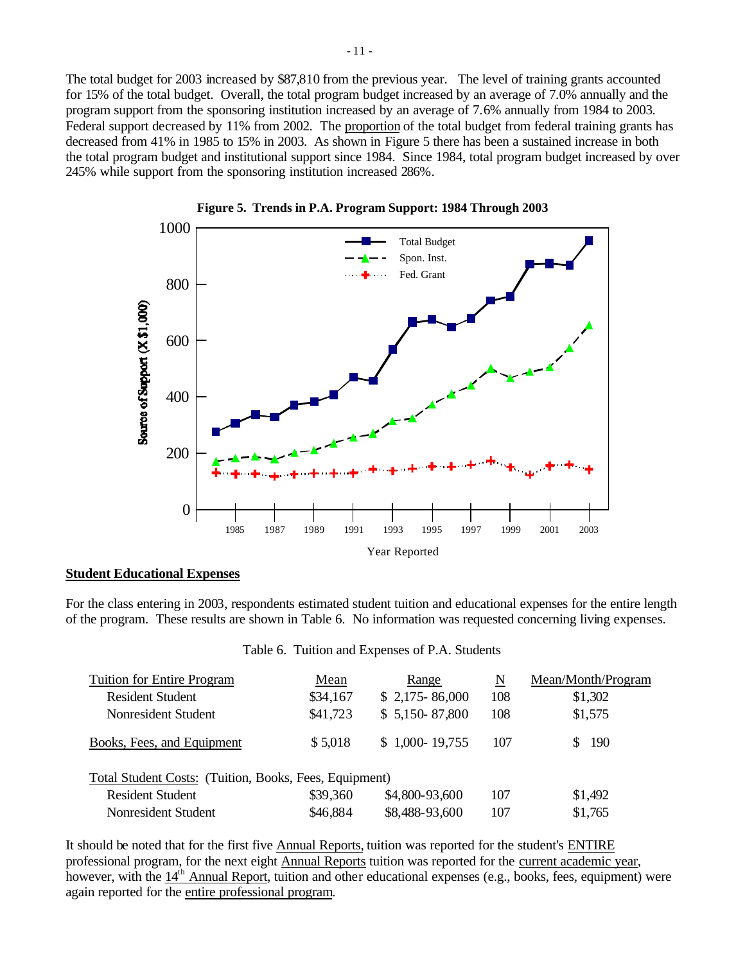The total budget for 2003 increased by \$87,810 from the previous year. The level of training grants accounted for 15% of the total budget. Overall, the total program budget increased by an average of 7.0% annually and the program support from the sponsoring institution increased by an average of 7.6% annually from 1984 to 2003. Federal support decreased by 11% from 2002. The proportion of the total budget from federal training grants has decreased from 41% in 1985 to 15% in 2003. As shown in Figure 5 there has been a sustained increase in both the total program budget and institutional support since 1984. Since 1984, total program budget increased by over 245% while support from the sponsoring institution increased 286%.





#### **Student Educational Expenses**

For the class entering in 2003, respondents estimated student tuition and educational expenses for the entire length of the program. These results are shown in Table 6. No information was requested concerning living expenses.

|  |  | Table 6. Tuition and Expenses of P.A. Students |  |  |
|--|--|------------------------------------------------|--|--|
|--|--|------------------------------------------------|--|--|

| <b>Tuition for Entire Program</b>                      | Mean     | Range           | N   | Mean/Month/Program |
|--------------------------------------------------------|----------|-----------------|-----|--------------------|
| <b>Resident Student</b>                                | \$34,167 | $$2,175-86,000$ | 108 | \$1,302            |
| Nonresident Student                                    | \$41,723 | $$5,150-87,800$ | 108 | \$1,575            |
| Books, Fees, and Equipment                             | \$5,018  | $$1,000-19,755$ | 107 | 190                |
| Total Student Costs: (Tuition, Books, Fees, Equipment) |          |                 |     |                    |
| <b>Resident Student</b>                                | \$39,360 | \$4,800-93,600  | 107 | \$1,492            |
| Nonresident Student                                    | \$46,884 | \$8,488-93,600  | 107 | \$1,765            |

It should be noted that for the first five Annual Reports, tuition was reported for the student's ENTIRE professional program, for the next eight Annual Reports tuition was reported for the current academic year, however, with the  $14<sup>th</sup>$  Annual Report, tuition and other educational expenses (e.g., books, fees, equipment) were again reported for the entire professional program.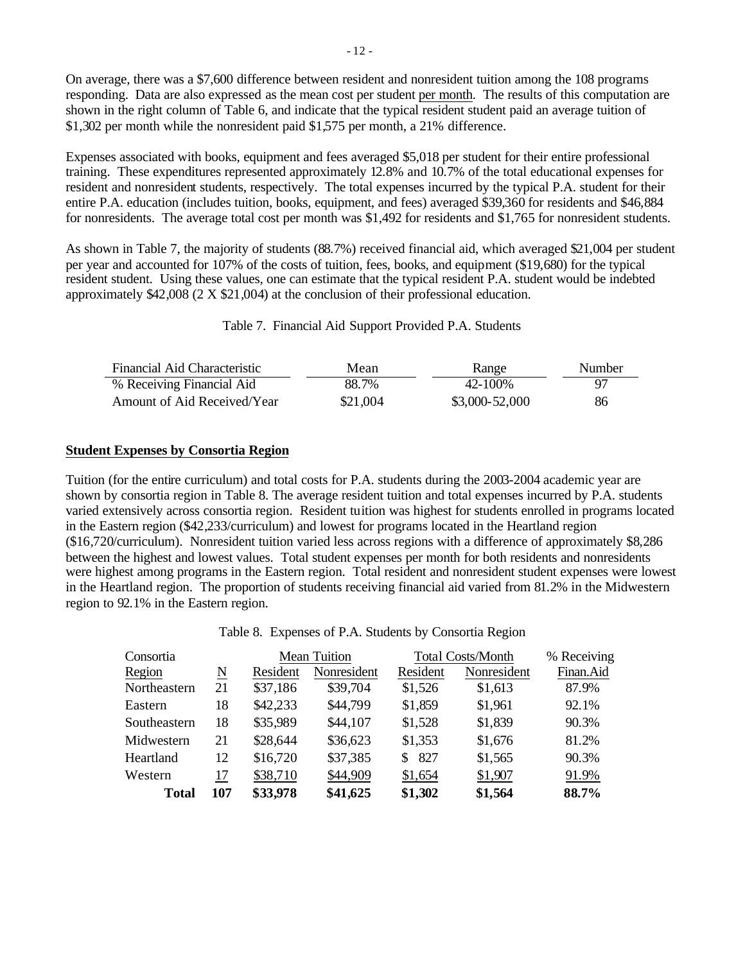On average, there was a \$7,600 difference between resident and nonresident tuition among the 108 programs responding. Data are also expressed as the mean cost per student per month. The results of this computation are shown in the right column of Table 6, and indicate that the typical resident student paid an average tuition of \$1,302 per month while the nonresident paid \$1,575 per month, a 21% difference.

Expenses associated with books, equipment and fees averaged \$5,018 per student for their entire professional training. These expenditures represented approximately 12.8% and 10.7% of the total educational expenses for resident and nonresident students, respectively. The total expenses incurred by the typical P.A. student for their entire P.A. education (includes tuition, books, equipment, and fees) averaged \$39,360 for residents and \$46,884 for nonresidents. The average total cost per month was \$1,492 for residents and \$1,765 for nonresident students.

As shown in Table 7, the majority of students (88.7%) received financial aid, which averaged \$21,004 per student per year and accounted for 107% of the costs of tuition, fees, books, and equipment (\$19,680) for the typical resident student. Using these values, one can estimate that the typical resident P.A. student would be indebted approximately \$42,008 (2 X \$21,004) at the conclusion of their professional education.

Table 7. Financial Aid Support Provided P.A. Students

| Financial Aid Characteristic | Mean     | Range          | Number |
|------------------------------|----------|----------------|--------|
| % Receiving Financial Aid    | 88.7%    | 42-100%        | 97     |
| Amount of Aid Received/Year  | \$21,004 | \$3,000-52,000 | 86     |

# **Student Expenses by Consortia Region**

Tuition (for the entire curriculum) and total costs for P.A. students during the 2003-2004 academic year are shown by consortia region in Table 8. The average resident tuition and total expenses incurred by P.A. students varied extensively across consortia region. Resident tuition was highest for students enrolled in programs located in the Eastern region (\$42,233/curriculum) and lowest for programs located in the Heartland region (\$16,720/curriculum). Nonresident tuition varied less across regions with a difference of approximately \$8,286 between the highest and lowest values. Total student expenses per month for both residents and nonresidents were highest among programs in the Eastern region. Total resident and nonresident student expenses were lowest in the Heartland region. The proportion of students receiving financial aid varied from 81.2% in the Midwestern region to 92.1% in the Eastern region.

Table 8. Expenses of P.A. Students by Consortia Region

| Consortia    |     |          | <b>Mean Tuition</b> | <b>Total Costs/Month</b> | % Receiving |           |
|--------------|-----|----------|---------------------|--------------------------|-------------|-----------|
| Region       | N   | Resident | Nonresident         | Resident                 | Nonresident | Finan.Aid |
| Northeastern | 21  | \$37,186 | \$39,704            | \$1,526                  | \$1,613     | 87.9%     |
| Eastern      | 18  | \$42,233 | \$44,799            | \$1,859                  | \$1,961     | 92.1%     |
| Southeastern | 18  | \$35,989 | \$44,107            | \$1,528                  | \$1,839     | 90.3%     |
| Midwestern   | 21  | \$28,644 | \$36,623            | \$1,353                  | \$1,676     | 81.2%     |
| Heartland    | 12  | \$16,720 | \$37,385            | -827<br>S.               | \$1,565     | 90.3%     |
| Western      | 17  | \$38,710 | \$44,909            | \$1,654                  | \$1,907     | 91.9%     |
| <b>Total</b> | 107 | \$33,978 | \$41,625            | \$1,302                  | \$1,564     | 88.7%     |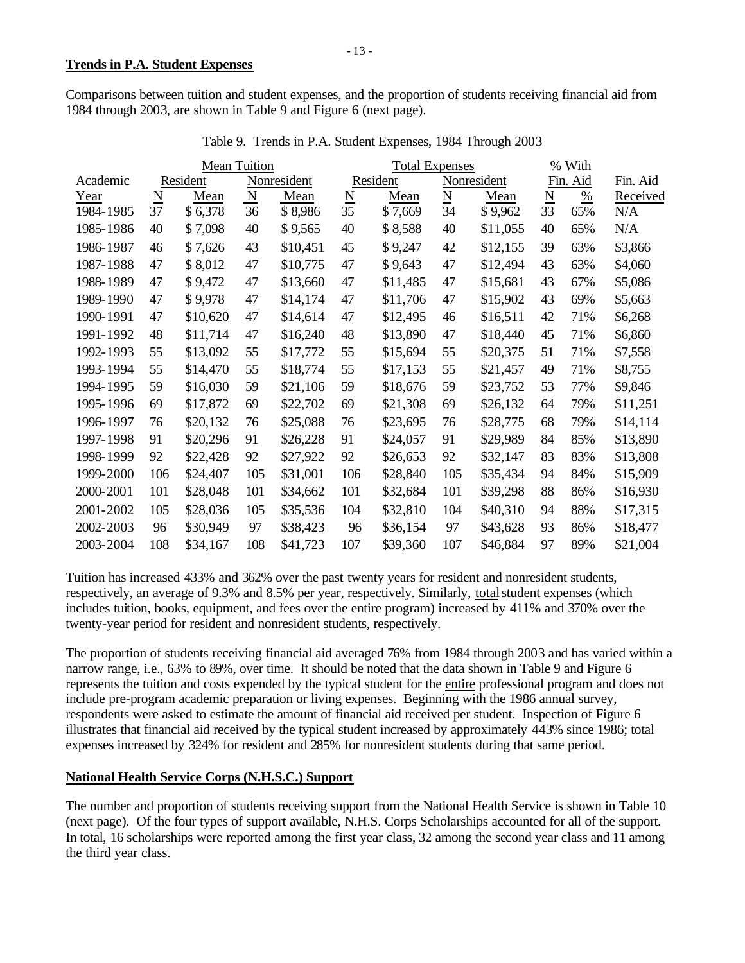Comparisons between tuition and student expenses, and the proportion of students receiving financial aid from 1984 through 2003, are shown in Table 9 and Figure 6 (next page).

|           |                          | <b>Mean Tuition</b> |                         |             |                          | <b>Total Expenses</b> |                             |             |                 | % With   |          |
|-----------|--------------------------|---------------------|-------------------------|-------------|--------------------------|-----------------------|-----------------------------|-------------|-----------------|----------|----------|
| Academic  |                          | Resident            |                         | Nonresident |                          | Resident              |                             | Nonresident |                 | Fin. Aid | Fin. Aid |
| Year      | $\underline{\mathbf{N}}$ | Mean                | $\overline{\mathbf{N}}$ | Mean        | $\underline{\mathbf{N}}$ | Mean                  | $\underline{\underline{N}}$ | Mean        | $\underline{N}$ | $\%$     | Received |
| 1984-1985 | 37                       | \$6,378             | 36                      | \$8,986     | 35                       | \$7,669               | 34                          | \$9,962     | 33              | 65%      | N/A      |
| 1985-1986 | 40                       | \$7,098             | 40                      | \$9,565     | 40                       | \$8,588               | 40                          | \$11,055    | 40              | 65%      | N/A      |
| 1986-1987 | 46                       | \$7,626             | 43                      | \$10,451    | 45                       | \$9,247               | 42                          | \$12,155    | 39              | 63%      | \$3,866  |
| 1987-1988 | 47                       | \$8,012             | 47                      | \$10,775    | 47                       | \$9,643               | 47                          | \$12,494    | 43              | 63%      | \$4,060  |
| 1988-1989 | 47                       | \$9,472             | 47                      | \$13,660    | 47                       | \$11,485              | 47                          | \$15,681    | 43              | 67%      | \$5,086  |
| 1989-1990 | 47                       | \$9,978             | 47                      | \$14,174    | 47                       | \$11,706              | 47                          | \$15,902    | 43              | 69%      | \$5,663  |
| 1990-1991 | 47                       | \$10,620            | 47                      | \$14,614    | 47                       | \$12,495              | 46                          | \$16,511    | 42              | 71%      | \$6,268  |
| 1991-1992 | 48                       | \$11,714            | 47                      | \$16,240    | 48                       | \$13,890              | 47                          | \$18,440    | 45              | 71%      | \$6,860  |
| 1992-1993 | 55                       | \$13,092            | 55                      | \$17,772    | 55                       | \$15,694              | 55                          | \$20,375    | 51              | 71%      | \$7,558  |
| 1993-1994 | 55                       | \$14,470            | 55                      | \$18,774    | 55                       | \$17,153              | 55                          | \$21,457    | 49              | 71%      | \$8,755  |
| 1994-1995 | 59                       | \$16,030            | 59                      | \$21,106    | 59                       | \$18,676              | 59                          | \$23,752    | 53              | 77%      | \$9,846  |
| 1995-1996 | 69                       | \$17,872            | 69                      | \$22,702    | 69                       | \$21,308              | 69                          | \$26,132    | 64              | 79%      | \$11,251 |
| 1996-1997 | 76                       | \$20,132            | 76                      | \$25,088    | 76                       | \$23,695              | 76                          | \$28,775    | 68              | 79%      | \$14,114 |
| 1997-1998 | 91                       | \$20,296            | 91                      | \$26,228    | 91                       | \$24,057              | 91                          | \$29,989    | 84              | 85%      | \$13,890 |
| 1998-1999 | 92                       | \$22,428            | 92                      | \$27,922    | 92                       | \$26,653              | 92                          | \$32,147    | 83              | 83%      | \$13,808 |
| 1999-2000 | 106                      | \$24,407            | 105                     | \$31,001    | 106                      | \$28,840              | 105                         | \$35,434    | 94              | 84%      | \$15,909 |
| 2000-2001 | 101                      | \$28,048            | 101                     | \$34,662    | 101                      | \$32,684              | 101                         | \$39,298    | 88              | 86%      | \$16,930 |
| 2001-2002 | 105                      | \$28,036            | 105                     | \$35,536    | 104                      | \$32,810              | 104                         | \$40,310    | 94              | 88%      | \$17,315 |
| 2002-2003 | 96                       | \$30,949            | 97                      | \$38,423    | 96                       | \$36,154              | 97                          | \$43,628    | 93              | 86%      | \$18,477 |
| 2003-2004 | 108                      | \$34,167            | 108                     | \$41,723    | 107                      | \$39,360              | 107                         | \$46,884    | 97              | 89%      | \$21,004 |

Table 9. Trends in P.A. Student Expenses, 1984 Through 2003

Tuition has increased 433% and 362% over the past twenty years for resident and nonresident students, respectively, an average of 9.3% and 8.5% per year, respectively. Similarly, total student expenses (which includes tuition, books, equipment, and fees over the entire program) increased by 411% and 370% over the twenty-year period for resident and nonresident students, respectively.

The proportion of students receiving financial aid averaged 76% from 1984 through 2003 and has varied within a narrow range, i.e., 63% to 89%, over time. It should be noted that the data shown in Table 9 and Figure 6 represents the tuition and costs expended by the typical student for the entire professional program and does not include pre-program academic preparation or living expenses. Beginning with the 1986 annual survey, respondents were asked to estimate the amount of financial aid received per student. Inspection of Figure 6 illustrates that financial aid received by the typical student increased by approximately 443% since 1986; total expenses increased by 324% for resident and 285% for nonresident students during that same period.

# **National Health Service Corps (N.H.S.C.) Support**

The number and proportion of students receiving support from the National Health Service is shown in Table 10 (next page). Of the four types of support available, N.H.S. Corps Scholarships accounted for all of the support. In total, 16 scholarships were reported among the first year class, 32 among the second year class and 11 among the third year class.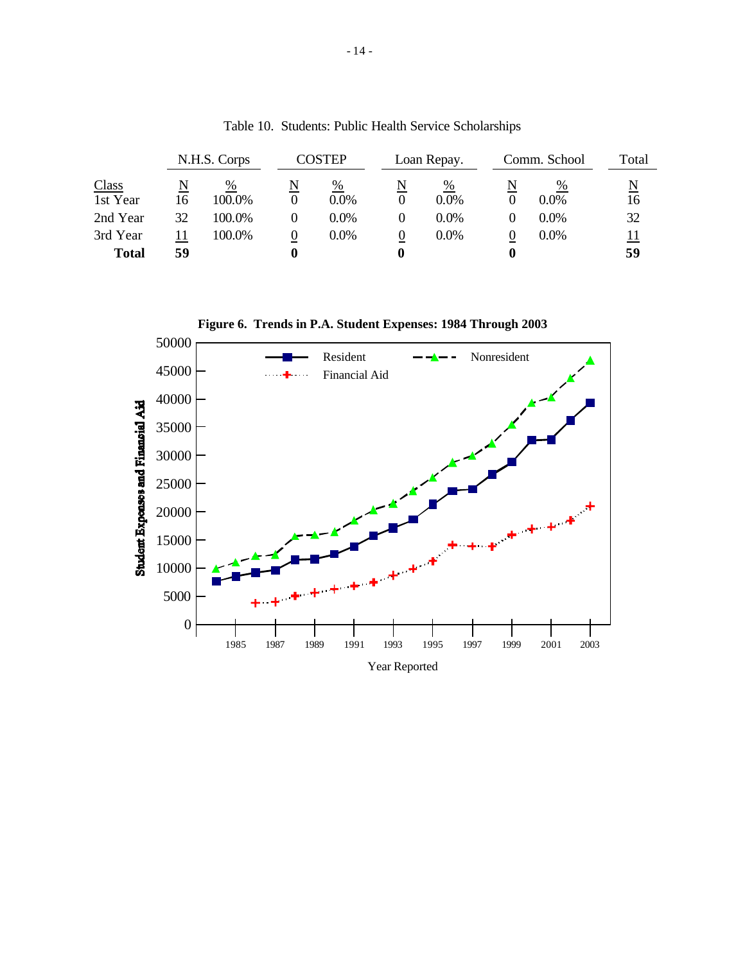|                          |    | N.H.S. Corps |        | COSTEP       | Loan Repay.  |   | Comm. School | Total                         |
|--------------------------|----|--------------|--------|--------------|--------------|---|--------------|-------------------------------|
| <b>Class</b><br>1st Year | 16 | %<br>100.0%  | N      | %<br>$0.0\%$ | %<br>$0.0\%$ | N | %<br>$0.0\%$ | $\overline{\mathbf{N}}$<br>16 |
| 2nd Year                 | 32 | 100.0%       |        | $0.0\%$      | $0.0\%$      |   | $0.0\%$      | 32                            |
| 3rd Year<br><b>Total</b> | 59 | 100.0%       | 0<br>0 | $0.0\%$      | $0.0\%$      | O | $0.0\%$      | <u> 11</u><br>59              |

Table 10. Students: Public Health Service Scholarships

**Figure 6. Trends in P.A. Student Expenses: 1984 Through 2003**

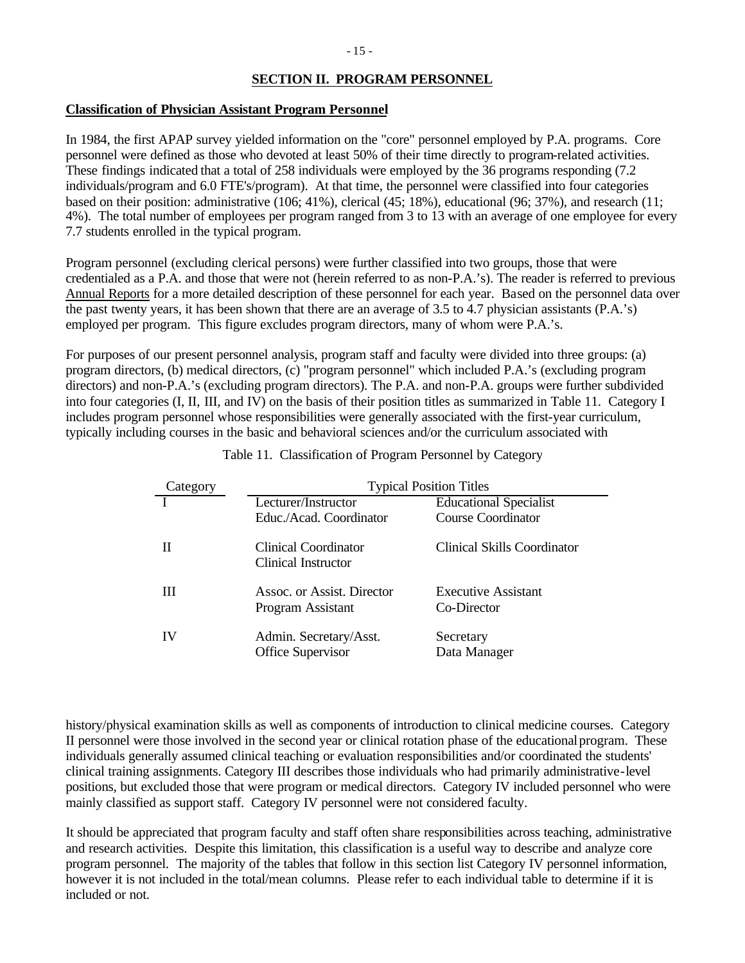# **SECTION II. PROGRAM PERSONNEL**

# **Classification of Physician Assistant Program Personnel**

In 1984, the first APAP survey yielded information on the "core" personnel employed by P.A. programs. Core personnel were defined as those who devoted at least 50% of their time directly to program-related activities. These findings indicated that a total of 258 individuals were employed by the 36 programs responding (7.2 individuals/program and 6.0 FTE's/program). At that time, the personnel were classified into four categories based on their position: administrative (106; 41%), clerical (45; 18%), educational (96; 37%), and research (11; 4%). The total number of employees per program ranged from 3 to 13 with an average of one employee for every 7.7 students enrolled in the typical program.

Program personnel (excluding clerical persons) were further classified into two groups, those that were credentialed as a P.A. and those that were not (herein referred to as non-P.A.'s). The reader is referred to previous Annual Reports for a more detailed description of these personnel for each year. Based on the personnel data over the past twenty years, it has been shown that there are an average of 3.5 to 4.7 physician assistants (P.A.'s) employed per program. This figure excludes program directors, many of whom were P.A.'s.

For purposes of our present personnel analysis, program staff and faculty were divided into three groups: (a) program directors, (b) medical directors, (c) "program personnel" which included P.A.'s (excluding program directors) and non-P.A.'s (excluding program directors). The P.A. and non-P.A. groups were further subdivided into four categories (I, II, III, and IV) on the basis of their position titles as summarized in Table 11. Category I includes program personnel whose responsibilities were generally associated with the first-year curriculum, typically including courses in the basic and behavioral sciences and/or the curriculum associated with

| Category | <b>Typical Position Titles</b>                  |                                    |  |  |  |  |  |
|----------|-------------------------------------------------|------------------------------------|--|--|--|--|--|
|          | Lecturer/Instructor                             | <b>Educational Specialist</b>      |  |  |  |  |  |
|          | Educ./Acad. Coordinator                         | <b>Course Coordinator</b>          |  |  |  |  |  |
|          | Clinical Coordinator<br>Clinical Instructor     | Clinical Skills Coordinator        |  |  |  |  |  |
| Ш        | Assoc. or Assist. Director<br>Program Assistant | Executive Assistant<br>Co-Director |  |  |  |  |  |
| IV       | Admin. Secretary/Asst.<br>Office Supervisor     | Secretary<br>Data Manager          |  |  |  |  |  |

Table 11. Classification of Program Personnel by Category

history/physical examination skills as well as components of introduction to clinical medicine courses. Category II personnel were those involved in the second year or clinical rotation phase of the educational program. These individuals generally assumed clinical teaching or evaluation responsibilities and/or coordinated the students' clinical training assignments. Category III describes those individuals who had primarily administrative-level positions, but excluded those that were program or medical directors. Category IV included personnel who were mainly classified as support staff. Category IV personnel were not considered faculty.

It should be appreciated that program faculty and staff often share responsibilities across teaching, administrative and research activities. Despite this limitation, this classification is a useful way to describe and analyze core program personnel. The majority of the tables that follow in this section list Category IV personnel information, however it is not included in the total/mean columns. Please refer to each individual table to determine if it is included or not.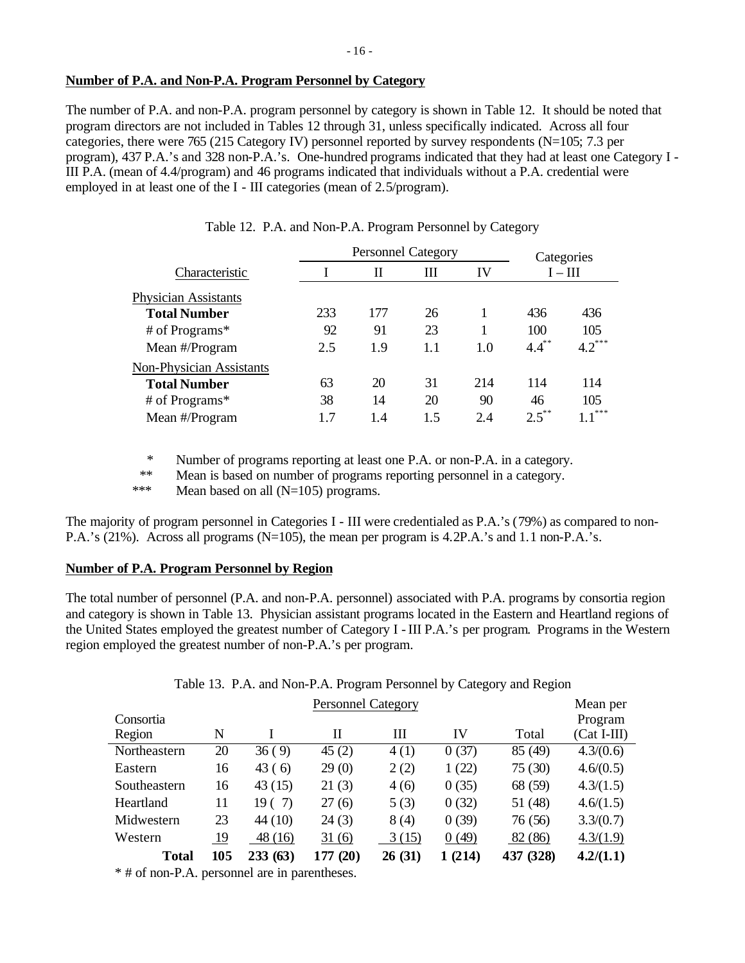# **Number of P.A. and Non-P.A. Program Personnel by Category**

The number of P.A. and non-P.A. program personnel by category is shown in Table 12. It should be noted that program directors are not included in Tables 12 through 31, unless specifically indicated. Across all four categories, there were 765 (215 Category IV) personnel reported by survey respondents (N=105; 7.3 per program), 437 P.A.'s and 328 non-P.A.'s. One-hundred programs indicated that they had at least one Category I - III P.A. (mean of 4.4/program) and 46 programs indicated that individuals without a P.A. credential were employed in at least one of the I - III categories (mean of 2.5/program).

|     |     | Categories |     |                           |                        |
|-----|-----|------------|-----|---------------------------|------------------------|
|     | Н   | Ш          | IV  | $I - III$                 |                        |
|     |     |            |     |                           |                        |
| 233 | 177 | 26         |     | 436                       | 436                    |
| 92  | 91  | 23         |     | 100                       | 105                    |
| 2.5 | 1.9 | 1.1        | 1.0 |                           | $4.2***$               |
|     |     |            |     |                           |                        |
| 63  | 20  | 31         | 214 | 114                       | 114                    |
| 38  | 14  | 20         | 90  | 46                        | 105                    |
| 1.7 | 1.4 | 1.5        | 2.4 |                           | ***                    |
|     |     |            |     | <b>Personnel Category</b> | $4.4^{**}$<br>$2.5$ ** |

|  |  | Table 12. P.A. and Non-P.A. Program Personnel by Category |  |  |
|--|--|-----------------------------------------------------------|--|--|
|  |  |                                                           |  |  |

\* Number of programs reporting at least one P.A. or non-P.A. in a category.

\*\* Mean is based on number of programs reporting personnel in a category.

\*\*\* Mean based on all (N=105) programs.

The majority of program personnel in Categories I - III were credentialed as P.A.'s (79%) as compared to non-P.A.'s (21%). Across all programs (N=105), the mean per program is 4.2P.A.'s and 1.1 non-P.A.'s.

# **Number of P.A. Program Personnel by Region**

The total number of personnel (P.A. and non-P.A. personnel) associated with P.A. programs by consortia region and category is shown in Table 13. Physician assistant programs located in the Eastern and Heartland regions of the United States employed the greatest number of Category I - III P.A.'s per program. Programs in the Western region employed the greatest number of non-P.A.'s per program.

Table 13. P.A. and Non-P.A. Program Personnel by Category and Region

| <b>Personnel Category</b> |     |         |             |        |        |           |               |  |
|---------------------------|-----|---------|-------------|--------|--------|-----------|---------------|--|
| Consortia                 |     |         |             |        |        |           | Program       |  |
| Region                    | N   |         | П           | Ш      | IV     | Total     | $(Cat I-III)$ |  |
| Northeastern              | 20  | 36(9)   | 45(2)       | 4(1)   | 0(37)  | 85 (49)   | 4.3/(0.6)     |  |
| Eastern                   | 16  | 43(6)   | 29(0)       | 2(2)   | 1(22)  | 75(30)    | 4.6/(0.5)     |  |
| Southeastern              | 16  | 43(15)  | 21(3)       | 4(6)   | 0(35)  | 68 (59)   | 4.3/(1.5)     |  |
| Heartland                 | 11  | 19(7)   | 27 (6)      | 5(3)   | 0(32)  | 51 (48)   | 4.6/(1.5)     |  |
| Midwestern                | 23  | 44 (10) | 24(3)       | 8(4)   | 0(39)  | 76 (56)   | 3.3/(0.7)     |  |
| Western                   | 19  | 48(16)  | 31(6)       | 3(15)  | 0(49)  | 82 (86)   | 4.3/(1.9)     |  |
| <b>Total</b>              | 105 | 233(63) | (20)<br>177 | 26(31) | 1(214) | 437 (328) | 4.2/(1.1)     |  |

\* # of non-P.A. personnel are in parentheses.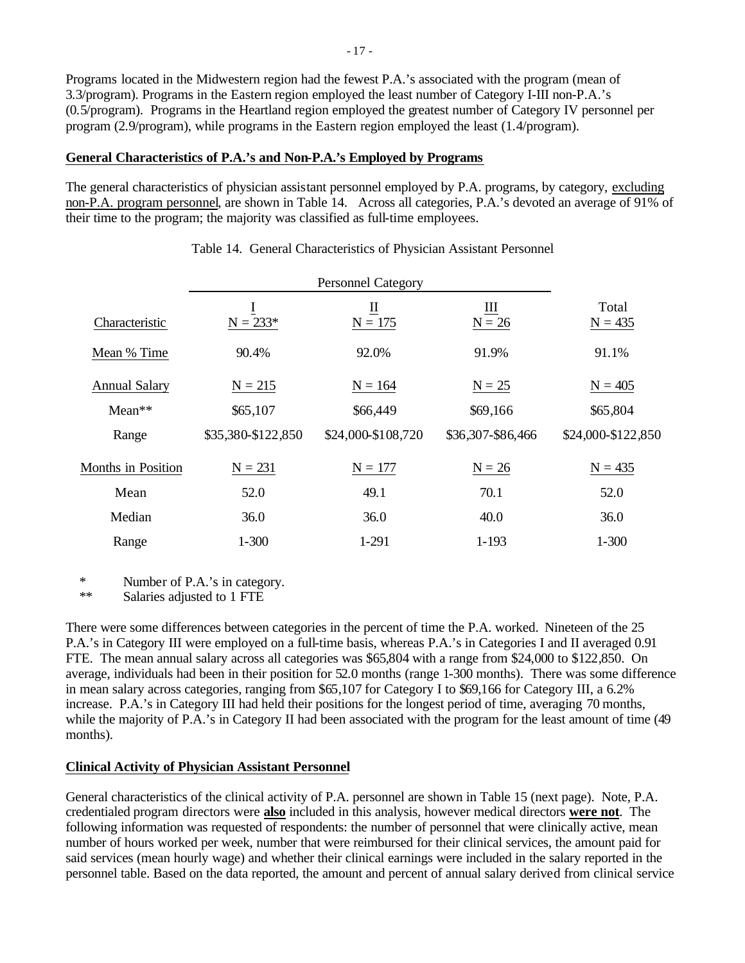Programs located in the Midwestern region had the fewest P.A.'s associated with the program (mean of 3.3/program). Programs in the Eastern region employed the least number of Category I-III non-P.A.'s (0.5/program). Programs in the Heartland region employed the greatest number of Category IV personnel per program (2.9/program), while programs in the Eastern region employed the least (1.4/program).

# **General Characteristics of P.A.'s and Non-P.A.'s Employed by Programs**

The general characteristics of physician assistant personnel employed by P.A. programs, by category, excluding non-P.A. program personnel, are shown in Table 14. Across all categories, P.A.'s devoted an average of 91% of their time to the program; the majority was classified as full-time employees.

| Characteristic            | Ī<br>$N = 233*$    | $\underline{\mathbf{u}}$<br>$N = 175$ | Ш<br>$N = 26$     | Total<br>$N = 435$ |
|---------------------------|--------------------|---------------------------------------|-------------------|--------------------|
| Mean % Time               | 90.4%              | 92.0%                                 | 91.9%             | 91.1%              |
| <b>Annual Salary</b>      | $N = 215$          | $N = 164$                             | $N = 25$          | $N = 405$          |
| $Mean**$                  | \$65,107           | \$66,449                              | \$69,166          | \$65,804           |
| Range                     | \$35,380-\$122,850 | \$24,000-\$108,720                    | \$36,307-\$86,466 | \$24,000-\$122,850 |
| <b>Months in Position</b> | $N = 231$          | $N = 177$                             | $N = 26$          | $N = 435$          |
| Mean                      | 52.0               | 49.1                                  | 70.1              | 52.0               |
| Median                    | 36.0               | 36.0                                  | 40.0              | 36.0               |
| Range                     | $1 - 300$          | 1-291                                 | $1 - 193$         | $1 - 300$          |

# Table 14. General Characteristics of Physician Assistant Personnel

\* Number of P.A.'s in category.

Salaries adjusted to 1 FTE

There were some differences between categories in the percent of time the P.A. worked. Nineteen of the 25 P.A.'s in Category III were employed on a full-time basis, whereas P.A.'s in Categories I and II averaged 0.91 FTE. The mean annual salary across all categories was \$65,804 with a range from \$24,000 to \$122,850. On average, individuals had been in their position for 52.0 months (range 1-300 months). There was some difference in mean salary across categories, ranging from \$65,107 for Category I to \$69,166 for Category III, a 6.2% increase. P.A.'s in Category III had held their positions for the longest period of time, averaging 70 months, while the majority of P.A.'s in Category II had been associated with the program for the least amount of time (49 months).

# **Clinical Activity of Physician Assistant Personnel**

General characteristics of the clinical activity of P.A. personnel are shown in Table 15 (next page). Note, P.A. credentialed program directors were **also** included in this analysis, however medical directors **were not**. The following information was requested of respondents: the number of personnel that were clinically active, mean number of hours worked per week, number that were reimbursed for their clinical services, the amount paid for said services (mean hourly wage) and whether their clinical earnings were included in the salary reported in the personnel table. Based on the data reported, the amount and percent of annual salary derived from clinical service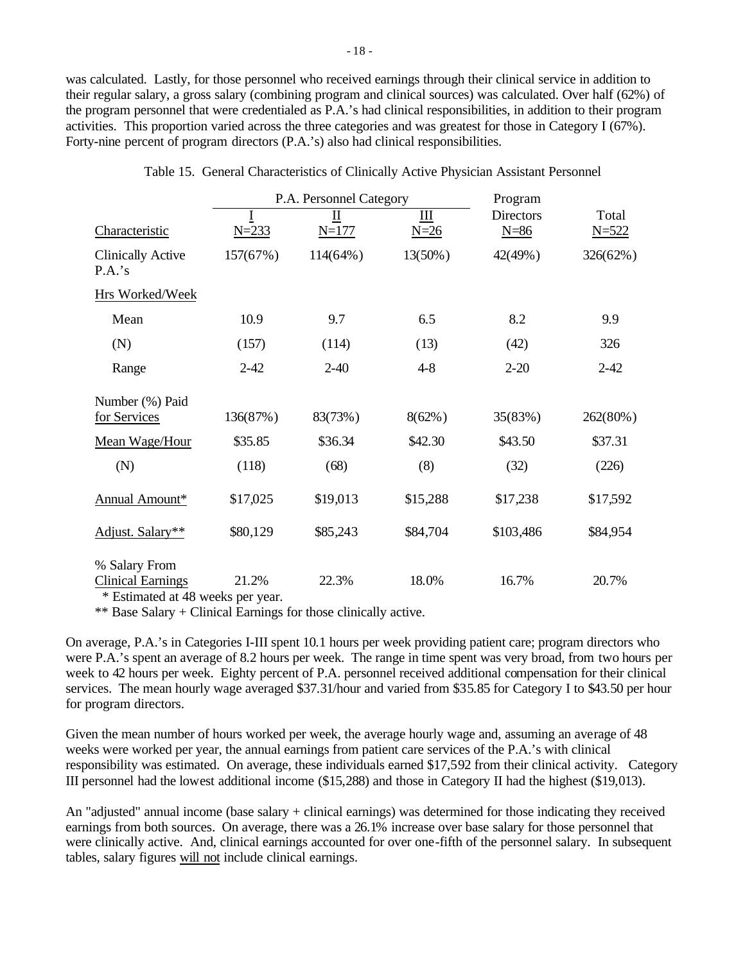was calculated. Lastly, for those personnel who received earnings through their clinical service in addition to their regular salary, a gross salary (combining program and clinical sources) was calculated. Over half (62%) of the program personnel that were credentialed as P.A.'s had clinical responsibilities, in addition to their program activities. This proportion varied across the three categories and was greatest for those in Category I (67%). Forty-nine percent of program directors (P.A.'s) also had clinical responsibilities.

|                                                                                  |           | P.A. Personnel Category |             | Program                    |                    |  |
|----------------------------------------------------------------------------------|-----------|-------------------------|-------------|----------------------------|--------------------|--|
| Characteristic                                                                   | $N = 233$ | Ш<br>$N = 177$          | Ш<br>$N=26$ | <b>Directors</b><br>$N=86$ | Total<br>$N = 522$ |  |
| <b>Clinically Active</b><br>P.A.'s                                               | 157(67%)  | $114(64\%)$             | 13(50%)     | 42(49%)                    | 326(62%)           |  |
| Hrs Worked/Week                                                                  |           |                         |             |                            |                    |  |
| Mean                                                                             | 10.9      | 9.7                     | 6.5         | 8.2                        | 9.9                |  |
| (N)                                                                              | (157)     | (114)                   | (13)        | (42)                       | 326                |  |
| Range                                                                            | $2 - 42$  | $2 - 40$                | $4 - 8$     | $2 - 20$                   | $2 - 42$           |  |
| Number (%) Paid<br>for Services                                                  | 136(87%)  | 83(73%)                 | $8(62\%)$   | 35(83%)                    | 262(80%)           |  |
| Mean Wage/Hour                                                                   | \$35.85   | \$36.34                 | \$42.30     | \$43.50                    | \$37.31            |  |
| (N)                                                                              | (118)     | (68)                    | (8)         | (32)                       | (226)              |  |
| Annual Amount*                                                                   | \$17,025  | \$19,013                | \$15,288    | \$17,238                   | \$17,592           |  |
| Adjust. Salary**                                                                 | \$80,129  | \$85,243                | \$84,704    | \$103,486                  | \$84,954           |  |
| % Salary From<br><b>Clinical Earnings</b><br>$\pm$ Definent 1 of 40 construction | 21.2%     | 22.3%                   | 18.0%       | 16.7%                      | 20.7%              |  |

Table 15. General Characteristics of Clinically Active Physician Assistant Personnel

\* Estimated at 48 weeks per year.

\*\* Base Salary + Clinical Earnings for those clinically active.

On average, P.A.'s in Categories I-III spent 10.1 hours per week providing patient care; program directors who were P.A.'s spent an average of 8.2 hours per week. The range in time spent was very broad, from two hours per week to 42 hours per week. Eighty percent of P.A. personnel received additional compensation for their clinical services. The mean hourly wage averaged \$37.31/hour and varied from \$35.85 for Category I to \$43.50 per hour for program directors.

Given the mean number of hours worked per week, the average hourly wage and, assuming an average of 48 weeks were worked per year, the annual earnings from patient care services of the P.A.'s with clinical responsibility was estimated. On average, these individuals earned \$17,592 from their clinical activity. Category III personnel had the lowest additional income (\$15,288) and those in Category II had the highest (\$19,013).

An "adjusted" annual income (base salary + clinical earnings) was determined for those indicating they received earnings from both sources. On average, there was a 26.1% increase over base salary for those personnel that were clinically active. And, clinical earnings accounted for over one-fifth of the personnel salary. In subsequent tables, salary figures will not include clinical earnings.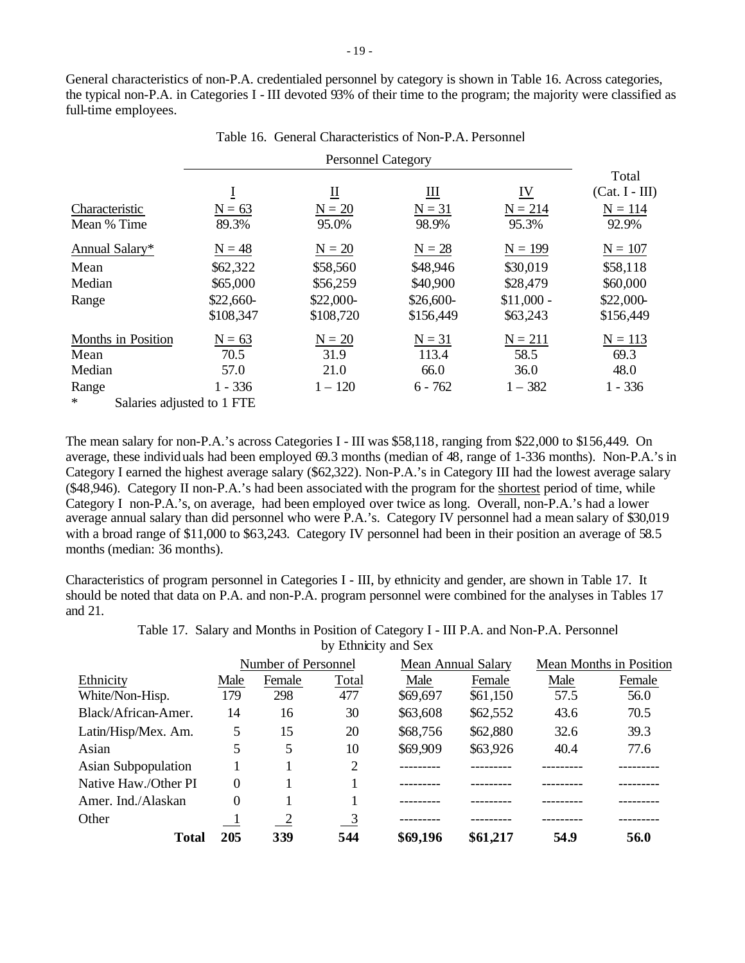General characteristics of non-P.A. credentialed personnel by category is shown in Table 16. Across categories, the typical non-P.A. in Categories I - III devoted 93% of their time to the program; the majority were classified as full-time employees.

Table 16. General Characteristics of Non-P.A. Personnel

|                                   |            |                  |                         |                           | Total            |
|-----------------------------------|------------|------------------|-------------------------|---------------------------|------------------|
|                                   | $\bf{I}$   | $\overline{\Pi}$ | $\overline{\mathbf{H}}$ | $\underline{\mathbf{IV}}$ | $(Cat. I - III)$ |
| Characteristic                    | $N = 63$   | $N = 20$         | $N = 31$                | $N = 214$                 | $N = 114$        |
| Mean % Time                       | 89.3%      | 95.0%            | 98.9%                   | 95.3%                     | 92.9%            |
| Annual Salary*                    | $N = 48$   | $N = 20$         | $N = 28$                | $N = 199$                 | $N = 107$        |
| Mean                              | \$62,322   | \$58,560         | \$48,946                | \$30,019                  | \$58,118         |
| Median                            | \$65,000   | \$56,259         | \$40,900                | \$28,479                  | \$60,000         |
| Range                             | $$22,660-$ | $$22,000-$       | $$26,600-$              | $$11,000 -$               | $$22,000-$       |
|                                   | \$108,347  | \$108,720        | \$156,449               | \$63,243                  | \$156,449        |
| Months in Position                | $N = 63$   | $N = 20$         | $N = 31$                | $N = 211$                 | $N = 113$        |
| Mean                              | 70.5       | 31.9             | 113.4                   | 58.5                      | 69.3             |
| Median                            | 57.0       | 21.0             | 66.0                    | 36.0                      | 48.0             |
| Range                             | $1 - 336$  | $1 - 120$        | $6 - 762$               | $1 - 382$                 | $1 - 336$        |
| $*$<br>Salaries adjusted to 1 FTE |            |                  |                         |                           |                  |

The mean salary for non-P.A.'s across Categories I - III was \$58,118, ranging from \$22,000 to \$156,449. On average, these individuals had been employed 69.3 months (median of 48, range of 1-336 months). Non-P.A.'s in Category I earned the highest average salary (\$62,322). Non-P.A.'s in Category III had the lowest average salary (\$48,946). Category II non-P.A.'s had been associated with the program for the shortest period of time, while Category I non-P.A.'s, on average, had been employed over twice as long. Overall, non-P.A.'s had a lower average annual salary than did personnel who were P.A.'s. Category IV personnel had a mean salary of \$30,019 with a broad range of \$11,000 to \$63,243. Category IV personnel had been in their position an average of 58.5 months (median: 36 months).

Characteristics of program personnel in Categories I - III, by ethnicity and gender, are shown in Table 17. It should be noted that data on P.A. and non-P.A. program personnel were combined for the analyses in Tables 17 and 21.

> Table 17. Salary and Months in Position of Category I - III P.A. and Non-P.A. Personnel by Ethnicity and Sex

|                      | Number of Personnel |                          |               |          | <b>Mean Annual Salary</b> | Mean Months in Position |        |
|----------------------|---------------------|--------------------------|---------------|----------|---------------------------|-------------------------|--------|
| Ethnicity            | Male                | Female                   | Total         | Male     | Female                    | Male                    | Female |
| White/Non-Hisp.      | 179                 | 298                      | 477           | \$69,697 | \$61,150                  | 57.5                    | 56.0   |
| Black/African-Amer.  | 14                  | 16                       | 30            | \$63,608 | \$62,552                  | 43.6                    | 70.5   |
| Latin/Hisp/Mex. Am.  | 5                   | 15                       | 20            | \$68,756 | \$62,880                  | 32.6                    | 39.3   |
| Asian                | 5                   | 5                        | 10            | \$69,909 | \$63,926                  | 40.4                    | 77.6   |
| Asian Subpopulation  |                     |                          | 2             |          |                           |                         |        |
| Native Haw./Other PI | $\theta$            |                          |               |          |                           |                         |        |
| Amer. Ind./Alaskan   | 0                   |                          |               |          |                           |                         |        |
| Other                |                     | $\overline{\phantom{a}}$ | $\frac{3}{2}$ |          |                           |                         |        |
| Total                | 205                 | 339                      | 544           | \$69,196 | \$61,217                  | 54.9                    | 56.0   |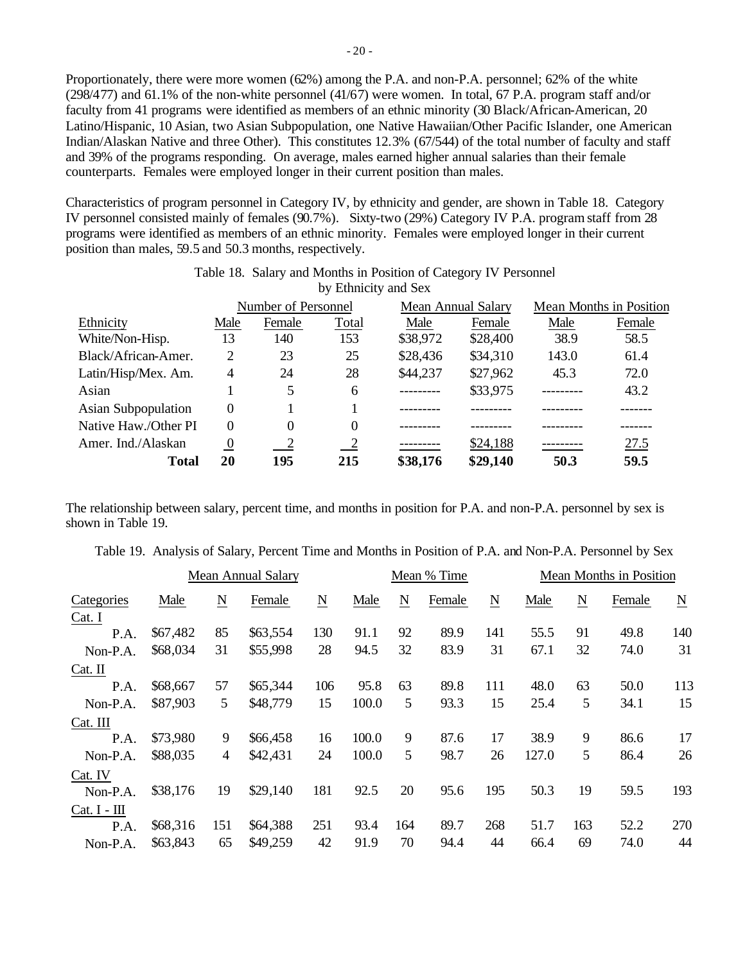Proportionately, there were more women (62%) among the P.A. and non-P.A. personnel; 62% of the white (298/477) and 61.1% of the non-white personnel (41/67) were women. In total, 67 P.A. program staff and/or faculty from 41 programs were identified as members of an ethnic minority (30 Black/African-American, 20 Latino/Hispanic, 10 Asian, two Asian Subpopulation, one Native Hawaiian/Other Pacific Islander, one American Indian/Alaskan Native and three Other). This constitutes 12.3% (67/544) of the total number of faculty and staff and 39% of the programs responding. On average, males earned higher annual salaries than their female counterparts. Females were employed longer in their current position than males.

Characteristics of program personnel in Category IV, by ethnicity and gender, are shown in Table 18. Category IV personnel consisted mainly of females (90.7%). Sixty-two (29%) Category IV P.A. program staff from 28 programs were identified as members of an ethnic minority. Females were employed longer in their current position than males, 59.5 and 50.3 months, respectively.

|                            |                  | Number of Personnel |               |           | <b>Mean Annual Salary</b> | Mean Months in Position |        |
|----------------------------|------------------|---------------------|---------------|-----------|---------------------------|-------------------------|--------|
| Ethnicity                  | Male             | Female              | Total         | Male      | Female                    | Male                    | Female |
| White/Non-Hisp.            | 13               | 140                 | 153           | \$38,972  | \$28,400                  | 38.9                    | 58.5   |
| Black/African-Amer.        | 2                | 23                  | 25            | \$28,436  | \$34,310                  | 143.0                   | 61.4   |
| Latin/Hisp/Mex. Am.        | 4                | 24                  | 28            | \$44,237  | \$27,962                  | 45.3                    | 72.0   |
| Asian                      |                  | 5                   | 6             | --------- | \$33,975                  |                         | 43.2   |
| <b>Asian Subpopulation</b> | 0                |                     |               |           |                           |                         |        |
| Native Haw./Other PI       | $\Omega$         | $\Omega$            | $\Omega$      |           |                           |                         |        |
| Amer. Ind./Alaskan         | $\boldsymbol{0}$ | $\frac{2}{2}$       | $\frac{2}{2}$ |           | \$24,188                  |                         | 27.5   |
| Total                      | 20               | 195                 | 215           | \$38,176  | \$29,140                  | 50.3                    | 59.5   |

# Table 18. Salary and Months in Position of Category IV Personnel by Ethnicity and Sex

The relationship between salary, percent time, and months in position for P.A. and non-P.A. personnel by sex is shown in Table 19.

| Table 19. Analysis of Salary, Percent Time and Months in Position of P.A. and Non-P.A. Personnel by Sex |  |  |  |  |
|---------------------------------------------------------------------------------------------------------|--|--|--|--|
|                                                                                                         |  |  |  |  |

|                |          |                          | <b>Mean Annual Salary</b> |                 | Mean % Time |                     |        |                          | Mean Months in Position |                 |        |                          |
|----------------|----------|--------------------------|---------------------------|-----------------|-------------|---------------------|--------|--------------------------|-------------------------|-----------------|--------|--------------------------|
| Categories     | Male     | $\underline{\mathbf{N}}$ | Female                    | $\underline{N}$ | Male        | $\underline{\rm N}$ | Female | $\underline{\mathbf{N}}$ | Male                    | $\underline{N}$ | Female | $\underline{\mathbf{N}}$ |
| Cat. I         |          |                          |                           |                 |             |                     |        |                          |                         |                 |        |                          |
| P.A.           | \$67,482 | 85                       | \$63,554                  | 130             | 91.1        | 92                  | 89.9   | 141                      | 55.5                    | 91              | 49.8   | 140                      |
| Non-P.A.       | \$68,034 | 31                       | \$55,998                  | 28              | 94.5        | 32                  | 83.9   | 31                       | 67.1                    | 32              | 74.0   | 31                       |
| $Cat.$ II      |          |                          |                           |                 |             |                     |        |                          |                         |                 |        |                          |
| P.A.           | \$68,667 | 57                       | \$65,344                  | 106             | 95.8        | 63                  | 89.8   | 111                      | 48.0                    | 63              | 50.0   | 113                      |
| Non-P.A.       | \$87,903 | 5                        | \$48,779                  | 15              | 100.0       | 5                   | 93.3   | 15                       | 25.4                    | 5               | 34.1   | 15                       |
| Cat. III       |          |                          |                           |                 |             |                     |        |                          |                         |                 |        |                          |
| P.A.           | \$73,980 | 9                        | \$66,458                  | 16              | 100.0       | 9                   | 87.6   | 17                       | 38.9                    | 9               | 86.6   | 17                       |
| Non-P.A.       | \$88,035 | 4                        | \$42,431                  | 24              | 100.0       | 5                   | 98.7   | 26                       | 127.0                   | 5               | 86.4   | 26                       |
| Cat. IV        |          |                          |                           |                 |             |                     |        |                          |                         |                 |        |                          |
| Non-P.A.       | \$38,176 | 19                       | \$29,140                  | 181             | 92.5        | 20                  | 95.6   | 195                      | 50.3                    | 19              | 59.5   | 193                      |
| $Cat. I - III$ |          |                          |                           |                 |             |                     |        |                          |                         |                 |        |                          |
| P.A.           | \$68,316 | 151                      | \$64,388                  | 251             | 93.4        | 164                 | 89.7   | 268                      | 51.7                    | 163             | 52.2   | 270                      |
| Non-P.A.       | \$63,843 | 65                       | \$49,259                  | 42              | 91.9        | 70                  | 94.4   | 44                       | 66.4                    | 69              | 74.0   | 44                       |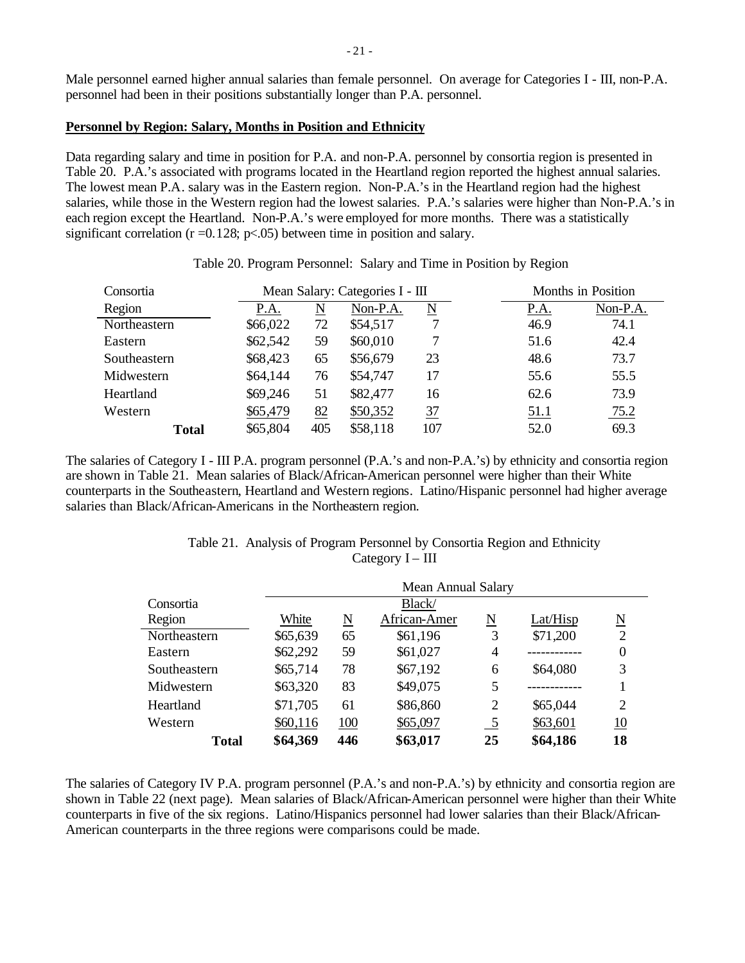Male personnel earned higher annual salaries than female personnel. On average for Categories I - III, non-P.A. personnel had been in their positions substantially longer than P.A. personnel.

### **Personnel by Region: Salary, Months in Position and Ethnicity**

Data regarding salary and time in position for P.A. and non-P.A. personnel by consortia region is presented in Table 20. P.A.'s associated with programs located in the Heartland region reported the highest annual salaries. The lowest mean P.A. salary was in the Eastern region. Non-P.A.'s in the Heartland region had the highest salaries, while those in the Western region had the lowest salaries. P.A.'s salaries were higher than Non-P.A.'s in each region except the Heartland. Non-P.A.'s were employed for more months. There was a statistically significant correlation ( $r = 0.128$ ;  $p < .05$ ) between time in position and salary.

| Consortia    |          |     | Mean Salary: Categories I - III |                     | Months in Position  |
|--------------|----------|-----|---------------------------------|---------------------|---------------------|
| Region       | P.A.     | N   | Non-P.A.                        | $\underline{\rm N}$ | Non-P.A.<br>P.A.    |
| Northeastern | \$66,022 | 72  | \$54,517                        |                     | 46.9<br>74.1        |
| Eastern      | \$62,542 | 59  | \$60,010                        |                     | 42.4<br>51.6        |
| Southeastern | \$68,423 | 65  | \$56,679                        | 23                  | 73.7<br>48.6        |
| Midwestern   | \$64,144 | 76  | \$54,747                        | 17                  | 55.5<br>55.6        |
| Heartland    | \$69,246 | 51  | \$82,477                        | 16                  | 73.9<br>62.6        |
| Western      | \$65,479 | 82  | \$50,352                        | $\frac{37}{2}$      | 75.2<br><u>51.1</u> |
| <b>Total</b> | \$65,804 | 405 | \$58,118                        | 107                 | 69.3<br>52.0        |

Table 20. Program Personnel: Salary and Time in Position by Region

The salaries of Category I - III P.A. program personnel (P.A.'s and non-P.A.'s) by ethnicity and consortia region are shown in Table 21. Mean salaries of Black/African-American personnel were higher than their White counterparts in the Southeastern, Heartland and Western regions. Latino/Hispanic personnel had higher average salaries than Black/African-Americans in the Northeastern region.

| Table 21. Analysis of Program Personnel by Consortia Region and Ethnicity |
|---------------------------------------------------------------------------|
| Category $I - III$                                                        |

|              | <b>Mean Annual Salary</b> |                        |              |                |          |                          |  |  |  |  |
|--------------|---------------------------|------------------------|--------------|----------------|----------|--------------------------|--|--|--|--|
| Consortia    | Black/                    |                        |              |                |          |                          |  |  |  |  |
| Region       | White                     | $\underline{\text{N}}$ | African-Amer | N              | Lat/Hisp | $\underline{\mathrm{N}}$ |  |  |  |  |
| Northeastern | \$65,639                  | 65                     | \$61,196     | 3              | \$71,200 | 2                        |  |  |  |  |
| Eastern      | \$62,292                  | 59                     | \$61,027     | 4              |          | 0                        |  |  |  |  |
| Southeastern | \$65,714                  | 78                     | \$67,192     | 6              | \$64,080 | 3                        |  |  |  |  |
| Midwestern   | \$63,320                  | 83                     | \$49,075     | 5              |          |                          |  |  |  |  |
| Heartland    | \$71,705                  | 61                     | \$86,860     | $\overline{2}$ | \$65,044 | $\overline{2}$           |  |  |  |  |
| Western      | \$60,116                  | 100                    | \$65,097     | $\frac{5}{2}$  | \$63,601 | 10                       |  |  |  |  |
| <b>Total</b> | \$64,369                  | 446                    | \$63,017     | 25             | \$64,186 | 18                       |  |  |  |  |

The salaries of Category IV P.A. program personnel (P.A.'s and non-P.A.'s) by ethnicity and consortia region are shown in Table 22 (next page). Mean salaries of Black/African-American personnel were higher than their White counterparts in five of the six regions. Latino/Hispanics personnel had lower salaries than their Black/African-American counterparts in the three regions were comparisons could be made.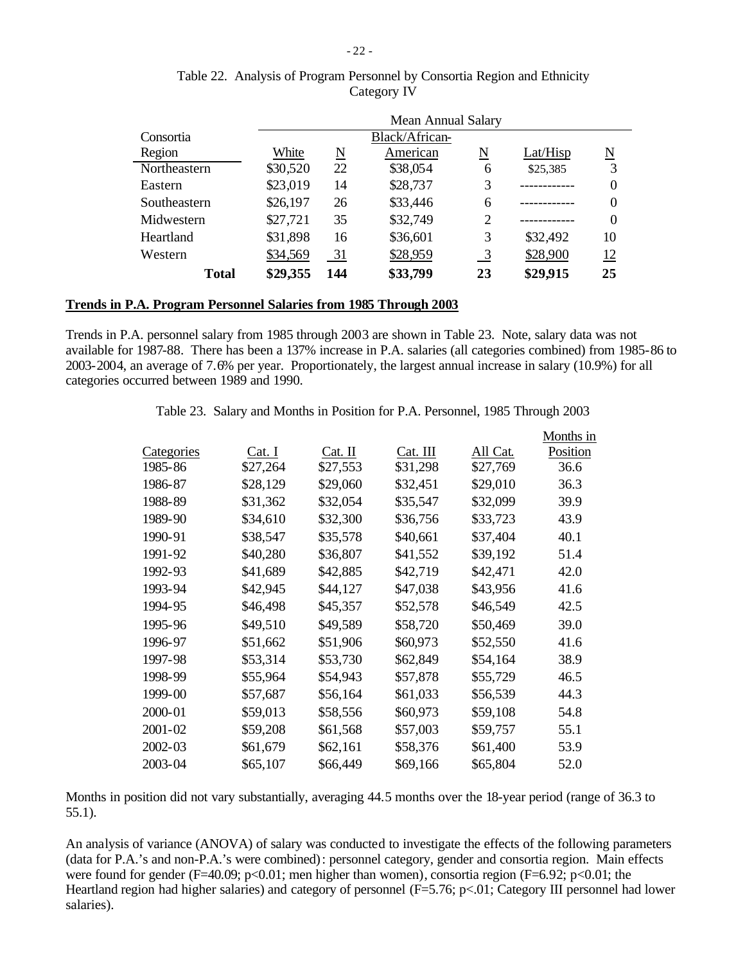|              | <b>Mean Annual Salary</b> |     |          |                |          |                             |  |  |  |  |  |
|--------------|---------------------------|-----|----------|----------------|----------|-----------------------------|--|--|--|--|--|
| Consortia    | Black/African-            |     |          |                |          |                             |  |  |  |  |  |
| Region       | White                     | N   | American | N              | Lat/Hisp | $\underline{\underline{N}}$ |  |  |  |  |  |
| Northeastern | \$30,520                  | 22  | \$38,054 | 6              | \$25,385 | 3                           |  |  |  |  |  |
| Eastern      | \$23,019                  | 14  | \$28,737 | 3              |          | 0                           |  |  |  |  |  |
| Southeastern | \$26,197                  | 26  | \$33,446 | 6              |          | 0                           |  |  |  |  |  |
| Midwestern   | \$27,721                  | 35  | \$32,749 | $\overline{2}$ |          | $\theta$                    |  |  |  |  |  |
| Heartland    | \$31,898                  | 16  | \$36,601 | 3              | \$32,492 | 10                          |  |  |  |  |  |
| Western      | \$34,569                  | 31  | \$28,959 | $\frac{3}{2}$  | \$28,900 | <u>12</u>                   |  |  |  |  |  |
| <b>Total</b> | \$29,355                  | 144 | \$33,799 | 23             | \$29,915 | 25                          |  |  |  |  |  |

# Table 22. Analysis of Program Personnel by Consortia Region and Ethnicity Category IV

# **Trends in P.A. Program Personnel Salaries from 1985 Through 2003**

Trends in P.A. personnel salary from 1985 through 2003 are shown in Table 23. Note, salary data was not available for 1987-88. There has been a 137% increase in P.A. salaries (all categories combined) from 1985-86 to 2003-2004, an average of 7.6% per year. Proportionately, the largest annual increase in salary (10.9%) for all categories occurred between 1989 and 1990.

Table 23. Salary and Months in Position for P.A. Personnel, 1985 Through 2003

|             |          |          |          |          | Months in |
|-------------|----------|----------|----------|----------|-----------|
| Categories  | Cat. I   | Cat. II  | Cat. III | All Cat. | Position  |
| 1985-86     | \$27,264 | \$27,553 | \$31,298 | \$27,769 | 36.6      |
| 1986-87     | \$28,129 | \$29,060 | \$32,451 | \$29,010 | 36.3      |
| 1988-89     | \$31,362 | \$32,054 | \$35,547 | \$32,099 | 39.9      |
| 1989-90     | \$34,610 | \$32,300 | \$36,756 | \$33,723 | 43.9      |
| 1990-91     | \$38,547 | \$35,578 | \$40,661 | \$37,404 | 40.1      |
| 1991-92     | \$40,280 | \$36,807 | \$41,552 | \$39,192 | 51.4      |
| 1992-93     | \$41,689 | \$42,885 | \$42,719 | \$42,471 | 42.0      |
| 1993-94     | \$42,945 | \$44,127 | \$47,038 | \$43,956 | 41.6      |
| 1994-95     | \$46,498 | \$45,357 | \$52,578 | \$46,549 | 42.5      |
| 1995-96     | \$49,510 | \$49,589 | \$58,720 | \$50,469 | 39.0      |
| 1996-97     | \$51,662 | \$51,906 | \$60,973 | \$52,550 | 41.6      |
| 1997-98     | \$53,314 | \$53,730 | \$62,849 | \$54,164 | 38.9      |
| 1998-99     | \$55,964 | \$54,943 | \$57,878 | \$55,729 | 46.5      |
| 1999-00     | \$57,687 | \$56,164 | \$61,033 | \$56,539 | 44.3      |
| 2000-01     | \$59,013 | \$58,556 | \$60,973 | \$59,108 | 54.8      |
| $2001 - 02$ | \$59,208 | \$61,568 | \$57,003 | \$59,757 | 55.1      |
| 2002-03     | \$61,679 | \$62,161 | \$58,376 | \$61,400 | 53.9      |
| 2003-04     | \$65,107 | \$66,449 | \$69,166 | \$65,804 | 52.0      |

Months in position did not vary substantially, averaging 44.5 months over the 18-year period (range of 36.3 to 55.1).

An analysis of variance (ANOVA) of salary was conducted to investigate the effects of the following parameters (data for P.A.'s and non-P.A.'s were combined): personnel category, gender and consortia region. Main effects were found for gender (F=40.09; p<0.01; men higher than women), consortia region (F=6.92; p<0.01; the Heartland region had higher salaries) and category of personnel (F=5.76; p<.01; Category III personnel had lower salaries).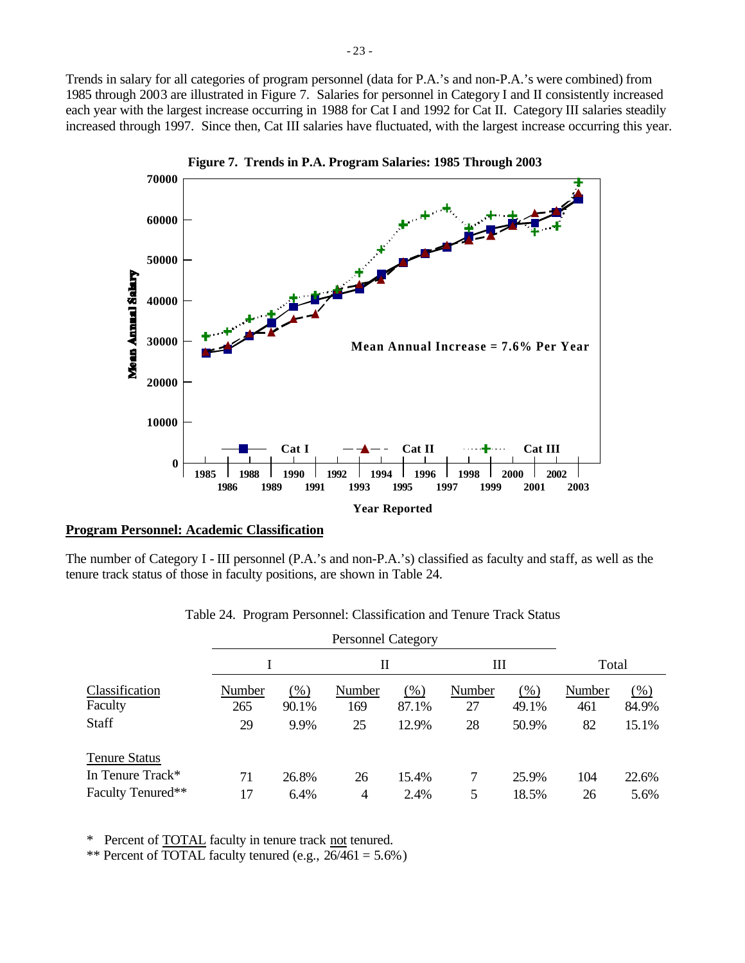Trends in salary for all categories of program personnel (data for P.A.'s and non-P.A.'s were combined) from 1985 through 2003 are illustrated in Figure 7. Salaries for personnel in Category I and II consistently increased each year with the largest increase occurring in 1988 for Cat I and 1992 for Cat II. Category III salaries steadily increased through 1997. Since then, Cat III salaries have fluctuated, with the largest increase occurring this year.



#### **Program Personnel: Academic Classification**

The number of Category I - III personnel (P.A.'s and non-P.A.'s) classified as faculty and staff, as well as the tenure track status of those in faculty positions, are shown in Table 24.

|        |         | П              |       | Ш                         |        | Total  |        |
|--------|---------|----------------|-------|---------------------------|--------|--------|--------|
| Number | $(\% )$ | Number         | (% )  | Number                    | $(\%)$ | Number | $(\%)$ |
| 265    | 90.1%   | 169            | 87.1% | 27                        | 49.1%  | 461    | 84.9%  |
| 29     | 9.9%    | 25             | 12.9% | 28                        | 50.9%  | 82     | 15.1%  |
|        |         |                |       |                           |        |        |        |
| 71     | 26.8%   | 26             | 15.4% |                           | 25.9%  | 104    | 22.6%  |
| 17     | 6.4%    | $\overline{4}$ | 2.4%  | 5                         | 18.5%  | 26     | 5.6%   |
|        |         |                |       | <b>Personnel Category</b> |        |        |        |

Table 24. Program Personnel: Classification and Tenure Track Status

\* Percent of TOTAL faculty in tenure track not tenured.

\*\* Percent of TOTAL faculty tenured (e.g.,  $26/461 = 5.6\%$ )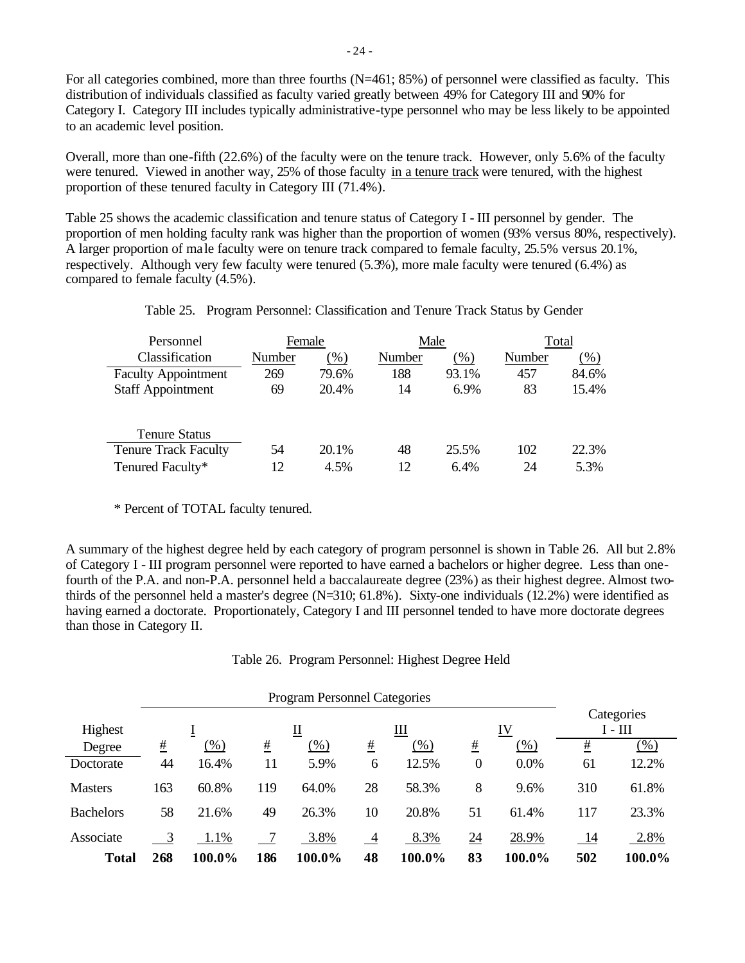For all categories combined, more than three fourths (N=461; 85%) of personnel were classified as faculty. This distribution of individuals classified as faculty varied greatly between 49% for Category III and 90% for Category I. Category III includes typically administrative-type personnel who may be less likely to be appointed to an academic level position.

Overall, more than one-fifth (22.6%) of the faculty were on the tenure track. However, only 5.6% of the faculty were tenured. Viewed in another way, 25% of those faculty in a tenure track were tenured, with the highest proportion of these tenured faculty in Category III (71.4%).

Table 25 shows the academic classification and tenure status of Category I - III personnel by gender. The proportion of men holding faculty rank was higher than the proportion of women (93% versus 80%, respectively). A larger proportion of ma le faculty were on tenure track compared to female faculty, 25.5% versus 20.1%, respectively. Although very few faculty were tenured (5.3%), more male faculty were tenured (6.4%) as compared to female faculty (4.5%).

| Personnel                   | Female |       | Male   |        | Total  |        |
|-----------------------------|--------|-------|--------|--------|--------|--------|
| Classification              | Number | (% )  | Number | $(\%)$ | Number | $(\%)$ |
| <b>Faculty Appointment</b>  | 269    | 79.6% | 188    | 93.1%  | 457    | 84.6%  |
| <b>Staff Appointment</b>    | 69     | 20.4% | 14     | 6.9%   | 83     | 15.4%  |
|                             |        |       |        |        |        |        |
| <b>Tenure Status</b>        |        |       |        |        |        |        |
| <b>Tenure Track Faculty</b> | 54     | 20.1% | 48     | 25.5%  | 102    | 22.3%  |
| Tenured Faculty*            | 12     | 4.5%  | 12     | 6.4%   | 24     | 5.3%   |

Table 25. Program Personnel: Classification and Tenure Track Status by Gender

\* Percent of TOTAL faculty tenured.

A summary of the highest degree held by each category of program personnel is shown in Table 26. All but 2.8% of Category I - III program personnel were reported to have earned a bachelors or higher degree. Less than onefourth of the P.A. and non-P.A. personnel held a baccalaureate degree (23%) as their highest degree. Almost twothirds of the personnel held a master's degree (N=310; 61.8%). Sixty-one individuals (12.2%) were identified as having earned a doctorate. Proportionately, Category I and III personnel tended to have more doctorate degrees than those in Category II.

|  | Table 26. Program Personnel: Highest Degree Held |  |  |
|--|--------------------------------------------------|--|--|
|  |                                                  |  |  |

|                  |              |        |                 | <b>Program Personnel Categories</b> |    |        |                  |                         |          |        |
|------------------|--------------|--------|-----------------|-------------------------------------|----|--------|------------------|-------------------------|----------|--------|
| Highest          | Щ<br>IV<br>Щ |        |                 |                                     |    |        |                  | Categories<br>$I - III$ |          |        |
| Degree           | #            | $(\%)$ | $\frac{\#}{\#}$ | $(\% )$                             | #  | $(\%)$ | #                | (% )                    | <u>#</u> | $(\%)$ |
| Doctorate        | 44           | 16.4%  | 11              | 5.9%                                | 6  | 12.5%  | $\boldsymbol{0}$ | 0.0%                    | 61       | 12.2%  |
| <b>Masters</b>   | 163          | 60.8%  | 119             | 64.0%                               | 28 | 58.3%  | 8                | 9.6%                    | 310      | 61.8%  |
| <b>Bachelors</b> | 58           | 21.6%  | 49              | 26.3%                               | 10 | 20.8%  | 51               | 61.4%                   | 117      | 23.3%  |
| Associate        |              | 1.1%   |                 | 3.8%                                | 4  | 8.3%   | $\underline{24}$ | 28.9%                   | -14      | 2.8%   |
| <b>Total</b>     | 268          | 100.0% | 186             | 100.0%                              | 48 | 100.0% | 83               | 100.0%                  | 502      | 100.0% |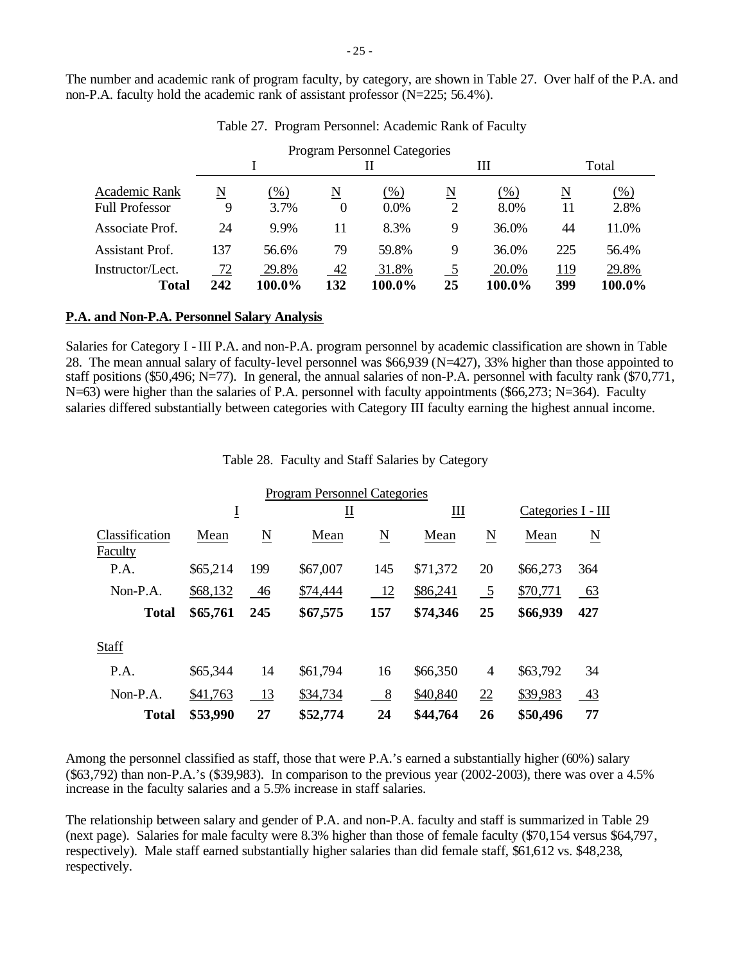The number and academic rank of program faculty, by category, are shown in Table 27. Over half of the P.A. and non-P.A. faculty hold the academic rank of assistant professor (N=225; 56.4%).

|                                  |           |                 |                          | <b>Program Personnel Categories</b> |                          |                 |            |                 |
|----------------------------------|-----------|-----------------|--------------------------|-------------------------------------|--------------------------|-----------------|------------|-----------------|
|                                  |           |                 | Н                        |                                     |                          | Ш               |            | Total           |
| Academic Rank                    | N         | $(\%)$          | $\underline{\mathbf{N}}$ | $(\%)$                              | $\underline{\mathbf{N}}$ | $(\%)$          | N          | $(\% )$         |
| <b>Full Professor</b>            | 9         | 3.7%            | $\theta$                 | 0.0%                                | 2                        | 8.0%            | 11         | 2.8%            |
| Associate Prof.                  | 24        | 9.9%            | 11                       | 8.3%                                | 9                        | 36.0%           | 44         | 11.0%           |
| Assistant Prof.                  | 137       | 56.6%           | 79                       | 59.8%                               | 9                        | 36.0%           | 225        | 56.4%           |
| Instructor/Lect.<br><b>Total</b> | 72<br>242 | 29.8%<br>100.0% | 42<br>132                | 31.8%<br>100.0%                     | 5<br>25                  | 20.0%<br>100.0% | 119<br>399 | 29.8%<br>100.0% |

Table 27. Program Personnel: Academic Rank of Faculty

#### **P.A. and Non-P.A. Personnel Salary Analysis**

Salaries for Category I - III P.A. and non-P.A. program personnel by academic classification are shown in Table 28. The mean annual salary of faculty-level personnel was \$66,939 (N=427), 33% higher than those appointed to staff positions (\$50,496; N=77). In general, the annual salaries of non-P.A. personnel with faculty rank (\$70,771, N=63) were higher than the salaries of P.A. personnel with faculty appointments (\$66,273; N=364). Faculty salaries differed substantially between categories with Category III faculty earning the highest annual income.

Table 28. Faculty and Staff Salaries by Category

|                           |          |     | <b>Program Personnel Categories</b> |                        |          |                          |                    |           |
|---------------------------|----------|-----|-------------------------------------|------------------------|----------|--------------------------|--------------------|-----------|
|                           | Ī        |     | ∐                                   |                        | Ш        |                          | Categories I - III |           |
| Classification<br>Faculty | Mean     | N   | Mean                                | $\underline{\text{N}}$ | Mean     | $\underline{\mathbf{N}}$ | Mean               | N         |
| P.A.                      | \$65,214 | 199 | \$67,007                            | 145                    | \$71,372 | 20                       | \$66,273           | 364       |
| $Non-P.A.$                | \$68,132 | 46  | \$74,444                            | 12                     | \$86,241 | $\overline{5}$           | \$70,771           | <u>63</u> |
| <b>Total</b>              | \$65,761 | 245 | \$67,575                            | 157                    | \$74,346 | 25                       | \$66,939           | 427       |
| Staff                     |          |     |                                     |                        |          |                          |                    |           |
| P.A.                      | \$65,344 | 14  | \$61,794                            | 16                     | \$66,350 | $\overline{4}$           | \$63,792           | 34        |
| $Non-P.A.$                | \$41,763 | 13  | \$34,734                            | 8                      | \$40,840 | 22                       | \$39,983           | 43        |
| <b>Total</b>              | \$53,990 | 27  | \$52,774                            | 24                     | \$44,764 | 26                       | \$50,496           | 77        |

Among the personnel classified as staff, those that were P.A.'s earned a substantially higher (60%) salary (\$63,792) than non-P.A.'s (\$39,983). In comparison to the previous year (2002-2003), there was over a 4.5% increase in the faculty salaries and a 5.5% increase in staff salaries.

The relationship between salary and gender of P.A. and non-P.A. faculty and staff is summarized in Table 29 (next page). Salaries for male faculty were 8.3% higher than those of female faculty (\$70,154 versus \$64,797, respectively). Male staff earned substantially higher salaries than did female staff, \$61,612 vs. \$48,238, respectively.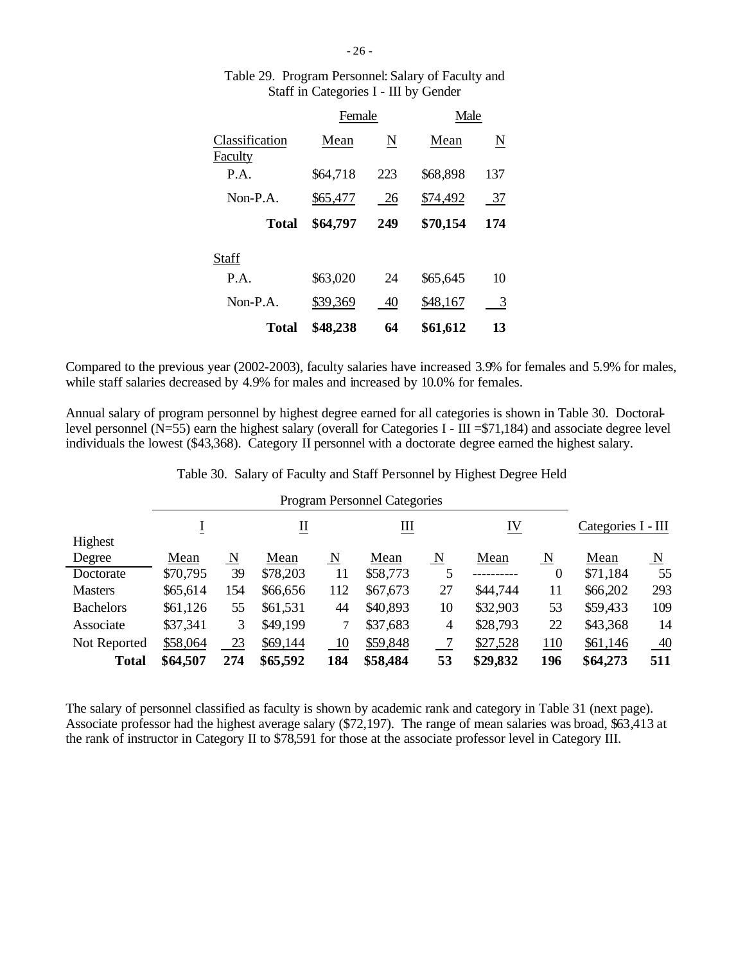|                           | Female   |     | Male     |     |
|---------------------------|----------|-----|----------|-----|
| Classification<br>Faculty | Mean     | N   | Mean     | N   |
| P.A.                      | \$64,718 | 223 | \$68,898 | 137 |
| Non-P.A.                  | \$65,477 | 26  | \$74,492 | 37  |
| Total                     | \$64,797 | 249 | \$70,154 | 174 |
| Staff                     |          |     |          |     |
| P.A.                      | \$63,020 | 24  | \$65,645 | 10  |
| Non-P.A.                  | \$39,369 | 40  | \$48,167 | 3   |
| Total                     | \$48,238 | 64  | \$61,612 | 13  |

# Table 29. Program Personnel: Salary of Faculty and Staff in Categories I - III by Gender

Compared to the previous year (2002-2003), faculty salaries have increased 3.9% for females and 5.9% for males, while staff salaries decreased by 4.9% for males and increased by 10.0% for females.

Annual salary of program personnel by highest degree earned for all categories is shown in Table 30. Doctorallevel personnel ( $N=55$ ) earn the highest salary (overall for Categories I - III = \$71,184) and associate degree level individuals the lowest (\$43,368). Category II personnel with a doctorate degree earned the highest salary.

| Table 30. Salary of Faculty and Staff Personnel by Highest Degree Held |  |  |  |  |
|------------------------------------------------------------------------|--|--|--|--|
|                                                                        |  |  |  |  |

|                  |          | <b>Program Personnel Categories</b> |                  |     |          |                         |           |                         |                    |                         |
|------------------|----------|-------------------------------------|------------------|-----|----------|-------------------------|-----------|-------------------------|--------------------|-------------------------|
|                  |          |                                     | $\overline{\Pi}$ |     | Щ        |                         | <u>IV</u> |                         | Categories I - III |                         |
| Highest          |          |                                     |                  |     |          |                         |           |                         |                    |                         |
| Degree           | Mean     | $\overline{\mathbf{N}}$             | Mean             | N   | Mean     | $\overline{\mathbf{N}}$ | Mean      | $\overline{\mathbf{N}}$ | Mean               | $\overline{\mathbf{N}}$ |
| Doctorate        | \$70,795 | 39                                  | \$78,203         | 11  | \$58,773 |                         |           | $\theta$                | \$71,184           | 55                      |
| <b>Masters</b>   | \$65,614 | 154                                 | \$66,656         | 112 | \$67,673 | 27                      | \$44,744  | 11                      | \$66,202           | 293                     |
| <b>Bachelors</b> | \$61,126 | 55                                  | \$61,531         | 44  | \$40,893 | 10                      | \$32,903  | 53                      | \$59,433           | 109                     |
| Associate        | \$37,341 | 3                                   | \$49,199         | 7   | \$37,683 | $\overline{4}$          | \$28,793  | 22                      | \$43,368           | 14                      |
| Not Reported     | \$58,064 | 23                                  | \$69,144         | 10  | \$59,848 |                         | \$27,528  | 110                     | \$61,146           | $\underline{40}$        |
| <b>Total</b>     | \$64,507 | 274                                 | \$65,592         | 184 | \$58,484 | 53                      | \$29,832  | 196                     | \$64,273           | 511                     |

The salary of personnel classified as faculty is shown by academic rank and category in Table 31 (next page). Associate professor had the highest average salary (\$72,197). The range of mean salaries was broad, \$63,413 at the rank of instructor in Category II to \$78,591 for those at the associate professor level in Category III.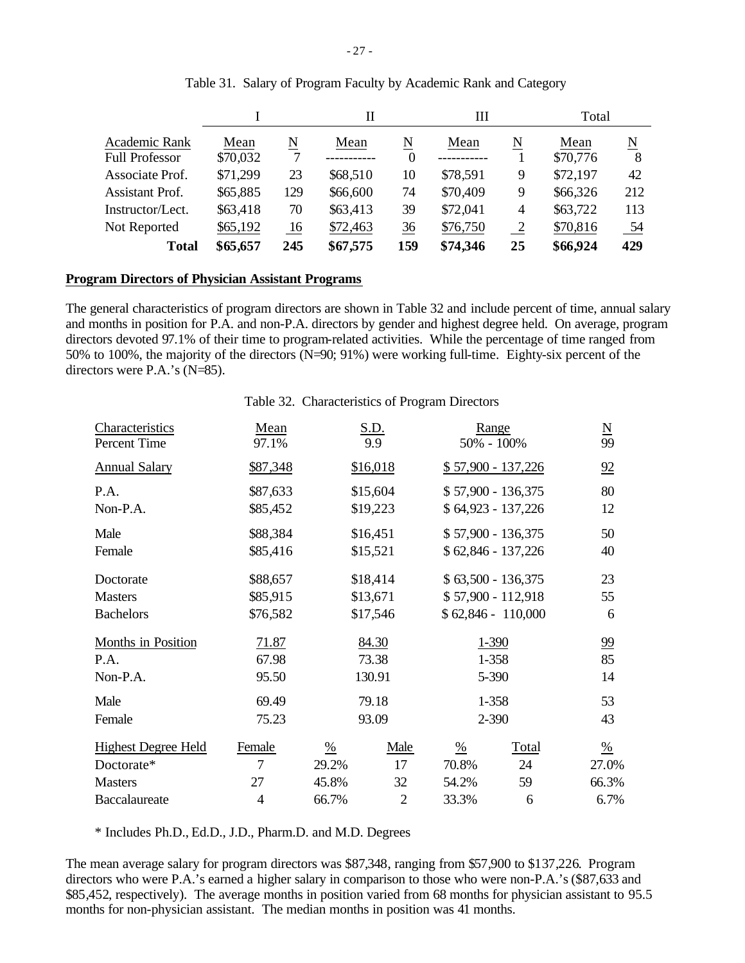|                                        |                  |        | П        |               | Ш        |                | Total            |        |
|----------------------------------------|------------------|--------|----------|---------------|----------|----------------|------------------|--------|
| Academic Rank<br><b>Full Professor</b> | Mean<br>\$70,032 | N<br>7 | Mean     | N<br>$\theta$ | Mean     | N              | Mean<br>\$70,776 | N<br>8 |
| Associate Prof.                        | \$71,299         | 23     | \$68,510 | 10            | \$78,591 | 9              | \$72,197         | 42     |
| <b>Assistant Prof.</b>                 | \$65,885         | 129    | \$66,600 | 74            | \$70,409 | 9              | \$66,326         | 212    |
| Instructor/Lect.                       | \$63,418         | 70     | \$63,413 | 39            | \$72,041 | $\overline{4}$ | \$63,722         | 113    |
| Not Reported                           | \$65,192         | 16     | \$72,463 | 36            | \$76,750 | $\overline{2}$ | \$70,816         | 54     |
| <b>Total</b>                           | \$65,657         | 245    | \$67,575 | 159           | \$74,346 | 25             | \$66,924         | 429    |

# Table 31. Salary of Program Faculty by Academic Rank and Category

#### **Program Directors of Physician Assistant Programs**

The general characteristics of program directors are shown in Table 32 and include percent of time, annual salary and months in position for P.A. and non-P.A. directors by gender and highest degree held. On average, program directors devoted 97.1% of their time to program-related activities. While the percentage of time ranged from 50% to 100%, the majority of the directors (N=90; 91%) were working full-time. Eighty-six percent of the directors were P.A.'s (N=85).

#### Table 32. Characteristics of Program Directors

| Characteristics<br>Percent Time | Mean<br>97.1%        |               | S.D.<br>9.9          | 50% - 100%    | Range                                     | $\frac{N}{99}$ |
|---------------------------------|----------------------|---------------|----------------------|---------------|-------------------------------------------|----------------|
| <b>Annual Salary</b>            | \$87,348             |               | \$16,018             |               | $$57,900 - 137,226$                       | 92             |
| P.A.<br>Non-P.A.                | \$87,633<br>\$85,452 |               | \$15,604<br>\$19,223 |               | \$57,900 - 136,375<br>\$64,923 - 137,226  | 80<br>12       |
| Male<br>Female                  | \$88,384<br>\$85,416 |               | \$16,451<br>\$15,521 |               | \$57,900 - 136,375<br>$$62,846 - 137,226$ | 50<br>40       |
| Doctorate                       | \$88,657             |               | \$18,414             |               | $$63,500 - 136,375$                       | 23             |
| <b>Masters</b>                  | \$85,915             |               | \$13,671             |               | $$57,900 - 112,918$                       | 55             |
| <b>Bachelors</b>                | \$76,582             |               | \$17,546             |               | $$62,846 - 110,000$                       | 6              |
| Months in Position              | 71.87                |               | 84.30                |               | 1-390                                     | $\frac{99}{2}$ |
| P.A.                            | 67.98                |               | 73.38                |               | 1-358                                     | 85             |
| Non-P.A.                        | 95.50                |               | 130.91               |               | 5-390                                     | 14             |
| Male                            | 69.49                |               | 79.18                |               | 1-358                                     | 53             |
| Female                          | 75.23                |               | 93.09                |               | $2 - 390$                                 | 43             |
| <b>Highest Degree Held</b>      | Female               | $\frac{0}{6}$ | Male                 | $\frac{0}{0}$ | Total                                     | $\frac{0}{6}$  |
| Doctorate*                      | 7                    | 29.2%         | 17                   | 70.8%         | 24                                        | 27.0%          |
| <b>Masters</b>                  | 27                   | 45.8%         | 32                   | 54.2%         | 59                                        | 66.3%          |
| Baccalaureate                   | 4                    | 66.7%         | $\overline{2}$       | 33.3%         | 6                                         | 6.7%           |

\* Includes Ph.D., Ed.D., J.D., Pharm.D. and M.D. Degrees

The mean average salary for program directors was \$87,348, ranging from \$57,900 to \$137,226. Program directors who were P.A.'s earned a higher salary in comparison to those who were non-P.A.'s (\$87,633 and \$85,452, respectively). The average months in position varied from 68 months for physician assistant to 95.5 months for non-physician assistant. The median months in position was 41 months.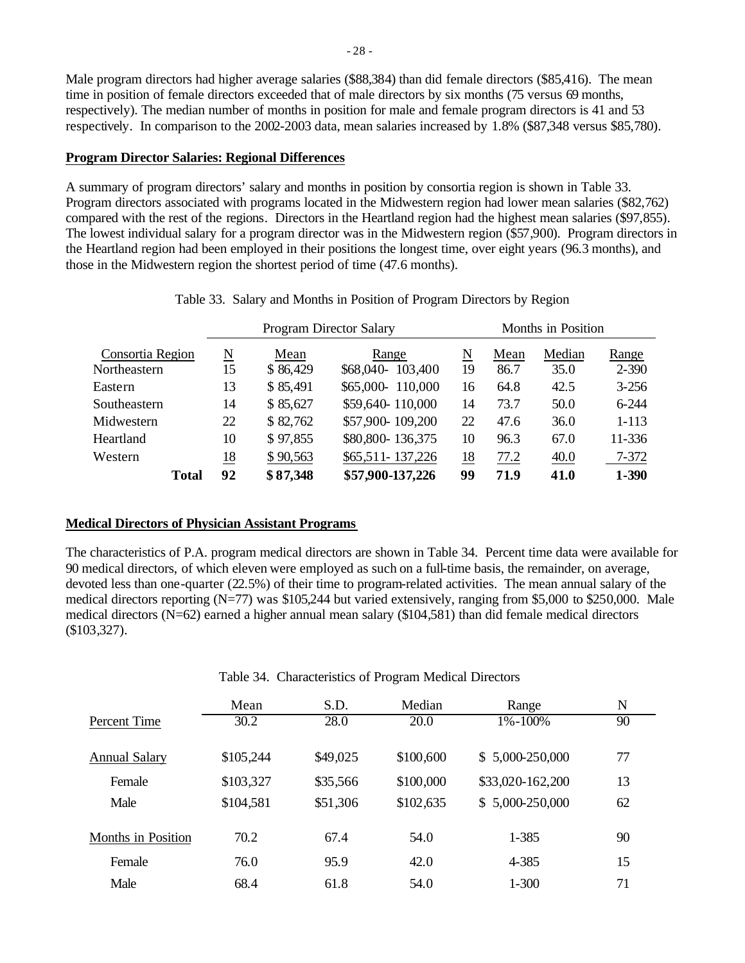Male program directors had higher average salaries (\$88,384) than did female directors (\$85,416). The mean time in position of female directors exceeded that of male directors by six months (75 versus 69 months, respectively). The median number of months in position for male and female program directors is 41 and 53 respectively. In comparison to the 2002-2003 data, mean salaries increased by 1.8% (\$87,348 versus \$85,780).

# **Program Director Salaries: Regional Differences**

A summary of program directors' salary and months in position by consortia region is shown in Table 33. Program directors associated with programs located in the Midwestern region had lower mean salaries (\$82,762) compared with the rest of the regions. Directors in the Heartland region had the highest mean salaries (\$97,855). The lowest individual salary for a program director was in the Midwestern region (\$57,900). Program directors in the Heartland region had been employed in their positions the longest time, over eight years (96.3 months), and those in the Midwestern region the shortest period of time (47.6 months).

|                  |                     |          | <b>Program Director Salary</b> | Months in Position |      |        |           |  |  |
|------------------|---------------------|----------|--------------------------------|--------------------|------|--------|-----------|--|--|
| Consortia Region | $\underline{\rm N}$ | Mean     | Range                          | N                  | Mean | Median | Range     |  |  |
| Northeastern     | 15                  | \$86,429 | \$68,040-<br>103,400           | 19                 | 86.7 | 35.0   | $2 - 390$ |  |  |
| Eastern          | 13                  | \$85,491 | \$65,000-110,000               | 16                 | 64.8 | 42.5   | $3 - 256$ |  |  |
| Southeastern     | 14                  | \$85,627 | \$59,640-110,000               | 14                 | 73.7 | 50.0   | $6 - 244$ |  |  |
| Midwestern       | 22                  | \$82,762 | \$57,900-109,200               | 22                 | 47.6 | 36.0   | $1 - 113$ |  |  |
| Heartland        | 10                  | \$97,855 | \$80,800-136,375               | 10                 | 96.3 | 67.0   | 11-336    |  |  |
| Western          | 18                  | \$90,563 | \$65,511-137,226               | <u>18</u>          | 77.2 | 40.0   | 7-372     |  |  |
| Total            | 92                  | \$87,348 | \$57,900-137,226               | 99                 | 71.9 | 41.0   | 1-390     |  |  |

Table 33. Salary and Months in Position of Program Directors by Region

# **Medical Directors of Physician Assistant Programs**

The characteristics of P.A. program medical directors are shown in Table 34. Percent time data were available for 90 medical directors, of which eleven were employed as such on a full-time basis, the remainder, on average, devoted less than one-quarter (22.5%) of their time to program-related activities. The mean annual salary of the medical directors reporting (N=77) was \$105,244 but varied extensively, ranging from \$5,000 to \$250,000. Male medical directors (N=62) earned a higher annual mean salary (\$104,581) than did female medical directors (\$103,327).

|                           | Mean      | S.D.     | Median    | Range            | N  |  |
|---------------------------|-----------|----------|-----------|------------------|----|--|
| Percent Time              | 30.2      | 28.0     | 20.0      | 1%-100%          | 90 |  |
| Annual Salary             | \$105,244 | \$49,025 | \$100,600 | $$5,000-250,000$ | 77 |  |
| Female                    | \$103,327 | \$35,566 | \$100,000 | \$33,020-162,200 | 13 |  |
| Male                      | \$104,581 | \$51,306 | \$102,635 | $$5,000-250,000$ | 62 |  |
| <b>Months in Position</b> | 70.2      | 67.4     | 54.0      | 1-385            | 90 |  |
| Female                    | 76.0      | 95.9     | 42.0      | 4-385            | 15 |  |
| Male                      | 68.4      | 61.8     | 54.0      | $1 - 300$        | 71 |  |

### Table 34. Characteristics of Program Medical Directors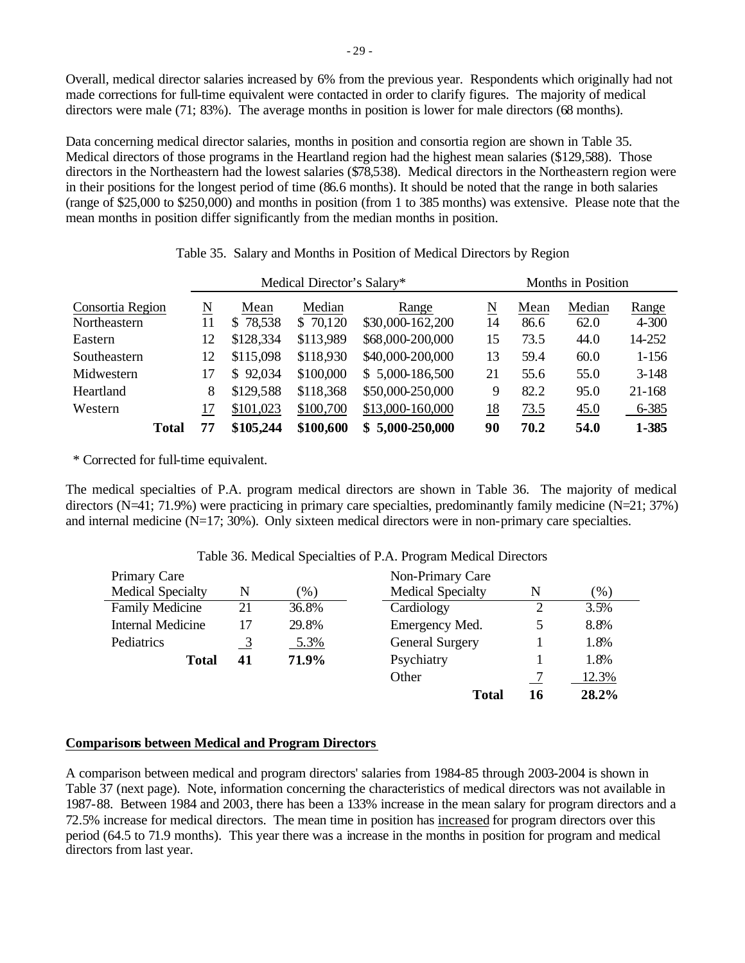Overall, medical director salaries increased by 6% from the previous year. Respondents which originally had not made corrections for full-time equivalent were contacted in order to clarify figures. The majority of medical directors were male (71; 83%). The average months in position is lower for male directors (68 months).

Data concerning medical director salaries, months in position and consortia region are shown in Table 35. Medical directors of those programs in the Heartland region had the highest mean salaries (\$129,588). Those directors in the Northeastern had the lowest salaries (\$78,538). Medical directors in the Northeastern region were in their positions for the longest period of time (86.6 months). It should be noted that the range in both salaries (range of \$25,000 to \$250,000) and months in position (from 1 to 385 months) was extensive. Please note that the mean months in position differ significantly from the median months in position.

|                  |    |           | Medical Director's Salary* |                  | Months in Position |      |        |           |  |
|------------------|----|-----------|----------------------------|------------------|--------------------|------|--------|-----------|--|
| Consortia Region | N  | Mean      | Median                     | Range            | N                  | Mean | Median | Range     |  |
| Northeastern     | 11 | \$78,538  | \$70,120                   | \$30,000-162,200 | 14                 | 86.6 | 62.0   | $4 - 300$ |  |
| Eastern          | 12 | \$128,334 | \$113,989                  | \$68,000-200,000 | 15                 | 73.5 | 44.0   | 14-252    |  |
| Southeastern     | 12 | \$115,098 | \$118,930                  | \$40,000-200,000 | 13                 | 59.4 | 60.0   | $1 - 156$ |  |
| Midwestern       | 17 | \$92,034  | \$100,000                  | \$5,000-186,500  | 21                 | 55.6 | 55.0   | $3 - 148$ |  |
| Heartland        | 8  | \$129,588 | \$118,368                  | \$50,000-250,000 | 9                  | 82.2 | 95.0   | 21-168    |  |
| Western          | 17 | \$101,023 | \$100,700                  | \$13,000-160,000 | 18                 | 73.5 | 45.0   | 6-385     |  |
| <b>Total</b>     | 77 | \$105,244 | \$100,600                  | $$5,000-250,000$ | 90                 | 70.2 | 54.0   | 1-385     |  |

| Table 35. Salary and Months in Position of Medical Directors by Region |  |  |  |
|------------------------------------------------------------------------|--|--|--|
|                                                                        |  |  |  |

\* Corrected for full-time equivalent.

The medical specialties of P.A. program medical directors are shown in Table 36. The majority of medical directors (N=41; 71.9%) were practicing in primary care specialties, predominantly family medicine (N=21; 37%) and internal medicine (N=17; 30%). Only sixteen medical directors were in non-primary care specialties.

| Primary Care                                              |    |        | Non-Primary Care         |    |       |
|-----------------------------------------------------------|----|--------|--------------------------|----|-------|
| <b>Medical Specialty</b>                                  | N  | $(\%)$ | <b>Medical Specialty</b> | N  | (% )  |
| <b>Family Medicine</b>                                    | 21 | 36.8%  | Cardiology               | 2  | 3.5%  |
| <b>Internal Medicine</b><br>29.8%<br>Emergency Med.<br>17 |    | 5      | 8.8%                     |    |       |
| Pediatrics                                                | 3  | 5.3%   | <b>General Surgery</b>   |    | 1.8%  |
| <b>Total</b>                                              | 41 | 71.9%  | Psychiatry               |    | 1.8%  |
|                                                           |    |        | Other                    |    | 12.3% |
|                                                           |    |        | Total                    | 16 | 28.2% |

# Table 36. Medical Specialties of P.A. Program Medical Directors

### **Comparisons between Medical and Program Directors**

A comparison between medical and program directors' salaries from 1984-85 through 2003-2004 is shown in Table 37 (next page). Note, information concerning the characteristics of medical directors was not available in 1987-88. Between 1984 and 2003, there has been a 133% increase in the mean salary for program directors and a 72.5% increase for medical directors. The mean time in position has increased for program directors over this period (64.5 to 71.9 months). This year there was a increase in the months in position for program and medical directors from last year.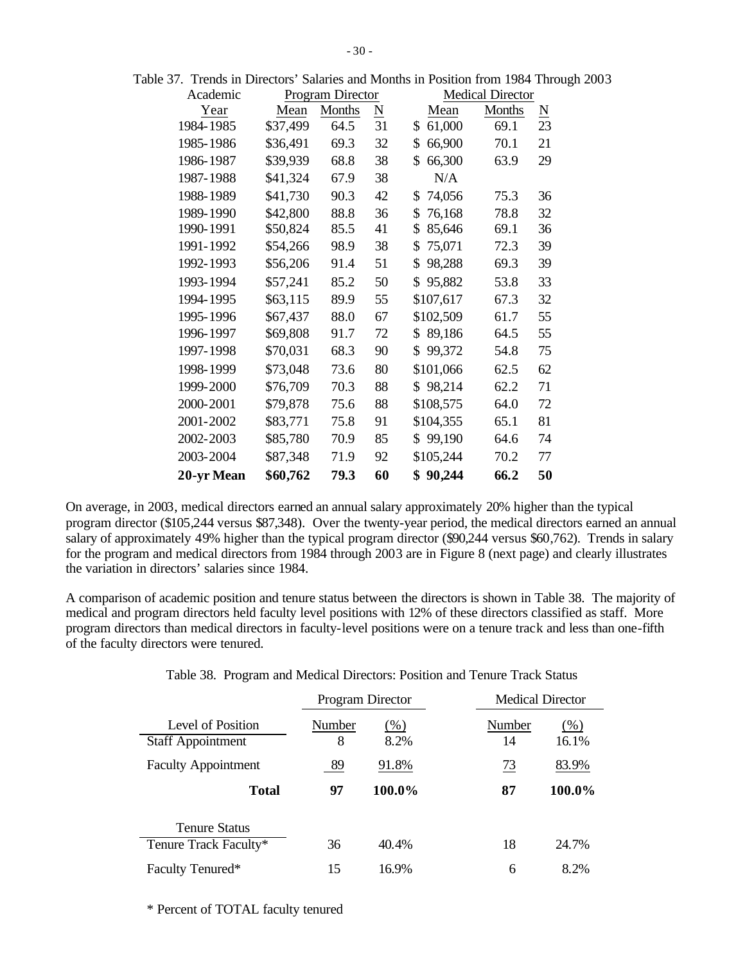| Academic   |          | Program Director |                     |              | <b>Medical Director</b> |                        |
|------------|----------|------------------|---------------------|--------------|-------------------------|------------------------|
| Year       | Mean     | Months           | $\underline{\rm N}$ | Mean         | <b>Months</b>           | $\underline{\text{N}}$ |
| 1984-1985  | \$37,499 | 64.5             | 31                  | 61,000<br>\$ | 69.1                    | 23                     |
| 1985-1986  | \$36,491 | 69.3             | 32                  | \$<br>66,900 | 70.1                    | 21                     |
| 1986-1987  | \$39,939 | 68.8             | 38                  | \$<br>66,300 | 63.9                    | 29                     |
| 1987-1988  | \$41,324 | 67.9             | 38                  | N/A          |                         |                        |
| 1988-1989  | \$41,730 | 90.3             | 42                  | 74,056<br>\$ | 75.3                    | 36                     |
| 1989-1990  | \$42,800 | 88.8             | 36                  | \$<br>76,168 | 78.8                    | 32                     |
| 1990-1991  | \$50,824 | 85.5             | 41                  | \$<br>85,646 | 69.1                    | 36                     |
| 1991-1992  | \$54,266 | 98.9             | 38                  | 75,071<br>\$ | 72.3                    | 39                     |
| 1992-1993  | \$56,206 | 91.4             | 51                  | \$<br>98,288 | 69.3                    | 39                     |
| 1993-1994  | \$57,241 | 85.2             | 50                  | 95,882<br>\$ | 53.8                    | 33                     |
| 1994-1995  | \$63,115 | 89.9             | 55                  | \$107,617    | 67.3                    | 32                     |
| 1995-1996  | \$67,437 | 88.0             | 67                  | \$102,509    | 61.7                    | 55                     |
| 1996-1997  | \$69,808 | 91.7             | 72                  | 89,186<br>\$ | 64.5                    | 55                     |
| 1997-1998  | \$70,031 | 68.3             | 90                  | \$<br>99,372 | 54.8                    | 75                     |
| 1998-1999  | \$73,048 | 73.6             | 80                  | \$101,066    | 62.5                    | 62                     |
| 1999-2000  | \$76,709 | 70.3             | 88                  | \$98,214     | 62.2                    | 71                     |
| 2000-2001  | \$79,878 | 75.6             | 88                  | \$108,575    | 64.0                    | 72                     |
| 2001-2002  | \$83,771 | 75.8             | 91                  | \$104,355    | 65.1                    | 81                     |
| 2002-2003  | \$85,780 | 70.9             | 85                  | \$99,190     | 64.6                    | 74                     |
| 2003-2004  | \$87,348 | 71.9             | 92                  | \$105,244    | 70.2                    | 77                     |
| 20-yr Mean | \$60,762 | 79.3             | 60                  | 90,244       | 66.2                    | 50                     |

Table 37. Trends in Directors' Salaries and Months in Position from 1984 Through 2003

On average, in 2003, medical directors earned an annual salary approximately 20% higher than the typical program director (\$105,244 versus \$87,348). Over the twenty-year period, the medical directors earned an annual salary of approximately 49% higher than the typical program director (\$90,244 versus \$60,762). Trends in salary for the program and medical directors from 1984 through 2003 are in Figure 8 (next page) and clearly illustrates the variation in directors' salaries since 1984.

A comparison of academic position and tenure status between the directors is shown in Table 38. The majority of medical and program directors held faculty level positions with 12% of these directors classified as staff. More program directors than medical directors in faculty-level positions were on a tenure track and less than one-fifth of the faculty directors were tenured.

|  |  |  |  |  |  | Table 38. Program and Medical Directors: Position and Tenure Track Status |
|--|--|--|--|--|--|---------------------------------------------------------------------------|
|--|--|--|--|--|--|---------------------------------------------------------------------------|

|                                               | Program Director |                |              | <b>Medical Director</b> |                 |
|-----------------------------------------------|------------------|----------------|--------------|-------------------------|-----------------|
| Level of Position<br><b>Staff Appointment</b> | Number<br>8      | $(\%)$<br>8.2% | Number<br>14 |                         | $(\%)$<br>16.1% |
| <b>Faculty Appointment</b>                    | 89               | 91.8%          |              | 73                      | 83.9%           |
| <b>Total</b>                                  | 97               | 100.0%         |              | 87                      | 100.0%          |
| <b>Tenure Status</b><br>Tenure Track Faculty* | 36               | 40.4%          |              | 18                      | 24.7%           |
| Faculty Tenured*                              | 15               | 16.9%          |              | 6                       | 8.2%            |

\* Percent of TOTAL faculty tenured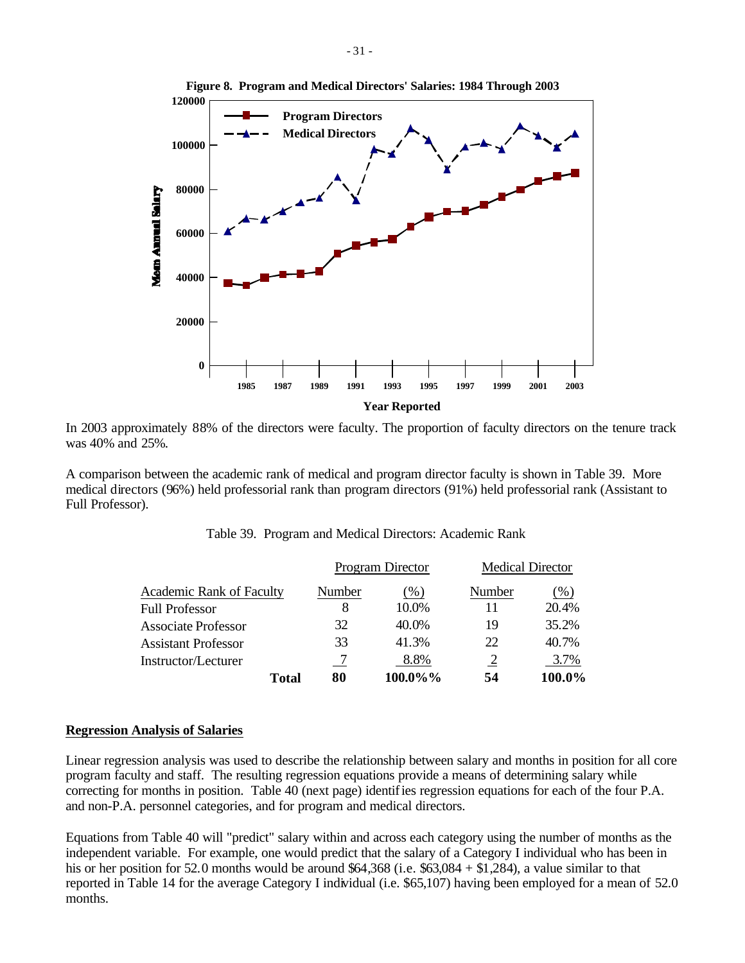

In 2003 approximately 88% of the directors were faculty. The proportion of faculty directors on the tenure track was 40% and 25%.

A comparison between the academic rank of medical and program director faculty is shown in Table 39. More medical directors (96%) held professorial rank than program directors (91%) held professorial rank (Assistant to Full Professor).

|                                 |        | Program Director | <b>Medical Director</b> |        |
|---------------------------------|--------|------------------|-------------------------|--------|
| <b>Academic Rank of Faculty</b> | Number | $($ %)           | Number                  | (%)    |
| <b>Full Professor</b>           | 8      | 10.0%            |                         | 20.4%  |
| <b>Associate Professor</b>      | 32     | 40.0%            | 19                      | 35.2%  |
| <b>Assistant Professor</b>      | 33     | 41.3%            | 22                      | 40.7%  |
| Instructor/Lecturer             |        | 8.8%             | 2                       | 3.7%   |
| <b>Total</b>                    | 80     | 100.0%%          | 54                      | 100.0% |

|  | Table 39. Program and Medical Directors: Academic Rank |  |  |  |  |
|--|--------------------------------------------------------|--|--|--|--|
|--|--------------------------------------------------------|--|--|--|--|

### **Regression Analysis of Salaries**

Linear regression analysis was used to describe the relationship between salary and months in position for all core program faculty and staff. The resulting regression equations provide a means of determining salary while correcting for months in position. Table 40 (next page) identifies regression equations for each of the four P.A. and non-P.A. personnel categories, and for program and medical directors.

Equations from Table 40 will "predict" salary within and across each category using the number of months as the independent variable. For example, one would predict that the salary of a Category I individual who has been in his or her position for 52.0 months would be around \$64,368 (i.e. \$63,084 + \$1,284), a value similar to that reported in Table 14 for the average Category I individual (i.e. \$65,107) having been employed for a mean of 52.0 months.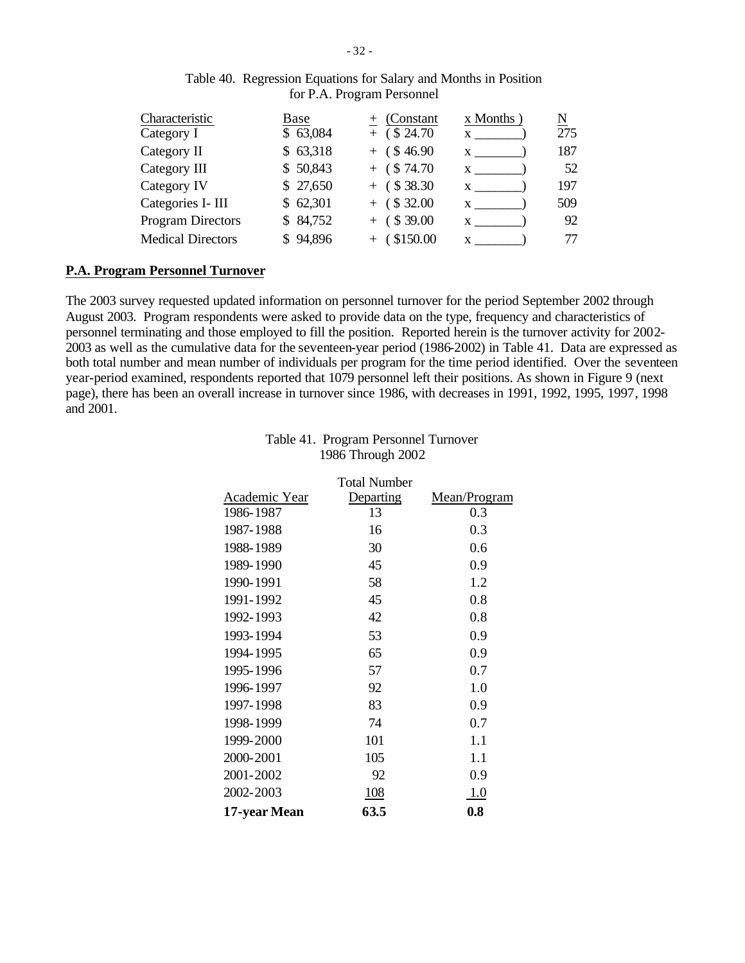| Characteristic           | Base      | (Constant)     | $x$ Months   | $\underline{\text{N}}$ |
|--------------------------|-----------|----------------|--------------|------------------------|
| Category I               | \$63,084  | $+$ (\$ 24.70) |              | 275                    |
| Category II              | \$63,318  | $+$ (\$46.90)  | $\mathbf{X}$ | 187                    |
| Category III             | \$50,843  | $+$ (\$74.70)  | $\mathbf{X}$ | 52                     |
| Category IV              | \$ 27,650 | $+$ (\$38.30)  |              | 197                    |
| Categories I- III        | \$62,301  | $+$ (\$32.00   | X            | 509                    |
| <b>Program Directors</b> | \$84,752  | $+$ (\$39.00   | $\mathbf{X}$ | 92                     |
| <b>Medical Directors</b> | \$94,896  | $+$ (\$150.00  | X            | 77                     |

#### Table 40. Regression Equations for Salary and Months in Position for P.A. Program Personnel

## **P.A. Program Personnel Turnover**

The 2003 survey requested updated information on personnel turnover for the period September 2002 through August 2003. Program respondents were asked to provide data on the type, frequency and characteristics of personnel terminating and those employed to fill the position. Reported herein is the turnover activity for 2002- 2003 as well as the cumulative data for the seventeen-year period (1986-2002) in Table 41. Data are expressed as both total number and mean number of individuals per program for the time period identified. Over the seventeen year-period examined, respondents reported that 1079 personnel left their positions. As shown in Figure 9 (next page), there has been an overall increase in turnover since 1986, with decreases in 1991, 1992, 1995, 1997, 1998 and 2001.

|               | <b>Total Number</b> |              |
|---------------|---------------------|--------------|
| Academic Year | Departing           | Mean/Program |
| 1986-1987     | 13                  | 0.3          |
| 1987-1988     | 16                  | 0.3          |
| 1988-1989     | 30                  | 0.6          |
| 1989-1990     | 45                  | 0.9          |
| 1990-1991     | 58                  | 1.2          |
| 1991-1992     | 45                  | 0.8          |
| 1992-1993     | 42                  | 0.8          |
| 1993-1994     | 53                  | 0.9          |
| 1994-1995     | 65                  | 0.9          |
| 1995-1996     | 57                  | 0.7          |
| 1996-1997     | 92                  | 1.0          |
| 1997-1998     | 83                  | 0.9          |
| 1998-1999     | 74                  | 0.7          |
| 1999-2000     | 101                 | 1.1          |
| 2000-2001     | 105                 | 1.1          |
| 2001-2002     | 92                  | 0.9          |
| 2002-2003     | 108                 | 1.0          |
| 17-year Mean  | 63.5                | 0.8          |

## Table 41. Program Personnel Turnover 1986 Through 2002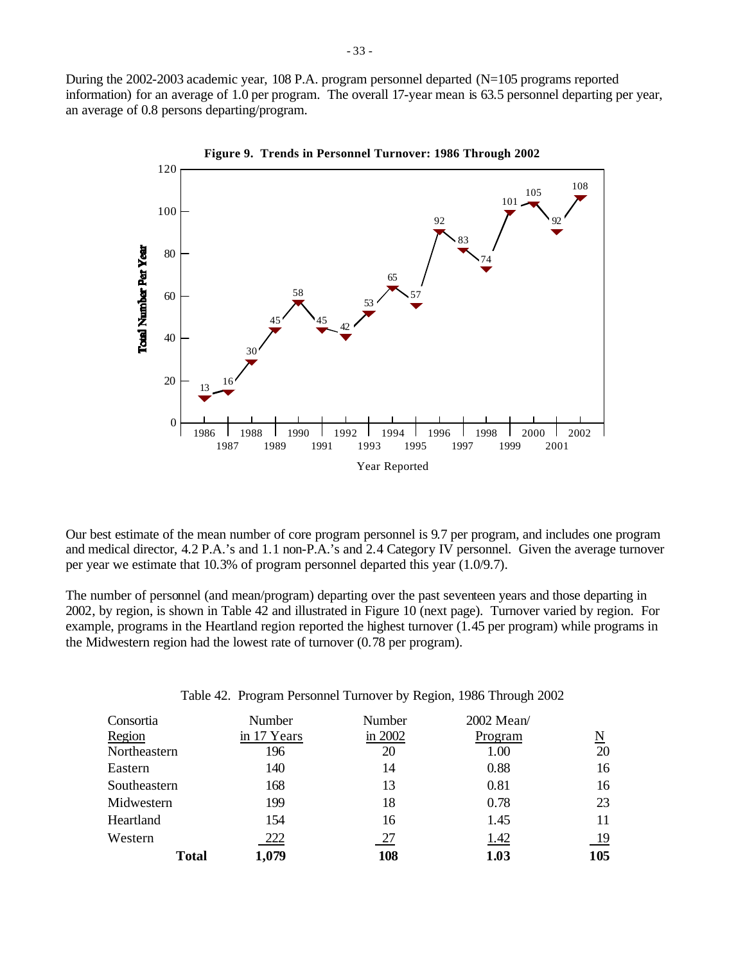During the 2002-2003 academic year, 108 P.A. program personnel departed (N=105 programs reported information) for an average of 1.0 per program. The overall 17-year mean is 63.5 personnel departing per year, an average of 0.8 persons departing/program.



Our best estimate of the mean number of core program personnel is 9.7 per program, and includes one program and medical director, 4.2 P.A.'s and 1.1 non-P.A.'s and 2.4 Category IV personnel. Given the average turnover per year we estimate that 10.3% of program personnel departed this year (1.0/9.7).

The number of personnel (and mean/program) departing over the past seventeen years and those departing in 2002, by region, is shown in Table 42 and illustrated in Figure 10 (next page). Turnover varied by region. For example, programs in the Heartland region reported the highest turnover (1.45 per program) while programs in the Midwestern region had the lowest rate of turnover (0.78 per program).

Table 42. Program Personnel Turnover by Region, 1986 Through 2002

| Consortia    | Number      | Number  | 2002 Mean/  |           |
|--------------|-------------|---------|-------------|-----------|
| Region       | in 17 Years | in 2002 | Program     | N         |
| Northeastern | 196         | 20      | 1.00        | 20        |
| Eastern      | 140         | 14      | 0.88        | 16        |
| Southeastern | 168         | 13      | 0.81        | 16        |
| Midwestern   | 199         | 18      | 0.78        | 23        |
| Heartland    | 154         | 16      | 1.45        | 11        |
| Western      | 222         | 27      | <u>1.42</u> | <u>19</u> |
| <b>Total</b> | 1,079       | 108     | 1.03        | 105       |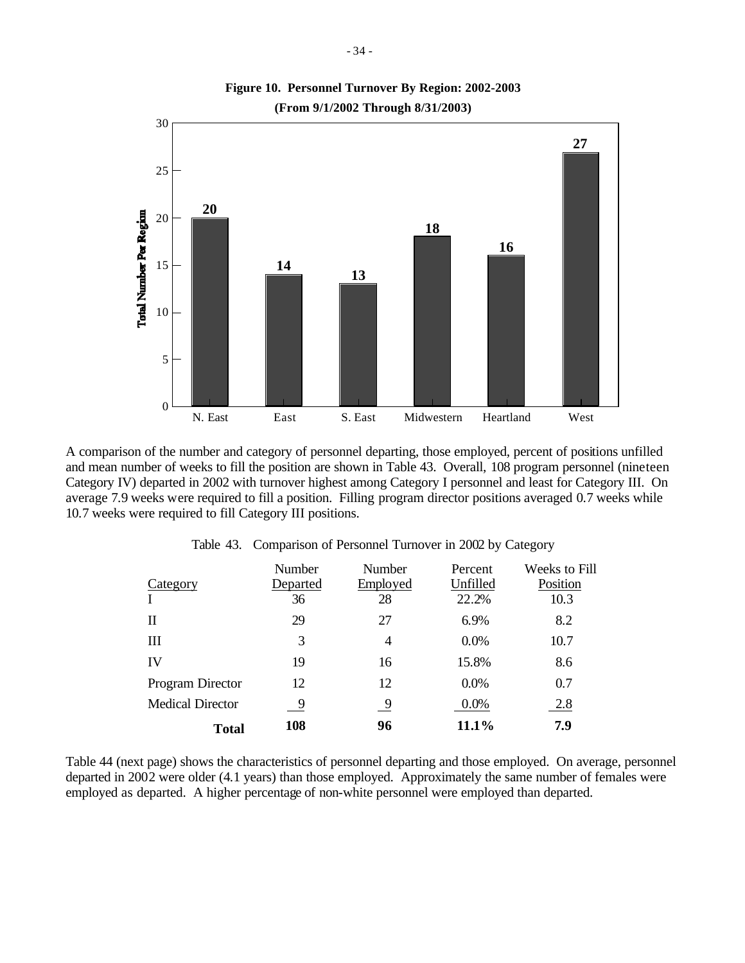

A comparison of the number and category of personnel departing, those employed, percent of positions unfilled and mean number of weeks to fill the position are shown in Table 43. Overall, 108 program personnel (nineteen Category IV) departed in 2002 with turnover highest among Category I personnel and least for Category III. On average 7.9 weeks were required to fill a position. Filling program director positions averaged 0.7 weeks while 10.7 weeks were required to fill Category III positions.

|                         | Number   | Number   | Percent  | Weeks to Fill |
|-------------------------|----------|----------|----------|---------------|
| Category                | Departed | Employed | Unfilled | Position      |
|                         | 36       | 28       | 22.2%    | 10.3          |
| Н                       | 29       | 27       | 6.9%     | 8.2           |
| Ш                       | 3        | 4        | 0.0%     | 10.7          |
| IV                      | 19       | 16       | 15.8%    | 8.6           |
| Program Director        | 12       | 12       | 0.0%     | 0.7           |
| <b>Medical Director</b> | 9        | -9       | 0.0%     | 2.8           |
| Total                   | 108      | 96       | 11.1%    | 7.9           |

Table 43. Comparison of Personnel Turnover in 2002 by Category

Table 44 (next page) shows the characteristics of personnel departing and those employed. On average, personnel departed in 2002 were older (4.1 years) than those employed. Approximately the same number of females were employed as departed. A higher percentage of non-white personnel were employed than departed.

**Figure 10. Personnel Turnover By Region: 2002-2003**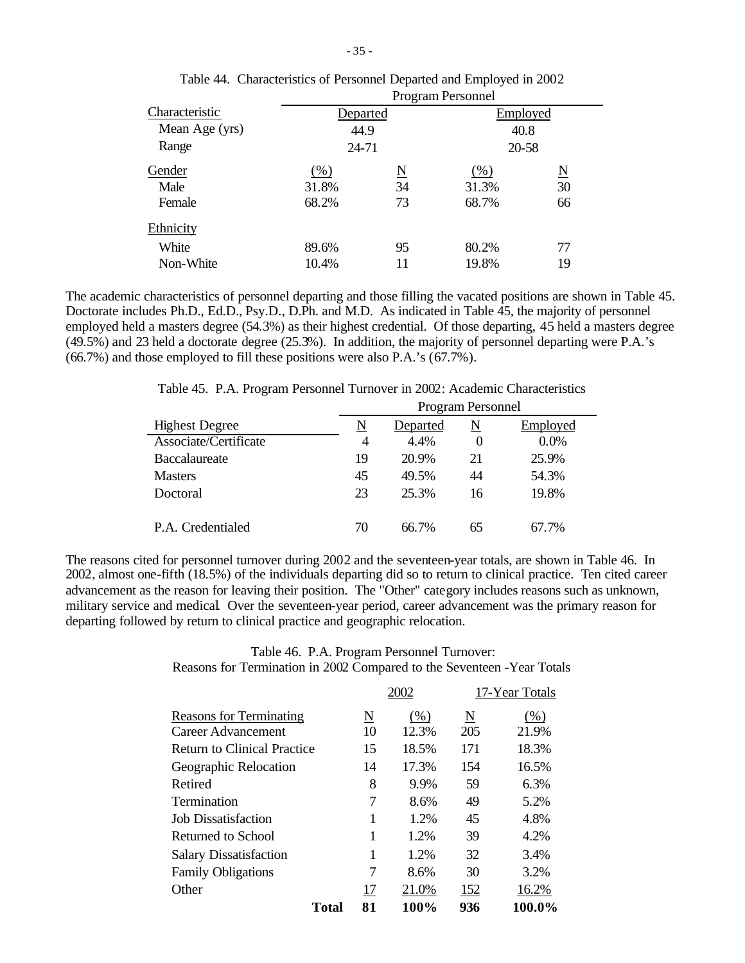|                |          |                     | <b>Program Personnel</b> |                     |  |
|----------------|----------|---------------------|--------------------------|---------------------|--|
| Characteristic | Departed |                     | Employed                 |                     |  |
| Mean Age (yrs) | 44.9     |                     | 40.8                     |                     |  |
| Range          |          | 24-71<br>20-58      |                          |                     |  |
| Gender         | $(\%)$   | $\underline{\rm N}$ | $(\%)$                   | $\underline{\rm N}$ |  |
| Male           | 31.8%    | 34                  | 31.3%                    | 30                  |  |
| Female         | 68.2%    | 73                  | 68.7%                    | 66                  |  |
| Ethnicity      |          |                     |                          |                     |  |
| White          | 89.6%    | 95                  | 80.2%                    | 77                  |  |
| Non-White      | 10.4%    | 11                  | 19.8%                    | 19                  |  |
|                |          |                     |                          |                     |  |

| Table 44. Characteristics of Personnel Departed and Employed in 2002 |
|----------------------------------------------------------------------|
| Drogman Dorsonnal                                                    |

The academic characteristics of personnel departing and those filling the vacated positions are shown in Table 45. Doctorate includes Ph.D., Ed.D., Psy.D., D.Ph. and M.D. As indicated in Table 45, the majority of personnel employed held a masters degree (54.3%) as their highest credential. Of those departing, 45 held a masters degree (49.5%) and 23 held a doctorate degree (25.3%). In addition, the majority of personnel departing were P.A.'s (66.7%) and those employed to fill these positions were also P.A.'s (67.7%).

Table 45. P.A. Program Personnel Turnover in 2002: Academic Characteristics

| Program Personnel |          |          |          |  |  |  |
|-------------------|----------|----------|----------|--|--|--|
| N                 | Departed | N        | Employed |  |  |  |
| 4                 | 4.4%     | $\theta$ | 0.0%     |  |  |  |
| 19                | 20.9%    | 21       | 25.9%    |  |  |  |
| 45                | 49.5%    | 44       | 54.3%    |  |  |  |
| 23                | 25.3%    | 16       | 19.8%    |  |  |  |
|                   |          |          |          |  |  |  |
| 70                | 66.7%    | 65       | 67.7%    |  |  |  |
|                   |          |          |          |  |  |  |

The reasons cited for personnel turnover during 2002 and the seventeen-year totals, are shown in Table 46. In 2002, almost one-fifth (18.5%) of the individuals departing did so to return to clinical practice. Ten cited career advancement as the reason for leaving their position. The "Other" category includes reasons such as unknown, military service and medical. Over the seventeen-year period, career advancement was the primary reason for departing followed by return to clinical practice and geographic relocation.

## Table 46. P.A. Program Personnel Turnover: Reasons for Termination in 2002 Compared to the Seventeen -Year Totals

|                                    |          | 2002  |     | 17-Year Totals |
|------------------------------------|----------|-------|-----|----------------|
| <b>Reasons for Terminating</b>     | <u>N</u> | (% )  | N   | (%)            |
| Career Advancement                 | 10       | 12.3% | 205 | 21.9%          |
| <b>Return to Clinical Practice</b> | 15       | 18.5% | 171 | 18.3%          |
| Geographic Relocation              | 14       | 17.3% | 154 | 16.5%          |
| Retired                            | 8        | 9.9%  | 59  | 6.3%           |
| Termination                        | 7        | 8.6%  | 49  | 5.2%           |
| <b>Job Dissatisfaction</b>         | 1        | 1.2%  | 45  | 4.8%           |
| Returned to School                 | 1        | 1.2%  | 39  | 4.2%           |
| <b>Salary Dissatisfaction</b>      | 1        | 1.2%  | 32  | 3.4%           |
| <b>Family Obligations</b>          | 7        | 8.6%  | 30  | 3.2%           |
| Other                              | 17       | 21.0% | 152 | 16.2%          |
| Total                              | 81       | 100%  | 936 | 100.0%         |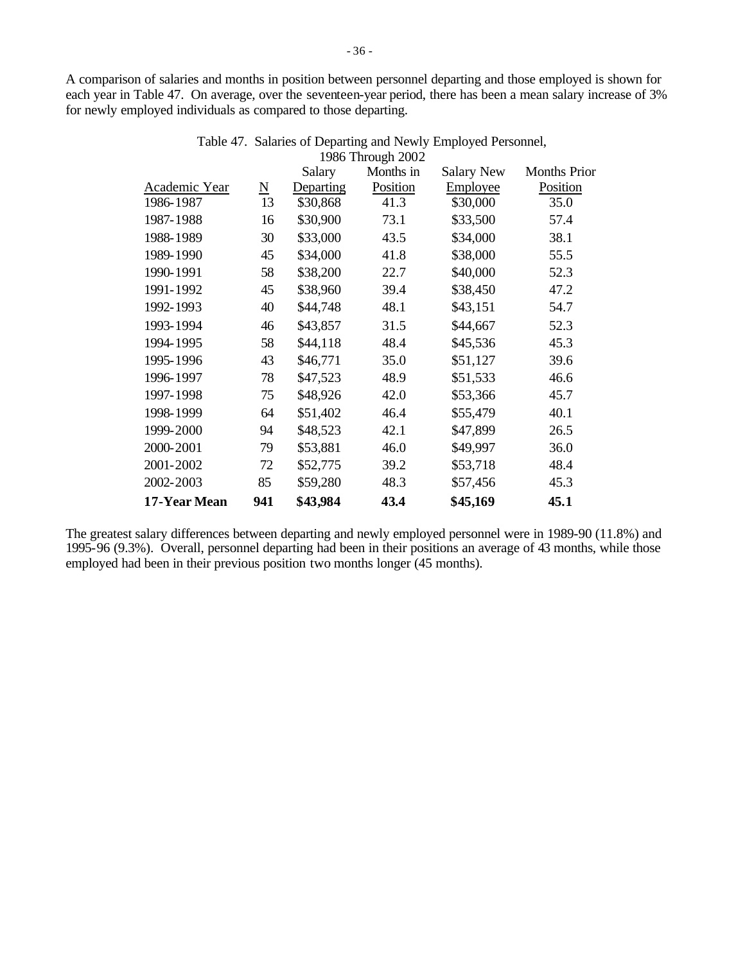A comparison of salaries and months in position between personnel departing and those employed is shown for each year in Table 47. On average, over the seventeen-year period, there has been a mean salary increase of 3% for newly employed individuals as compared to those departing.

|               |                          | Salary    | $1700$ THOUGH $2002$<br>Months in | <b>Salary New</b> | <b>Months Prior</b> |
|---------------|--------------------------|-----------|-----------------------------------|-------------------|---------------------|
| Academic Year | $\underline{\mathbf{N}}$ | Departing | Position                          | Employee          | Position            |
| 1986-1987     | 13                       | \$30,868  | 41.3                              | \$30,000          | 35.0                |
| 1987-1988     | 16                       | \$30,900  | 73.1                              | \$33,500          | 57.4                |
| 1988-1989     | 30                       | \$33,000  | 43.5                              | \$34,000          | 38.1                |
| 1989-1990     | 45                       | \$34,000  | 41.8                              | \$38,000          | 55.5                |
| 1990-1991     | 58                       | \$38,200  | 22.7                              | \$40,000          | 52.3                |
| 1991-1992     | 45                       | \$38,960  | 39.4                              | \$38,450          | 47.2                |
| 1992-1993     | 40                       | \$44,748  | 48.1                              | \$43,151          | 54.7                |
| 1993-1994     | 46                       | \$43,857  | 31.5                              | \$44,667          | 52.3                |
| 1994-1995     | 58                       | \$44,118  | 48.4                              | \$45,536          | 45.3                |
| 1995-1996     | 43                       | \$46,771  | 35.0                              | \$51,127          | 39.6                |
| 1996-1997     | 78                       | \$47,523  | 48.9                              | \$51,533          | 46.6                |
| 1997-1998     | 75                       | \$48,926  | 42.0                              | \$53,366          | 45.7                |
| 1998-1999     | 64                       | \$51,402  | 46.4                              | \$55,479          | 40.1                |
| 1999-2000     | 94                       | \$48,523  | 42.1                              | \$47,899          | 26.5                |
| 2000-2001     | 79                       | \$53,881  | 46.0                              | \$49,997          | 36.0                |
| 2001-2002     | 72                       | \$52,775  | 39.2                              | \$53,718          | 48.4                |
| 2002-2003     | 85                       | \$59,280  | 48.3                              | \$57,456          | 45.3                |
| 17-Year Mean  | 941                      | \$43,984  | 43.4                              | \$45,169          | 45.1                |

Table 47. Salaries of Departing and Newly Employed Personnel, 1986 Through 2002

The greatest salary differences between departing and newly employed personnel were in 1989-90 (11.8%) and 1995-96 (9.3%). Overall, personnel departing had been in their positions an average of 43 months, while those employed had been in their previous position two months longer (45 months).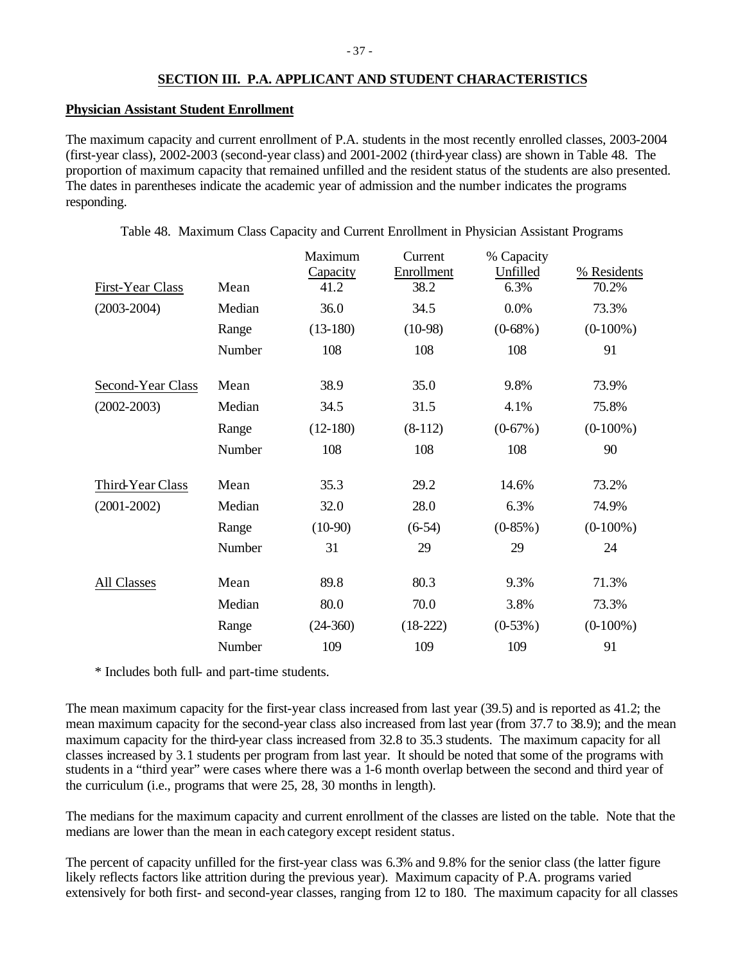# **SECTION III. P.A. APPLICANT AND STUDENT CHARACTERISTICS**

## **Physician Assistant Student Enrollment**

The maximum capacity and current enrollment of P.A. students in the most recently enrolled classes, 2003-2004 (first-year class), 2002-2003 (second-year class) and 2001-2002 (third-year class) are shown in Table 48. The proportion of maximum capacity that remained unfilled and the resident status of the students are also presented. The dates in parentheses indicate the academic year of admission and the number indicates the programs responding.

|        | Maximum<br>Capacity | Current<br>Enrollment | % Capacity<br>Unfilled | % Residents |
|--------|---------------------|-----------------------|------------------------|-------------|
|        |                     |                       |                        | 70.2%       |
| Median | 36.0                | 34.5                  | 0.0%                   | 73.3%       |
| Range  | $(13-180)$          | $(10-98)$             | $(0-68\%)$             | $(0-100\%)$ |
| Number | 108                 | 108                   | 108                    | 91          |
| Mean   | 38.9                | 35.0                  | 9.8%                   | 73.9%       |
| Median | 34.5                | 31.5                  | 4.1%                   | 75.8%       |
| Range  | $(12-180)$          | $(8-112)$             | $(0-67\%)$             | $(0-100\%)$ |
| Number | 108                 | 108                   | 108                    | 90          |
| Mean   | 35.3                | 29.2                  | 14.6%                  | 73.2%       |
| Median | 32.0                | 28.0                  | 6.3%                   | 74.9%       |
| Range  | $(10-90)$           | $(6-54)$              | $(0-85\%)$             | $(0-100\%)$ |
| Number | 31                  | 29                    | 29                     | 24          |
| Mean   | 89.8                | 80.3                  | 9.3%                   | 71.3%       |
| Median | 80.0                | 70.0                  | 3.8%                   | 73.3%       |
| Range  | $(24-360)$          | $(18-222)$            | $(0-53%)$              | $(0-100\%)$ |
| Number | 109                 | 109                   | 109                    | 91          |
|        | Mean                | 41.2                  | 38.2                   | 6.3%        |

\* Includes both full- and part-time students.

The mean maximum capacity for the first-year class increased from last year (39.5) and is reported as 41.2; the mean maximum capacity for the second-year class also increased from last year (from 37.7 to 38.9); and the mean maximum capacity for the third-year class increased from 32.8 to 35.3 students. The maximum capacity for all classes increased by 3.1 students per program from last year. It should be noted that some of the programs with students in a "third year" were cases where there was a 1-6 month overlap between the second and third year of the curriculum (i.e., programs that were 25, 28, 30 months in length).

The medians for the maximum capacity and current enrollment of the classes are listed on the table. Note that the medians are lower than the mean in each category except resident status.

The percent of capacity unfilled for the first-year class was 6.3% and 9.8% for the senior class (the latter figure likely reflects factors like attrition during the previous year). Maximum capacity of P.A. programs varied extensively for both first- and second-year classes, ranging from 12 to 180. The maximum capacity for all classes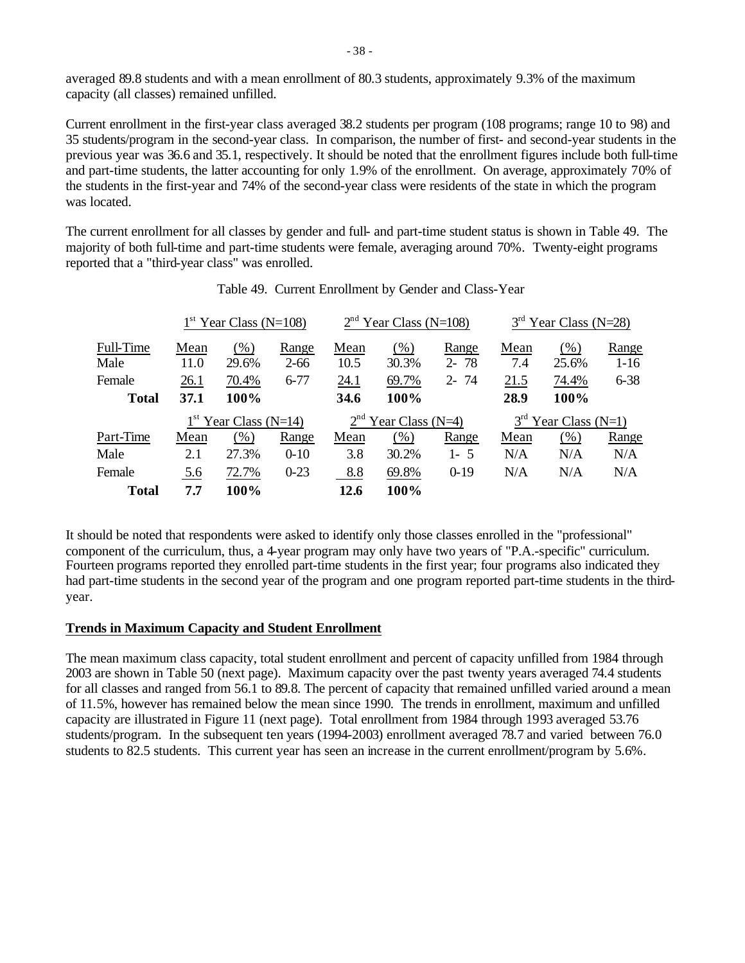averaged 89.8 students and with a mean enrollment of 80.3 students, approximately 9.3% of the maximum capacity (all classes) remained unfilled.

Current enrollment in the first-year class averaged 38.2 students per program (108 programs; range 10 to 98) and 35 students/program in the second-year class. In comparison, the number of first- and second-year students in the previous year was 36.6 and 35.1, respectively. It should be noted that the enrollment figures include both full-time and part-time students, the latter accounting for only 1.9% of the enrollment. On average, approximately 70% of the students in the first-year and 74% of the second-year class were residents of the state in which the program was located.

The current enrollment for all classes by gender and full- and part-time student status is shown in Table 49. The majority of both full-time and part-time students were female, averaging around 70%. Twenty-eight programs reported that a "third-year class" was enrolled.

|              | $1st$ Year Class (N=108) |                         |          | $2nd$ Year Class (N=108) |                        |          | $3rd$ Year Class (N=28) |                        |          |
|--------------|--------------------------|-------------------------|----------|--------------------------|------------------------|----------|-------------------------|------------------------|----------|
| Full-Time    | Mean                     | (% )                    | Range    | Mean                     | $(\%)$                 | Range    | Mean                    | (% )                   | Range    |
| Male         | 11.0                     | 29.6%                   | $2 - 66$ | 10.5                     | 30.3%                  | $2 - 78$ | 7.4                     | 25.6%                  | $1 - 16$ |
| Female       | 26.1                     | 70.4%                   | $6 - 77$ | 24.1                     | 69.7%                  | $2 - 74$ | 21.5                    | 74.4%                  | $6 - 38$ |
| <b>Total</b> | 37.1                     | 100%                    |          | 34.6                     | 100%                   |          | 28.9                    | 100%                   |          |
|              |                          | $1st$ Year Class (N=14) |          |                          | $2nd$ Year Class (N=4) |          |                         | $3rd$ Year Class (N=1) |          |
| Part-Time    | Mean                     | (% )                    | Range    | Mean                     | (% )                   | Range    | Mean                    | (% )                   | Range    |
| Male         | 2.1                      | 27.3%                   | $0 - 10$ | 3.8                      | 30.2%                  | $1 - 5$  | N/A                     | N/A                    | N/A      |
| Female       | 5.6                      | 72.7%                   | $0 - 23$ | 8.8                      | 69.8%                  | $0-19$   | N/A                     | N/A                    | N/A      |
| <b>Total</b> | 7.7                      | 100%                    |          | 12.6                     | 100%                   |          |                         |                        |          |

## Table 49. Current Enrollment by Gender and Class-Year

It should be noted that respondents were asked to identify only those classes enrolled in the "professional" component of the curriculum, thus, a 4-year program may only have two years of "P.A.-specific" curriculum. Fourteen programs reported they enrolled part-time students in the first year; four programs also indicated they had part-time students in the second year of the program and one program reported part-time students in the thirdyear.

# **Trends in Maximum Capacity and Student Enrollment**

The mean maximum class capacity, total student enrollment and percent of capacity unfilled from 1984 through 2003 are shown in Table 50 (next page). Maximum capacity over the past twenty years averaged 74.4 students for all classes and ranged from 56.1 to 89.8. The percent of capacity that remained unfilled varied around a mean of 11.5%, however has remained below the mean since 1990. The trends in enrollment, maximum and unfilled capacity are illustrated in Figure 11 (next page). Total enrollment from 1984 through 1993 averaged 53.76 students/program. In the subsequent ten years (1994-2003) enrollment averaged 78.7 and varied between 76.0 students to 82.5 students. This current year has seen an increase in the current enrollment/program by 5.6%.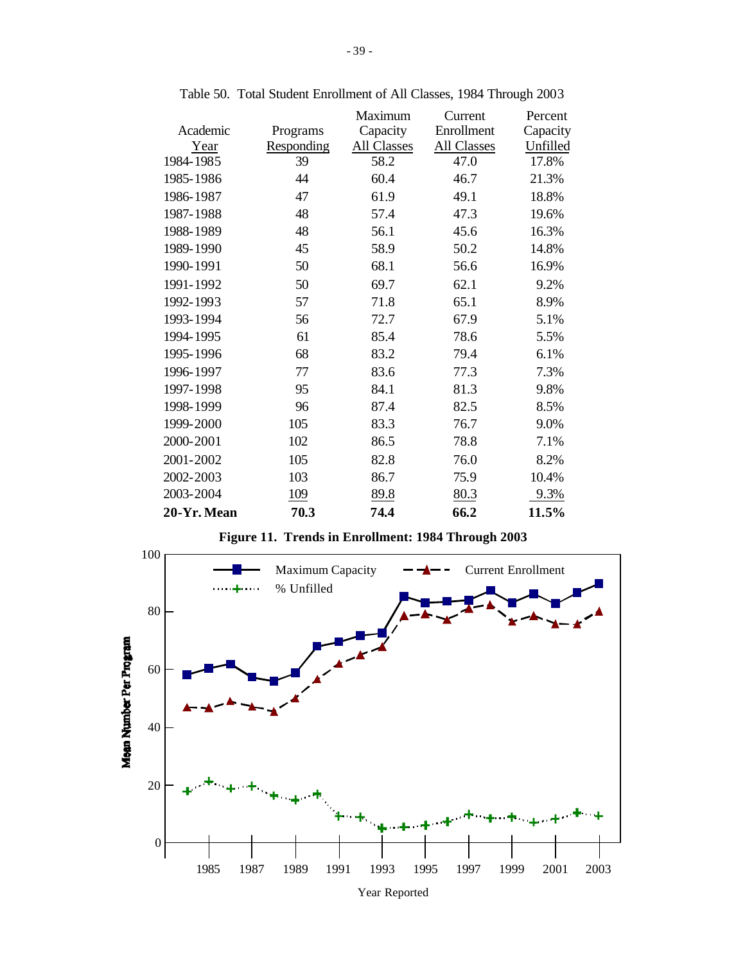|            | Maximum     | Current     | Percent  |
|------------|-------------|-------------|----------|
| Programs   | Capacity    | Enrollment  | Capacity |
| Responding | All Classes | All Classes | Unfilled |
| 39         | 58.2        | 47.0        | 17.8%    |
| 44         | 60.4        | 46.7        | 21.3%    |
| 47         | 61.9        | 49.1        | 18.8%    |
| 48         | 57.4        | 47.3        | 19.6%    |
| 48         | 56.1        | 45.6        | 16.3%    |
| 45         | 58.9        | 50.2        | 14.8%    |
| 50         | 68.1        | 56.6        | 16.9%    |
| 50         | 69.7        | 62.1        | 9.2%     |
| 57         | 71.8        | 65.1        | 8.9%     |
| 56         | 72.7        | 67.9        | 5.1%     |
| 61         | 85.4        | 78.6        | 5.5%     |
| 68         | 83.2        | 79.4        | 6.1%     |
| 77         | 83.6        | 77.3        | 7.3%     |
| 95         | 84.1        | 81.3        | 9.8%     |
| 96         | 87.4        | 82.5        | 8.5%     |
| 105        | 83.3        | 76.7        | 9.0%     |
| 102        | 86.5        | 78.8        | 7.1%     |
| 105        | 82.8        | 76.0        | 8.2%     |
| 103        | 86.7        | 75.9        | 10.4%    |
| 109        | 89.8        | 80.3        | 9.3%     |
| 70.3       | 74.4        | 66.2        | 11.5%    |
|            |             |             |          |

Table 50. Total Student Enrollment of All Classes, 1984 Through 2003

**Figure 11. Trends in Enrollment: 1984 Through 2003**



Year Reported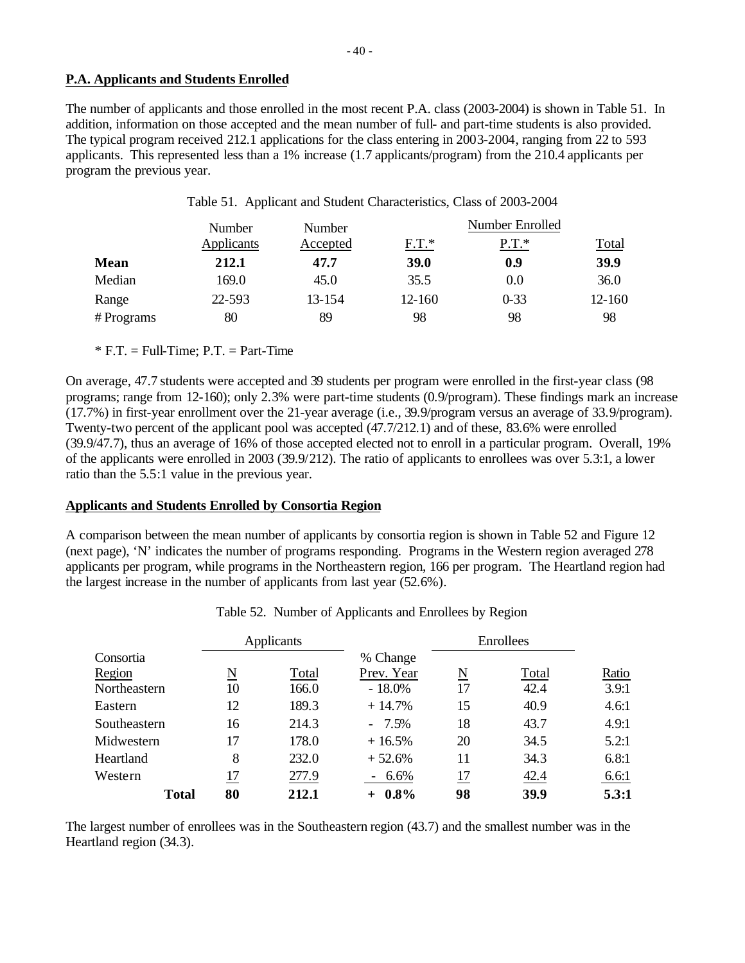## **P.A. Applicants and Students Enrolled**

The number of applicants and those enrolled in the most recent P.A. class (2003-2004) is shown in Table 51. In addition, information on those accepted and the mean number of full- and part-time students is also provided. The typical program received 212.1 applications for the class entering in 2003-2004, ranging from 22 to 593 applicants. This represented less than a 1% increase (1.7 applicants/program) from the 210.4 applicants per program the previous year.

| Table 51. Applicant and Student Characteristics, Class of 2003-2004 |  |  |  |  |  |  |  |
|---------------------------------------------------------------------|--|--|--|--|--|--|--|
|---------------------------------------------------------------------|--|--|--|--|--|--|--|

|             | Number     | Number   |         | Number Enrolled |              |
|-------------|------------|----------|---------|-----------------|--------------|
|             | Applicants | Accepted | $F.T.*$ | $P.T.*$         | <u>Total</u> |
| <b>Mean</b> | 212.1      | 47.7     | 39.0    | 0.9             | 39.9         |
| Median      | 169.0      | 45.0     | 35.5    | 0.0             | 36.0         |
| Range       | 22-593     | 13-154   | 12-160  | $0 - 33$        | 12-160       |
| # Programs  | 80         | 89       | 98      | 98              | 98           |

 $*$  F.T. = Full-Time; P.T. = Part-Time

On average, 47.7 students were accepted and 39 students per program were enrolled in the first-year class (98 programs; range from 12-160); only 2.3% were part-time students (0.9/program). These findings mark an increase (17.7%) in first-year enrollment over the 21-year average (i.e., 39.9/program versus an average of 33.9/program). Twenty-two percent of the applicant pool was accepted (47.7/212.1) and of these, 83.6% were enrolled (39.9/47.7), thus an average of 16% of those accepted elected not to enroll in a particular program. Overall, 19% of the applicants were enrolled in 2003 (39.9/212). The ratio of applicants to enrollees was over 5.3:1, a lower ratio than the 5.5:1 value in the previous year.

# **Applicants and Students Enrolled by Consortia Region**

A comparison between the mean number of applicants by consortia region is shown in Table 52 and Figure 12 (next page), 'N' indicates the number of programs responding. Programs in the Western region averaged 278 applicants per program, while programs in the Northeastern region, 166 per program. The Heartland region had the largest increase in the number of applicants from last year (52.6%).

|              |    | Applicants |                    | Enrollees |       |       |
|--------------|----|------------|--------------------|-----------|-------|-------|
| Consortia    |    |            | % Change           |           |       |       |
| Region       | N  | Total      | Prev. Year         | N         | Total | Ratio |
| Northeastern | 10 | 166.0      | $-18.0\%$          | 17        | 42.4  | 3.9:1 |
| Eastern      | 12 | 189.3      | $+14.7%$           | 15        | 40.9  | 4.6:1 |
| Southeastern | 16 | 214.3      | $-7.5%$            | 18        | 43.7  | 4.9:1 |
| Midwestern   | 17 | 178.0      | $+16.5%$           | 20        | 34.5  | 5.2:1 |
| Heartland    | 8  | 232.0      | $+52.6%$           | 11        | 34.3  | 6.8:1 |
| Western      | 17 | 277.9      | 6.6%<br>$\sim$ $-$ | 17        | 42.4  | 6.6:1 |
| Total        | 80 | 212.1      | $+ 0.8\%$          | 98        | 39.9  | 5.3:1 |

|  |  | Table 52. Number of Applicants and Enrollees by Region |  |  |
|--|--|--------------------------------------------------------|--|--|
|--|--|--------------------------------------------------------|--|--|

The largest number of enrollees was in the Southeastern region (43.7) and the smallest number was in the Heartland region (34.3).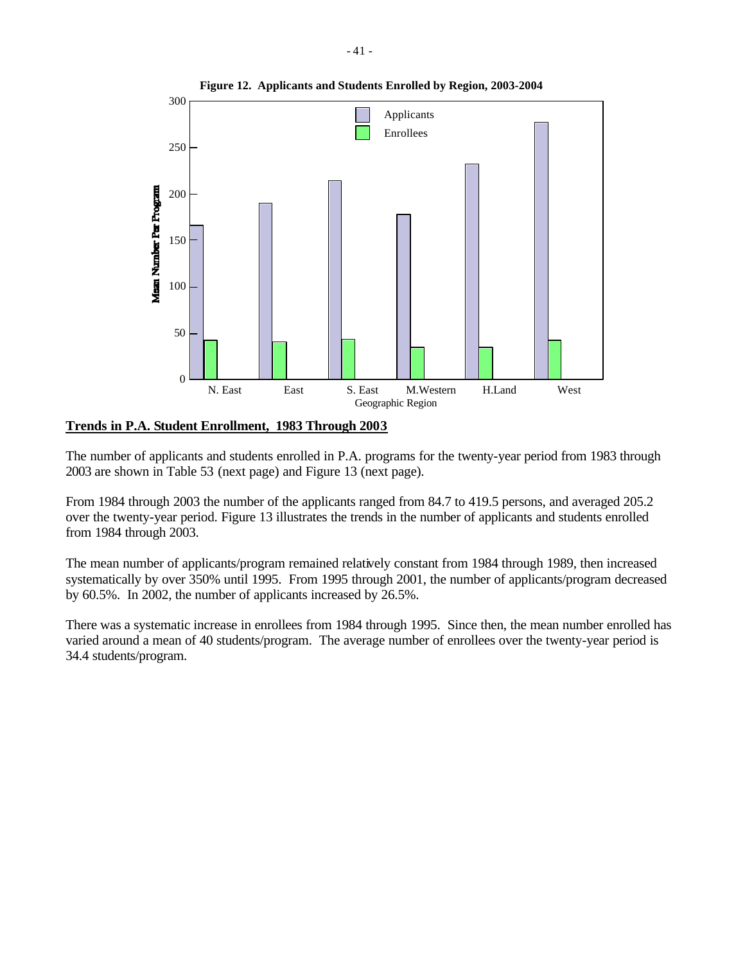

**Trends in P.A. Student Enrollment, 1983 Through 2003**

The number of applicants and students enrolled in P.A. programs for the twenty-year period from 1983 through 2003 are shown in Table 53 (next page) and Figure 13 (next page).

From 1984 through 2003 the number of the applicants ranged from 84.7 to 419.5 persons, and averaged 205.2 over the twenty-year period. Figure 13 illustrates the trends in the number of applicants and students enrolled from 1984 through 2003.

The mean number of applicants/program remained relatively constant from 1984 through 1989, then increased systematically by over 350% until 1995. From 1995 through 2001, the number of applicants/program decreased by 60.5%. In 2002, the number of applicants increased by 26.5%.

There was a systematic increase in enrollees from 1984 through 1995. Since then, the mean number enrolled has varied around a mean of 40 students/program. The average number of enrollees over the twenty-year period is 34.4 students/program.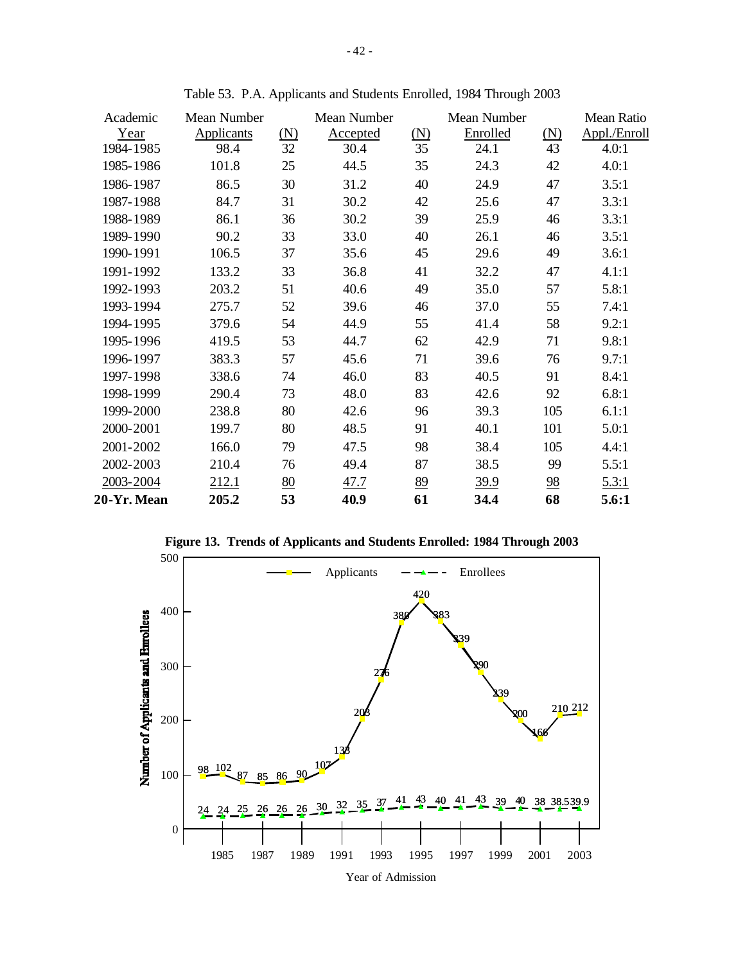| Academic    | Mean Number |     | Mean Number |     | Mean Number |                | Mean Ratio   |
|-------------|-------------|-----|-------------|-----|-------------|----------------|--------------|
| Year        | Applicants  | (N) | Accepted    | (N) | Enrolled    | (N)            | Appl./Enroll |
| 1984-1985   | 98.4        | 32  | 30.4        | 35  | 24.1        | 43             | 4.0:1        |
| 1985-1986   | 101.8       | 25  | 44.5        | 35  | 24.3        | 42             | 4.0:1        |
| 1986-1987   | 86.5        | 30  | 31.2        | 40  | 24.9        | 47             | 3.5:1        |
| 1987-1988   | 84.7        | 31  | 30.2        | 42  | 25.6        | 47             | 3.3:1        |
| 1988-1989   | 86.1        | 36  | 30.2        | 39  | 25.9        | 46             | 3.3:1        |
| 1989-1990   | 90.2        | 33  | 33.0        | 40  | 26.1        | 46             | 3.5:1        |
| 1990-1991   | 106.5       | 37  | 35.6        | 45  | 29.6        | 49             | 3.6:1        |
| 1991-1992   | 133.2       | 33  | 36.8        | 41  | 32.2        | 47             | 4.1:1        |
| 1992-1993   | 203.2       | 51  | 40.6        | 49  | 35.0        | 57             | 5.8:1        |
| 1993-1994   | 275.7       | 52  | 39.6        | 46  | 37.0        | 55             | 7.4:1        |
| 1994-1995   | 379.6       | 54  | 44.9        | 55  | 41.4        | 58             | 9.2:1        |
| 1995-1996   | 419.5       | 53  | 44.7        | 62  | 42.9        | 71             | 9.8:1        |
| 1996-1997   | 383.3       | 57  | 45.6        | 71  | 39.6        | 76             | 9.7:1        |
| 1997-1998   | 338.6       | 74  | 46.0        | 83  | 40.5        | 91             | 8.4:1        |
| 1998-1999   | 290.4       | 73  | 48.0        | 83  | 42.6        | 92             | 6.8:1        |
| 1999-2000   | 238.8       | 80  | 42.6        | 96  | 39.3        | 105            | 6.1:1        |
| 2000-2001   | 199.7       | 80  | 48.5        | 91  | 40.1        | 101            | 5.0:1        |
| 2001-2002   | 166.0       | 79  | 47.5        | 98  | 38.4        | 105            | 4.4:1        |
| 2002-2003   | 210.4       | 76  | 49.4        | 87  | 38.5        | 99             | 5.5:1        |
| 2003-2004   | 212.1       | 80  | 47.7        | 89  | 39.9        | $\frac{98}{5}$ | 5.3:1        |
| 20-Yr. Mean | 205.2       | 53  | 40.9        | 61  | 34.4        | 68             | 5.6:1        |

Table 53. P.A. Applicants and Students Enrolled, 1984 Through 2003



**Figure 13. Trends of Applicants and Students Enrolled: 1984 Through 2003**

Year of Admission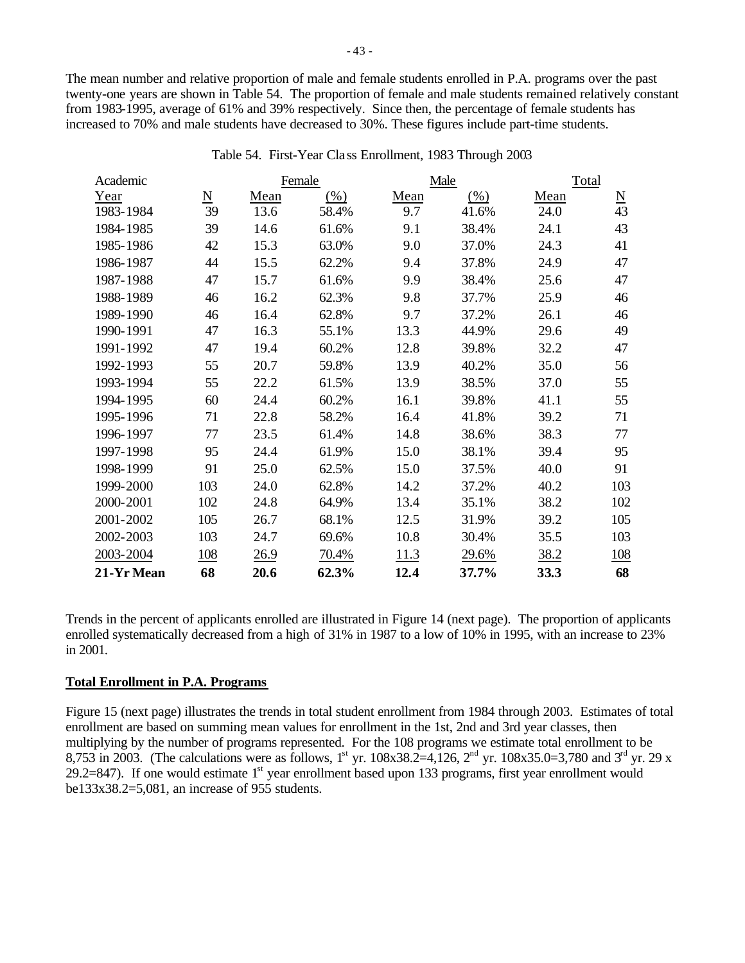The mean number and relative proportion of male and female students enrolled in P.A. programs over the past twenty-one years are shown in Table 54. The proportion of female and male students remained relatively constant from 1983-1995, average of 61% and 39% respectively. Since then, the percentage of female students has increased to 70% and male students have decreased to 30%. These figures include part-time students.

| Academic   |                          |      | Female |      | Male  | Total |                             |
|------------|--------------------------|------|--------|------|-------|-------|-----------------------------|
| Year       | $\underline{\mathbf{N}}$ | Mean | (% )   | Mean | (% )  | Mean  | $\underline{\underline{N}}$ |
| 1983-1984  | 39                       | 13.6 | 58.4%  | 9.7  | 41.6% | 24.0  | 43                          |
| 1984-1985  | 39                       | 14.6 | 61.6%  | 9.1  | 38.4% | 24.1  | 43                          |
| 1985-1986  | 42                       | 15.3 | 63.0%  | 9.0  | 37.0% | 24.3  | 41                          |
| 1986-1987  | 44                       | 15.5 | 62.2%  | 9.4  | 37.8% | 24.9  | 47                          |
| 1987-1988  | 47                       | 15.7 | 61.6%  | 9.9  | 38.4% | 25.6  | 47                          |
| 1988-1989  | 46                       | 16.2 | 62.3%  | 9.8  | 37.7% | 25.9  | 46                          |
| 1989-1990  | 46                       | 16.4 | 62.8%  | 9.7  | 37.2% | 26.1  | 46                          |
| 1990-1991  | 47                       | 16.3 | 55.1%  | 13.3 | 44.9% | 29.6  | 49                          |
| 1991-1992  | 47                       | 19.4 | 60.2%  | 12.8 | 39.8% | 32.2  | 47                          |
| 1992-1993  | 55                       | 20.7 | 59.8%  | 13.9 | 40.2% | 35.0  | 56                          |
| 1993-1994  | 55                       | 22.2 | 61.5%  | 13.9 | 38.5% | 37.0  | 55                          |
| 1994-1995  | 60                       | 24.4 | 60.2%  | 16.1 | 39.8% | 41.1  | 55                          |
| 1995-1996  | 71                       | 22.8 | 58.2%  | 16.4 | 41.8% | 39.2  | 71                          |
| 1996-1997  | 77                       | 23.5 | 61.4%  | 14.8 | 38.6% | 38.3  | 77                          |
| 1997-1998  | 95                       | 24.4 | 61.9%  | 15.0 | 38.1% | 39.4  | 95                          |
| 1998-1999  | 91                       | 25.0 | 62.5%  | 15.0 | 37.5% | 40.0  | 91                          |
| 1999-2000  | 103                      | 24.0 | 62.8%  | 14.2 | 37.2% | 40.2  | 103                         |
| 2000-2001  | 102                      | 24.8 | 64.9%  | 13.4 | 35.1% | 38.2  | 102                         |
| 2001-2002  | 105                      | 26.7 | 68.1%  | 12.5 | 31.9% | 39.2  | 105                         |
| 2002-2003  | 103                      | 24.7 | 69.6%  | 10.8 | 30.4% | 35.5  | 103                         |
| 2003-2004  | 108                      | 26.9 | 70.4%  | 11.3 | 29.6% | 38.2  | 108                         |
| 21-Yr Mean | 68                       | 20.6 | 62.3%  | 12.4 | 37.7% | 33.3  | 68                          |

Table 54. First-Year Cla ss Enrollment, 1983 Through 2003

Trends in the percent of applicants enrolled are illustrated in Figure 14 (next page). The proportion of applicants enrolled systematically decreased from a high of 31% in 1987 to a low of 10% in 1995, with an increase to 23% in 2001.

# **Total Enrollment in P.A. Programs**

Figure 15 (next page) illustrates the trends in total student enrollment from 1984 through 2003. Estimates of total enrollment are based on summing mean values for enrollment in the 1st, 2nd and 3rd year classes, then multiplying by the number of programs represented. For the 108 programs we estimate total enrollment to be 8,753 in 2003. (The calculations were as follows, 1<sup>st</sup> yr. 108x38.2=4,126, 2<sup>nd</sup> yr. 108x35.0=3,780 and 3<sup>rd</sup> yr. 29 x 29.2=847). If one would estimate  $1<sup>st</sup>$  year enrollment based upon 133 programs, first year enrollment would be133x38.2=5,081, an increase of 955 students.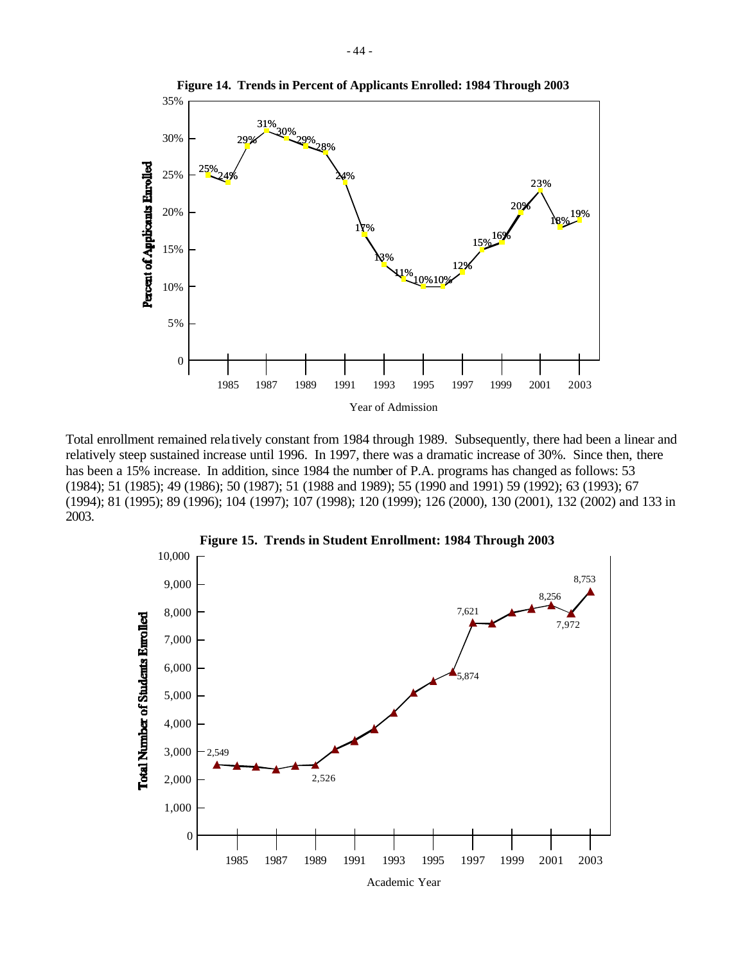

Total enrollment remained rela tively constant from 1984 through 1989. Subsequently, there had been a linear and relatively steep sustained increase until 1996. In 1997, there was a dramatic increase of 30%. Since then, there has been a 15% increase. In addition, since 1984 the number of P.A. programs has changed as follows: 53 (1984); 51 (1985); 49 (1986); 50 (1987); 51 (1988 and 1989); 55 (1990 and 1991) 59 (1992); 63 (1993); 67 (1994); 81 (1995); 89 (1996); 104 (1997); 107 (1998); 120 (1999); 126 (2000), 130 (2001), 132 (2002) and 133 in 2003.



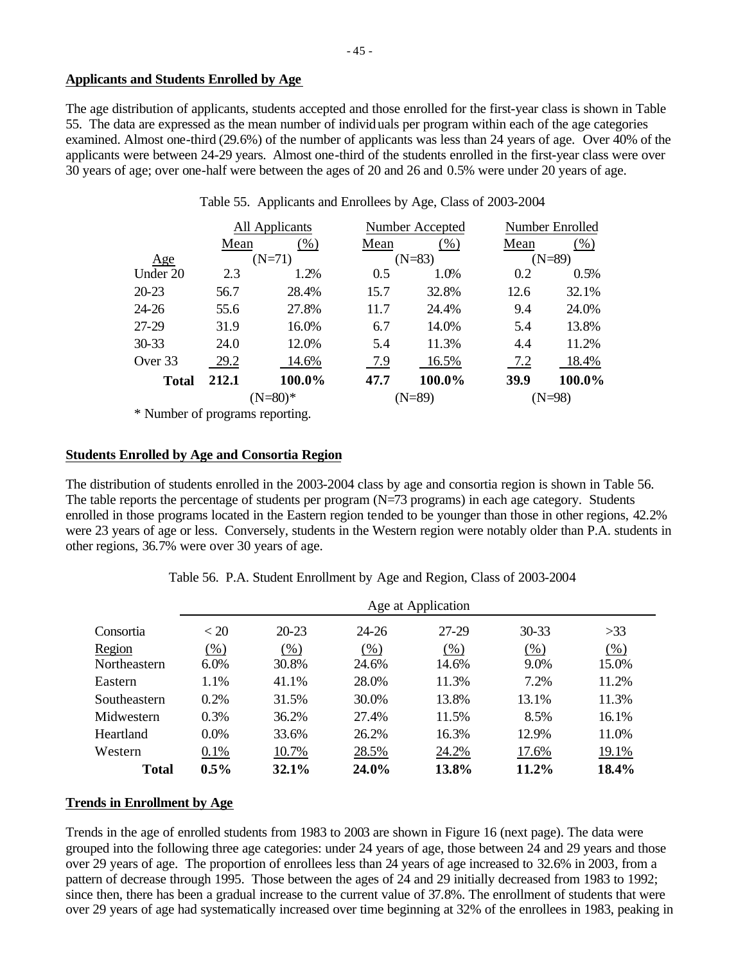## **Applicants and Students Enrolled by Age**

The age distribution of applicants, students accepted and those enrolled for the first-year class is shown in Table 55. The data are expressed as the mean number of individuals per program within each of the age categories examined. Almost one-third (29.6%) of the number of applicants was less than 24 years of age. Over 40% of the applicants were between 24-29 years. Almost one-third of the students enrolled in the first-year class were over 30 years of age; over one-half were between the ages of 20 and 26 and 0.5% were under 20 years of age.

|              |       | All Applicants |      | Number Accepted | Number Enrolled |        |  |
|--------------|-------|----------------|------|-----------------|-----------------|--------|--|
|              | Mean  | (% )           | Mean | $(\%)$          | Mean            | (% )   |  |
| Age          |       | $(N=71)$       |      | $(N=83)$        | $(N=89)$        |        |  |
| Under 20     | 2.3   | 1.2%           | 0.5  | 1.0%            | 0.2             | 0.5%   |  |
| $20 - 23$    | 56.7  | 28.4%          | 15.7 | 32.8%           | 12.6            | 32.1%  |  |
| $24 - 26$    | 55.6  | 27.8%          | 11.7 | 24.4%           | 9.4             | 24.0%  |  |
| 27-29        | 31.9  | 16.0%          | 6.7  | 14.0%           | 5.4             | 13.8%  |  |
| $30 - 33$    | 24.0  | 12.0%          | 5.4  | 11.3%           | 4.4             | 11.2%  |  |
| Over 33      | 29.2  | 14.6%          | 7.9  | 16.5%           | 7.2             | 18.4%  |  |
| <b>Total</b> | 212.1 | 100.0%         | 47.7 | 100.0%          | 39.9            | 100.0% |  |
|              |       | (N=80)*        |      | $(N=89)$        |                 | (N=98) |  |
|              |       |                |      |                 |                 |        |  |

Table 55. Applicants and Enrollees by Age, Class of 2003-2004

\* Number of programs reporting.

## **Students Enrolled by Age and Consortia Region**

The distribution of students enrolled in the 2003-2004 class by age and consortia region is shown in Table 56. The table reports the percentage of students per program (N=73 programs) in each age category. Students enrolled in those programs located in the Eastern region tended to be younger than those in other regions, 42.2% were 23 years of age or less. Conversely, students in the Western region were notably older than P.A. students in other regions, 36.7% were over 30 years of age.

Table 56. P.A. Student Enrollment by Age and Region, Class of 2003-2004

|              | Age at Application |           |           |       |           |        |  |  |
|--------------|--------------------|-----------|-----------|-------|-----------|--------|--|--|
| Consortia    | < 20               | $20 - 23$ | $24 - 26$ | 27-29 | $30 - 33$ | >33    |  |  |
| Region       | $(\%)$             | $(\%)$    | (%)       | (% )  | (% )      | $(\%)$ |  |  |
| Northeastern | 6.0%               | 30.8%     | 24.6%     | 14.6% | 9.0%      | 15.0%  |  |  |
| Eastern      | 1.1%               | 41.1%     | 28.0%     | 11.3% | 7.2%      | 11.2%  |  |  |
| Southeastern | 0.2%               | 31.5%     | 30.0%     | 13.8% | 13.1%     | 11.3%  |  |  |
| Midwestern   | 0.3%               | 36.2%     | 27.4%     | 11.5% | 8.5%      | 16.1%  |  |  |
| Heartland    | 0.0%               | 33.6%     | 26.2%     | 16.3% | 12.9%     | 11.0%  |  |  |
| Western      | 0.1%               | 10.7%     | 28.5%     | 24.2% | 17.6%     | 19.1%  |  |  |
| <b>Total</b> | $0.5\%$            | 32.1%     | 24.0%     | 13.8% | 11.2%     | 18.4%  |  |  |

# **Trends in Enrollment by Age**

Trends in the age of enrolled students from 1983 to 2003 are shown in Figure 16 (next page). The data were grouped into the following three age categories: under 24 years of age, those between 24 and 29 years and those over 29 years of age. The proportion of enrollees less than 24 years of age increased to 32.6% in 2003, from a pattern of decrease through 1995. Those between the ages of 24 and 29 initially decreased from 1983 to 1992; since then, there has been a gradual increase to the current value of 37.8%. The enrollment of students that were over 29 years of age had systematically increased over time beginning at 32% of the enrollees in 1983, peaking in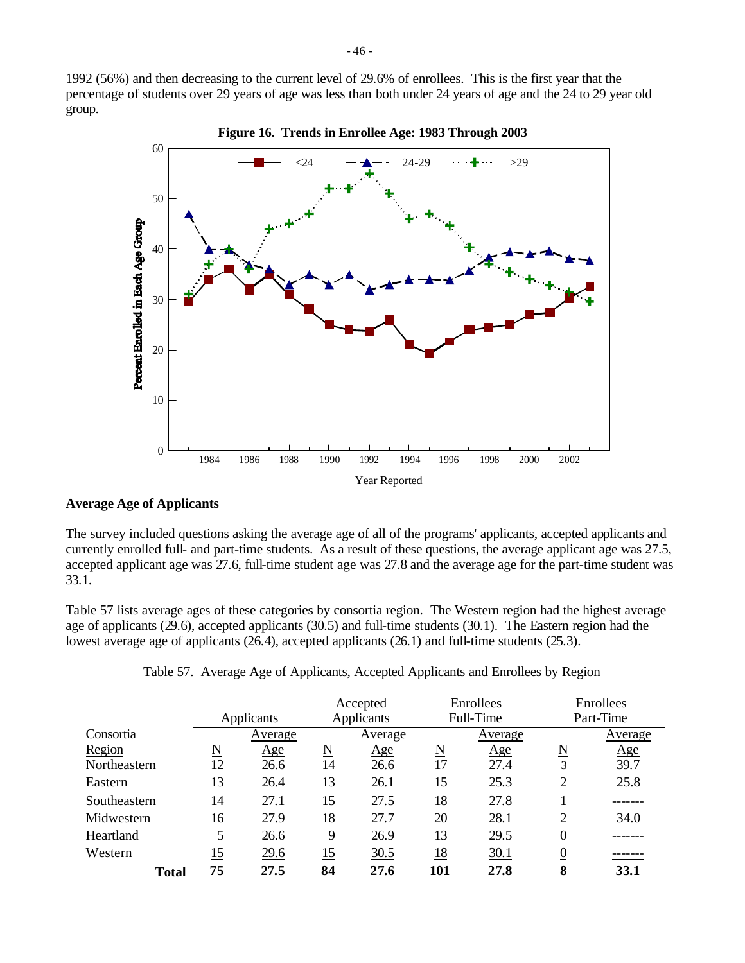1992 (56%) and then decreasing to the current level of 29.6% of enrollees. This is the first year that the percentage of students over 29 years of age was less than both under 24 years of age and the 24 to 29 year old group.



**Figure 16. Trends in Enrollee Age: 1983 Through 2003**

#### **Average Age of Applicants**

The survey included questions asking the average age of all of the programs' applicants, accepted applicants and currently enrolled full- and part-time students. As a result of these questions, the average applicant age was 27.5, accepted applicant age was 27.6, full-time student age was 27.8 and the average age for the part-time student was 33.1.

Table 57 lists average ages of these categories by consortia region. The Western region had the highest average age of applicants (29.6), accepted applicants (30.5) and full-time students (30.1). The Eastern region had the lowest average age of applicants (26.4), accepted applicants (26.1) and full-time students (25.3).

|              |                     |            |                     | Accepted |                     | Enrollees  | Enrollees                |         |
|--------------|---------------------|------------|---------------------|----------|---------------------|------------|--------------------------|---------|
|              |                     | Applicants | Applicants          |          |                     | Full-Time  | Part-Time                |         |
| Consortia    |                     | Average    |                     | Average  |                     | Average    |                          | Average |
| Region       | $\underline{\rm N}$ | Age        | $\underline{\rm N}$ | Age      | $\underline{\rm N}$ | <u>Age</u> | $\underline{\mathrm{N}}$ | Age     |
| Northeastern | 12                  | 26.6       | 14                  | 26.6     | 17                  | 27.4       | 3                        | 39.7    |
| Eastern      | 13                  | 26.4       | 13                  | 26.1     | 15                  | 25.3       | $\overline{2}$           | 25.8    |
| Southeastern | 14                  | 27.1       | 15                  | 27.5     | 18                  | 27.8       |                          |         |
| Midwestern   | 16                  | 27.9       | 18                  | 27.7     | 20                  | 28.1       | $\overline{2}$           | 34.0    |
| Heartland    | 5                   | 26.6       | 9                   | 26.9     | 13                  | 29.5       | $\mathbf{0}$             |         |
| Western      | 15                  | 29.6       | 15                  | 30.5     | $\underline{18}$    | 30.1       | $\overline{0}$           |         |
| <b>Total</b> | 75                  | 27.5       | 84                  | 27.6     | 101                 | 27.8       | 8                        | 33.1    |

Table 57. Average Age of Applicants, Accepted Applicants and Enrollees by Region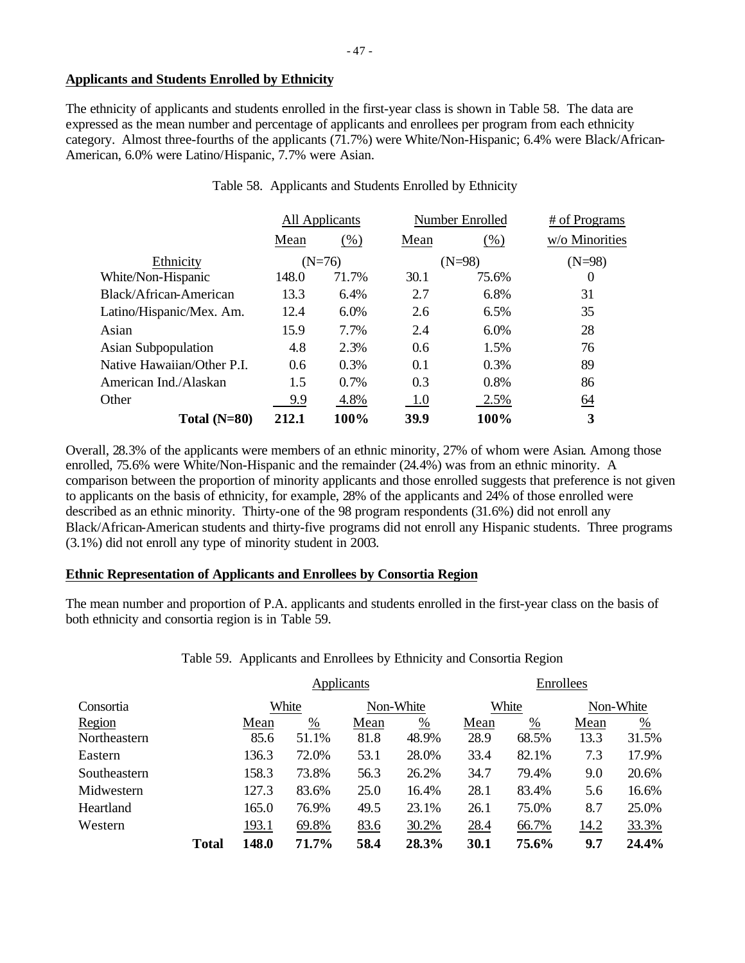## **Applicants and Students Enrolled by Ethnicity**

The ethnicity of applicants and students enrolled in the first-year class is shown in Table 58. The data are expressed as the mean number and percentage of applicants and enrollees per program from each ethnicity category. Almost three-fourths of the applicants (71.7%) were White/Non-Hispanic; 6.4% were Black/African-American, 6.0% were Latino/Hispanic, 7.7% were Asian.

|                            | All Applicants<br>Number Enrolled |          |      | # of Programs |                |
|----------------------------|-----------------------------------|----------|------|---------------|----------------|
|                            | Mean                              | (% )     | Mean | (%)           | w/o Minorities |
| Ethnicity                  |                                   | $(N=76)$ |      | $(N=98)$      | $(N=98)$       |
| White/Non-Hispanic         | 148.0                             | 71.7%    | 30.1 | 75.6%         | $\theta$       |
| Black/African-American     | 13.3                              | $6.4\%$  | 2.7  | 6.8%          | 31             |
| Latino/Hispanic/Mex. Am.   | 12.4                              | 6.0%     | 2.6  | 6.5%          | 35             |
| Asian                      | 15.9                              | 7.7%     | 2.4  | 6.0%          | 28             |
| <b>Asian Subpopulation</b> | 4.8                               | 2.3%     | 0.6  | 1.5%          | 76             |
| Native Hawaiian/Other P.I. | 0.6                               | 0.3%     | 0.1  | 0.3%          | 89             |
| American Ind./Alaskan      | 1.5                               | 0.7%     | 0.3  | 0.8%          | 86             |
| Other                      | 9.9                               | 4.8%     | -1.0 | 2.5%          | <u>64</u>      |
| Total $(N=80)$             | 212.1                             | 100%     | 39.9 | 100%          | 3              |

Table 58. Applicants and Students Enrolled by Ethnicity

Overall, 28.3% of the applicants were members of an ethnic minority, 27% of whom were Asian. Among those enrolled, 75.6% were White/Non-Hispanic and the remainder (24.4%) was from an ethnic minority. A comparison between the proportion of minority applicants and those enrolled suggests that preference is not given to applicants on the basis of ethnicity, for example, 28% of the applicants and 24% of those enrolled were described as an ethnic minority. Thirty-one of the 98 program respondents (31.6%) did not enroll any Black/African-American students and thirty-five programs did not enroll any Hispanic students. Three programs (3.1%) did not enroll any type of minority student in 2003.

#### **Ethnic Representation of Applicants and Enrollees by Consortia Region**

The mean number and proportion of P.A. applicants and students enrolled in the first-year class on the basis of both ethnicity and consortia region is in Table 59.

# Table 59. Applicants and Enrollees by Ethnicity and Consortia Region

|              |              | Applicants |       |             |                 | Enrollees |               |             |       |
|--------------|--------------|------------|-------|-------------|-----------------|-----------|---------------|-------------|-------|
| Consortia    |              | White      |       |             | Non-White       |           | White         | Non-White   |       |
| Region       |              | Mean       | %     | Mean        | $\frac{\%}{\ }$ | Mean      | $\frac{0}{0}$ | Mean        | %     |
| Northeastern |              | 85.6       | 51.1% | 81.8        | 48.9%           | 28.9      | 68.5%         | 13.3        | 31.5% |
| Eastern      |              | 136.3      | 72.0% | 53.1        | 28.0%           | 33.4      | 82.1%         | 7.3         | 17.9% |
| Southeastern |              | 158.3      | 73.8% | 56.3        | 26.2%           | 34.7      | 79.4%         | 9.0         | 20.6% |
| Midwestern   |              | 127.3      | 83.6% | 25.0        | 16.4%           | 28.1      | 83.4%         | 5.6         | 16.6% |
| Heartland    |              | 165.0      | 76.9% | 49.5        | 23.1%           | 26.1      | 75.0%         | 8.7         | 25.0% |
| Western      |              | 193.1      | 69.8% | <u>83.6</u> | 30.2%           | 28.4      | 66.7%         | <u>14.2</u> | 33.3% |
|              | <b>Total</b> | 148.0      | 71.7% | 58.4        | 28.3%           | 30.1      | 75.6%         | 9.7         | 24.4% |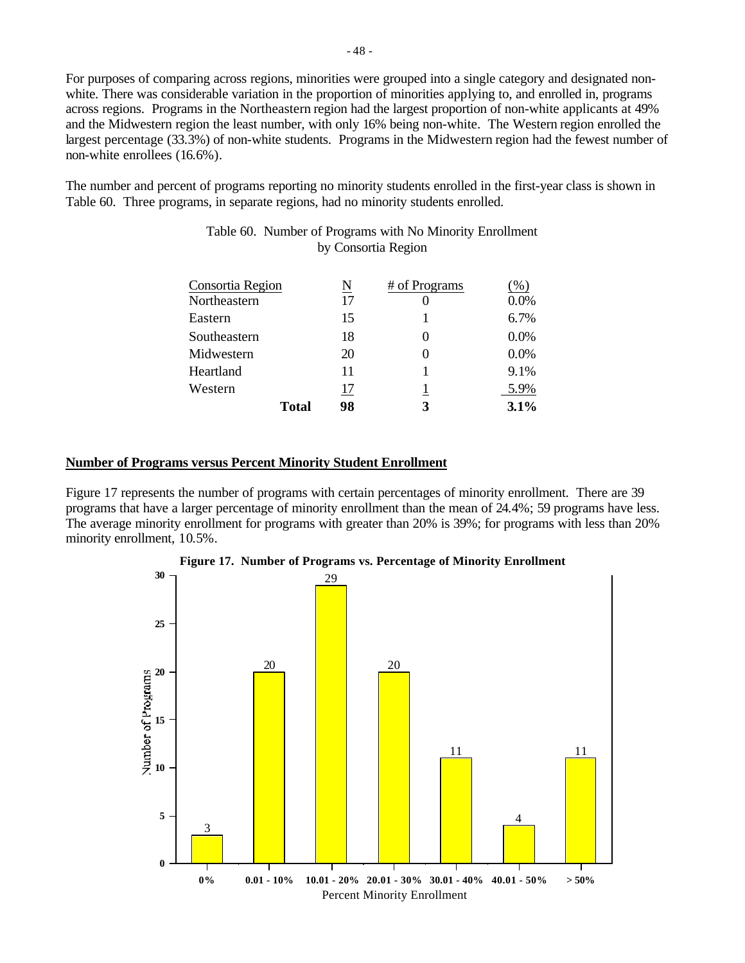For purposes of comparing across regions, minorities were grouped into a single category and designated nonwhite. There was considerable variation in the proportion of minorities applying to, and enrolled in, programs across regions. Programs in the Northeastern region had the largest proportion of non-white applicants at 49% and the Midwestern region the least number, with only 16% being non-white. The Western region enrolled the largest percentage (33.3%) of non-white students. Programs in the Midwestern region had the fewest number of non-white enrollees (16.6%).

The number and percent of programs reporting no minority students enrolled in the first-year class is shown in Table 60. Three programs, in separate regions, had no minority students enrolled.

| Consortia Region |              | N  | # of Programs | $(\%)$  |
|------------------|--------------|----|---------------|---------|
| Northeastern     |              | 17 |               | 0.0%    |
| Eastern          |              | 15 |               | 6.7%    |
| Southeastern     |              | 18 |               | $0.0\%$ |
| Midwestern       |              | 20 |               | 0.0%    |
| Heartland        |              | 11 |               | 9.1%    |
| Western          |              | 17 |               | 5.9%    |
|                  | <b>Total</b> | 98 |               | 3.1%    |

## Table 60. Number of Programs with No Minority Enrollment by Consortia Region

## **Number of Programs versus Percent Minority Student Enrollment**

Figure 17 represents the number of programs with certain percentages of minority enrollment. There are 39 programs that have a larger percentage of minority enrollment than the mean of 24.4%; 59 programs have less. The average minority enrollment for programs with greater than 20% is 39%; for programs with less than 20% minority enrollment, 10.5%.



**Figure 17. Number of Programs vs. Percentage of Minority Enrollment**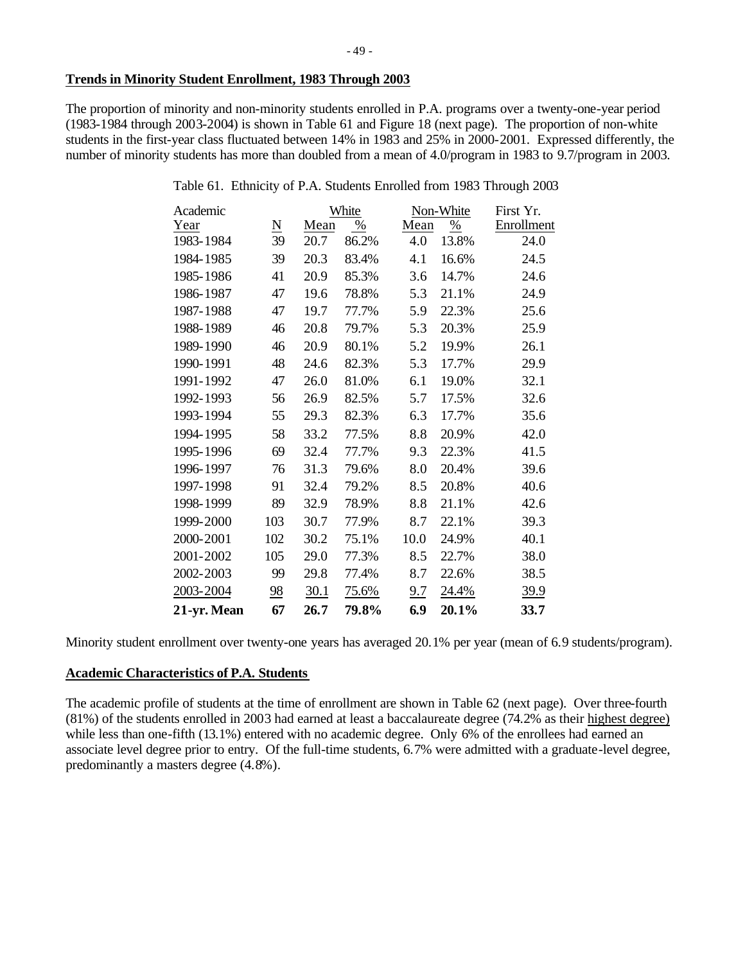## **Trends in Minority Student Enrollment, 1983 Through 2003**

The proportion of minority and non-minority students enrolled in P.A. programs over a twenty-one-year period (1983-1984 through 2003-2004) is shown in Table 61 and Figure 18 (next page). The proportion of non-white students in the first-year class fluctuated between 14% in 1983 and 25% in 2000-2001. Expressed differently, the number of minority students has more than doubled from a mean of 4.0/program in 1983 to 9.7/program in 2003.

| Table 61. Ethnicity of P.A. Students Enrolled from 1983 Through 2003 |  |  |  |  |
|----------------------------------------------------------------------|--|--|--|--|
|                                                                      |  |  |  |  |

| Academic    |                 |      | White |            | Non-White     | First Yr.   |
|-------------|-----------------|------|-------|------------|---------------|-------------|
| Year        | $\underline{N}$ | Mean | $\%$  | Mean       | $\frac{0}{0}$ | Enrollment  |
| 1983-1984   | 39              | 20.7 | 86.2% | 4.0        | 13.8%         | 24.0        |
| 1984-1985   | 39              | 20.3 | 83.4% | 4.1        | 16.6%         | 24.5        |
| 1985-1986   | 41              | 20.9 | 85.3% | 3.6        | 14.7%         | 24.6        |
| 1986-1987   | 47              | 19.6 | 78.8% | 5.3        | 21.1%         | 24.9        |
| 1987-1988   | 47              | 19.7 | 77.7% | 5.9        | 22.3%         | 25.6        |
| 1988-1989   | 46              | 20.8 | 79.7% | 5.3        | 20.3%         | 25.9        |
| 1989-1990   | 46              | 20.9 | 80.1% | 5.2        | 19.9%         | 26.1        |
| 1990-1991   | 48              | 24.6 | 82.3% | 5.3        | 17.7%         | 29.9        |
| 1991-1992   | 47              | 26.0 | 81.0% | 6.1        | 19.0%         | 32.1        |
| 1992-1993   | 56              | 26.9 | 82.5% | 5.7        | 17.5%         | 32.6        |
| 1993-1994   | 55              | 29.3 | 82.3% | 6.3        | 17.7%         | 35.6        |
| 1994-1995   | 58              | 33.2 | 77.5% | 8.8        | 20.9%         | 42.0        |
| 1995-1996   | 69              | 32.4 | 77.7% | 9.3        | 22.3%         | 41.5        |
| 1996-1997   | 76              | 31.3 | 79.6% | 8.0        | 20.4%         | 39.6        |
| 1997-1998   | 91              | 32.4 | 79.2% | 8.5        | 20.8%         | 40.6        |
| 1998-1999   | 89              | 32.9 | 78.9% | 8.8        | 21.1%         | 42.6        |
| 1999-2000   | 103             | 30.7 | 77.9% | 8.7        | 22.1%         | 39.3        |
| 2000-2001   | 102             | 30.2 | 75.1% | 10.0       | 24.9%         | 40.1        |
| 2001-2002   | 105             | 29.0 | 77.3% | 8.5        | 22.7%         | 38.0        |
| 2002-2003   | 99              | 29.8 | 77.4% | 8.7        | 22.6%         | 38.5        |
| 2003-2004   | <u>98</u>       | 30.1 | 75.6% | <u>9.7</u> | <u>24.4%</u>  | <u>39.9</u> |
| 21-yr. Mean | 67              | 26.7 | 79.8% | 6.9        | 20.1%         | 33.7        |

Minority student enrollment over twenty-one years has averaged 20.1% per year (mean of 6.9 students/program).

# **Academic Characteristics of P.A. Students**

The academic profile of students at the time of enrollment are shown in Table 62 (next page). Over three-fourth (81%) of the students enrolled in 2003 had earned at least a baccalaureate degree (74.2% as their highest degree) while less than one-fifth (13.1%) entered with no academic degree. Only 6% of the enrollees had earned an associate level degree prior to entry. Of the full-time students, 6.7% were admitted with a graduate-level degree, predominantly a masters degree (4.8%).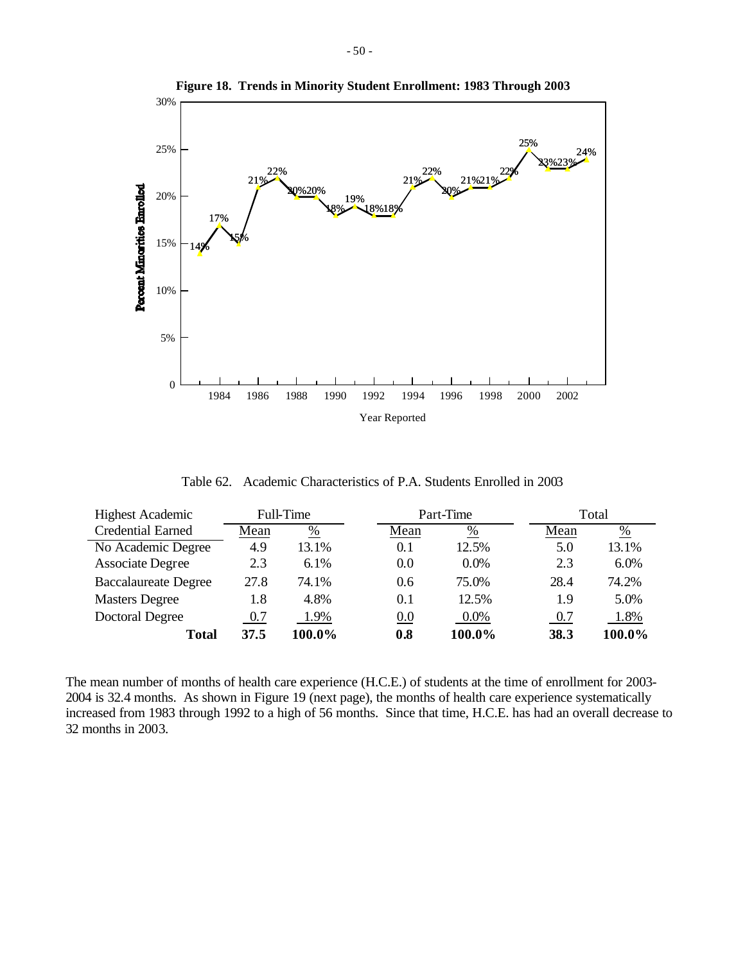

**Figure 18. Trends in Minority Student Enrollment: 1983 Through 2003**

Table 62. Academic Characteristics of P.A. Students Enrolled in 2003

| <b>Highest Academic</b>     | Full-Time |               | Part-Time     |         |      | Total  |  |
|-----------------------------|-----------|---------------|---------------|---------|------|--------|--|
| <b>Credential Earned</b>    | Mean      | $\frac{0}{0}$ | Mean          | %       | Mean | %      |  |
| No Academic Degree          | 4.9       | 13.1%         | 0.1           | 12.5%   | 5.0  | 13.1%  |  |
| Associate Degree            | 2.3       | 6.1%          | 0.0           | $0.0\%$ | 2.3  | 6.0%   |  |
| <b>Baccalaureate Degree</b> | 27.8      | 74.1%         | $0.6^{\circ}$ | 75.0%   | 28.4 | 74.2%  |  |
| <b>Masters Degree</b>       | 1.8       | 4.8%          | 0.1           | 12.5%   | 1.9  | 5.0%   |  |
| Doctoral Degree             | 0.7       | 1.9%          | 0.0           | $0.0\%$ | 0.7  | 1.8%   |  |
| Total                       | 37.5      | 100.0%        | 0.8           | 100.0%  | 38.3 | 100.0% |  |

The mean number of months of health care experience (H.C.E.) of students at the time of enrollment for 2003- 2004 is 32.4 months. As shown in Figure 19 (next page), the months of health care experience systematically increased from 1983 through 1992 to a high of 56 months. Since that time, H.C.E. has had an overall decrease to 32 months in 2003.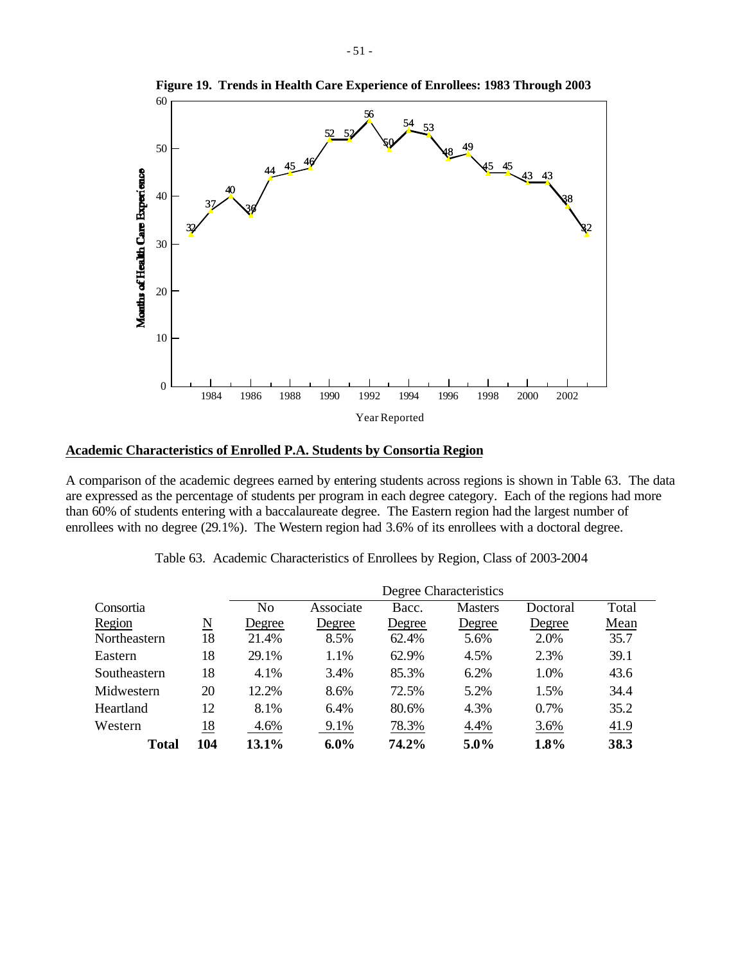

**Figure 19. Trends in Health Care Experience of Enrollees: 1983 Through 2003**

#### **Academic Characteristics of Enrolled P.A. Students by Consortia Region**

A comparison of the academic degrees earned by entering students across regions is shown in Table 63. The data are expressed as the percentage of students per program in each degree category. Each of the regions had more than 60% of students entering with a baccalaureate degree. The Eastern region had the largest number of enrollees with no degree (29.1%). The Western region had 3.6% of its enrollees with a doctoral degree.

| Table 63. Academic Characteristics of Enrollees by Region, Class of 2003-2004 |  |  |
|-------------------------------------------------------------------------------|--|--|
|-------------------------------------------------------------------------------|--|--|

|              |                        | Degree Characteristics |           |        |                |          |       |  |  |
|--------------|------------------------|------------------------|-----------|--------|----------------|----------|-------|--|--|
| Consortia    |                        | N <sub>o</sub>         | Associate | Bacc.  | <b>Masters</b> | Doctoral | Total |  |  |
| Region       | $\underline{\text{N}}$ | Degree                 | Degree    | Degree | Degree         | Degree   | Mean  |  |  |
| Northeastern | 18                     | 21.4%                  | 8.5%      | 62.4%  | 5.6%           | 2.0%     | 35.7  |  |  |
| Eastern      | 18                     | 29.1%                  | 1.1%      | 62.9%  | 4.5%           | 2.3%     | 39.1  |  |  |
| Southeastern | 18                     | 4.1%                   | 3.4%      | 85.3%  | 6.2%           | 1.0%     | 43.6  |  |  |
| Midwestern   | 20                     | 12.2%                  | 8.6%      | 72.5%  | 5.2%           | 1.5%     | 34.4  |  |  |
| Heartland    | 12                     | 8.1%                   | 6.4%      | 80.6%  | 4.3%           | 0.7%     | 35.2  |  |  |
| Western      | <u>18</u>              | 4.6%                   | 9.1%      | 78.3%  | 4.4%           | 3.6%     | 41.9  |  |  |
| Total        | 104                    | 13.1%                  | $6.0\%$   | 74.2%  | $5.0\%$        | 1.8%     | 38.3  |  |  |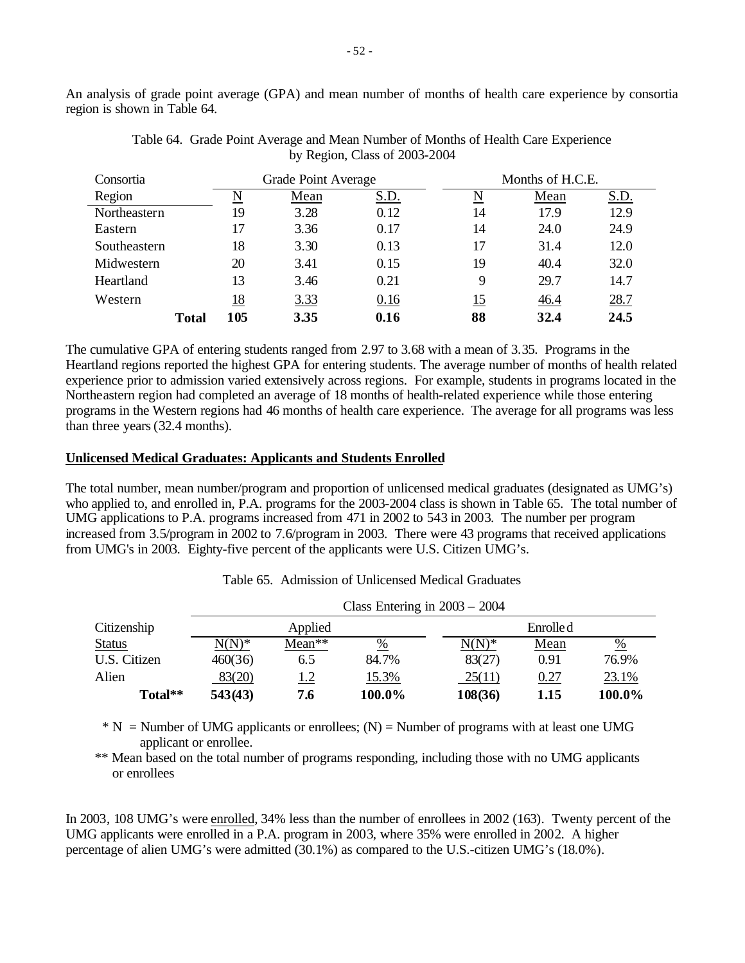An analysis of grade point average (GPA) and mean number of months of health care experience by consortia region is shown in Table 64.

| Consortia    |     | Grade Point Average |      |            | Months of H.C.E. |             |  |
|--------------|-----|---------------------|------|------------|------------------|-------------|--|
| Region       | N   | Mean                | S.D. | N          | Mean             | <u>S.D.</u> |  |
| Northeastern | 19  | 3.28                | 0.12 | 14         | 17.9             | 12.9        |  |
| Eastern      | 17  | 3.36                | 0.17 | 14         | 24.0             | 24.9        |  |
| Southeastern | 18  | 3.30                | 0.13 | 17         | 31.4             | 12.0        |  |
| Midwestern   | 20  | 3.41                | 0.15 | 19         | 40.4             | 32.0        |  |
| Heartland    | 13  | 3.46                | 0.21 | 9          | 29.7             | 14.7        |  |
| Western      | 18  | <u>3.33</u>         | 0.16 | <u> 15</u> | 46.4             | 28.7        |  |
| Total        | 105 | 3.35                | 0.16 | 88         | 32.4             | 24.5        |  |

Table 64. Grade Point Average and Mean Number of Months of Health Care Experience by Region, Class of 2003-2004

The cumulative GPA of entering students ranged from 2.97 to 3.68 with a mean of 3.35. Programs in the Heartland regions reported the highest GPA for entering students. The average number of months of health related experience prior to admission varied extensively across regions. For example, students in programs located in the Northeastern region had completed an average of 18 months of health-related experience while those entering programs in the Western regions had 46 months of health care experience. The average for all programs was less than three years (32.4 months).

# **Unlicensed Medical Graduates: Applicants and Students Enrolled**

The total number, mean number/program and proportion of unlicensed medical graduates (designated as UMG's) who applied to, and enrolled in, P.A. programs for the 2003-2004 class is shown in Table 65. The total number of UMG applications to P.A. programs increased from 471 in 2002 to 543 in 2003. The number per program increased from 3.5/program in 2002 to 7.6/program in 2003. There were 43 programs that received applications from UMG's in 2003. Eighty-five percent of the applicants were U.S. Citizen UMG's.

|               |          |         | Class Entering in $2003 - 2004$ |          |           |               |
|---------------|----------|---------|---------------------------------|----------|-----------|---------------|
| Citizenship   |          | Applied |                                 |          | Enrolle d |               |
| <b>Status</b> | $N(N)^*$ | Mean**  | $\frac{0}{0}$                   | $N(N)^*$ | Mean      | $\frac{0}{0}$ |
| U.S. Citizen  | 460(36)  | 6.5     | 84.7%                           | 83(27)   | 0.91      | 76.9%         |
| Alien         | 83(20)   | 1.2     | 15.3%                           | 25(11)   | 0.27      | 23.1%         |
| Total**       | 543(43)  | 7.6     | 100.0%                          | 108(36)  | 1.15      | 100.0%        |

Table 65. Admission of Unlicensed Medical Graduates

 $* N =$  Number of UMG applicants or enrollees; (N) = Number of programs with at least one UMG applicant or enrollee.

\*\* Mean based on the total number of programs responding, including those with no UMG applicants or enrollees

In 2003, 108 UMG's were enrolled, 34% less than the number of enrollees in 2002 (163). Twenty percent of the UMG applicants were enrolled in a P.A. program in 2003, where 35% were enrolled in 2002. A higher percentage of alien UMG's were admitted (30.1%) as compared to the U.S.-citizen UMG's (18.0%).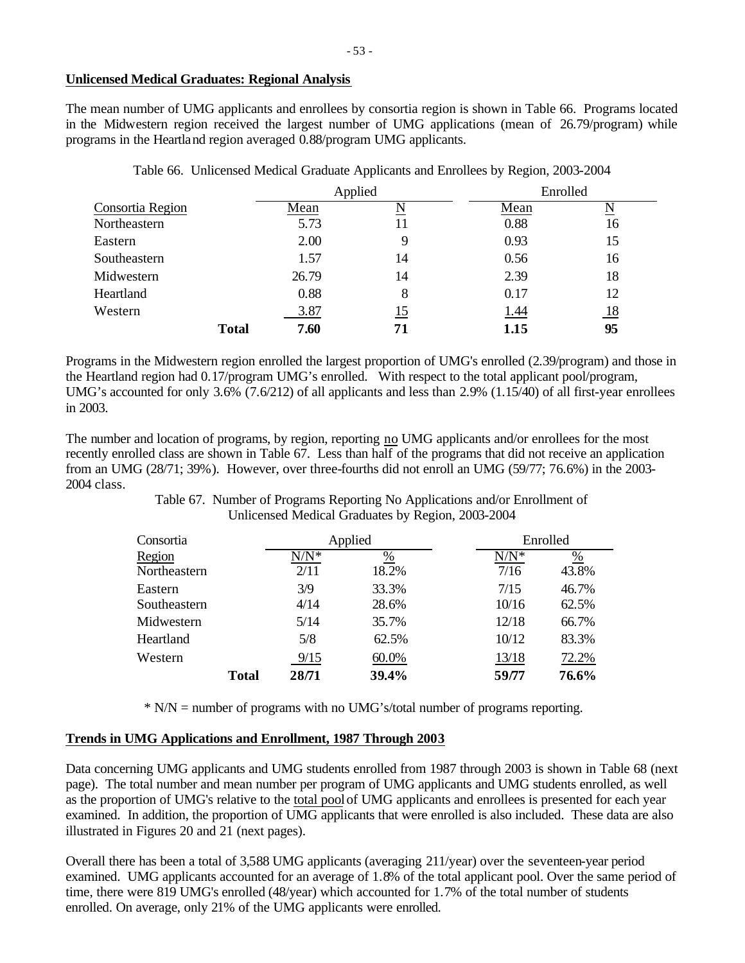The mean number of UMG applicants and enrollees by consortia region is shown in Table 66. Programs located in the Midwestern region received the largest number of UMG applications (mean of 26.79/program) while programs in the Heartland region averaged 0.88/program UMG applicants.

|                  |              |       | Applied    |             | Enrolled                 |
|------------------|--------------|-------|------------|-------------|--------------------------|
| Consortia Region |              | Mean  | N          | Mean        | $\underline{\mathbf{N}}$ |
| Northeastern     |              | 5.73  | 11         | 0.88        | 16                       |
| Eastern          |              | 2.00  |            | 0.93        | 15                       |
| Southeastern     |              | 1.57  | 14         | 0.56        | 16                       |
| Midwestern       |              | 26.79 | 14         | 2.39        | 18                       |
| Heartland        |              | 0.88  | 8          | 0.17        | 12                       |
| Western          |              | 3.87  | <u> 15</u> | <u>1.44</u> | <u>18</u>                |
|                  | <b>Total</b> | 7.60  | 71         | 1.15        | 95                       |

Table 66. Unlicensed Medical Graduate Applicants and Enrollees by Region, 2003-2004

Programs in the Midwestern region enrolled the largest proportion of UMG's enrolled (2.39/program) and those in the Heartland region had 0.17/program UMG's enrolled. With respect to the total applicant pool/program, UMG's accounted for only 3.6% (7.6/212) of all applicants and less than 2.9% (1.15/40) of all first-year enrollees in 2003.

The number and location of programs, by region, reporting no UMG applicants and/or enrollees for the most recently enrolled class are shown in Table 67. Less than half of the programs that did not receive an application from an UMG (28/71; 39%). However, over three-fourths did not enroll an UMG (59/77; 76.6%) in the 2003- 2004 class.

> Table 67. Number of Programs Reporting No Applications and/or Enrollment of Unlicensed Medical Graduates by Region, 2003-2004

| Consortia    |              | Applied |       |         | Enrolled      |
|--------------|--------------|---------|-------|---------|---------------|
| Region       |              | $N/N^*$ | %     | $N/N^*$ | $\frac{0}{0}$ |
| Northeastern |              | 2/11    | 18.2% | 7/16    | 43.8%         |
| Eastern      |              | 3/9     | 33.3% | 7/15    | 46.7%         |
| Southeastern |              | 4/14    | 28.6% | 10/16   | 62.5%         |
| Midwestern   |              | 5/14    | 35.7% | 12/18   | 66.7%         |
| Heartland    |              | 5/8     | 62.5% | 10/12   | 83.3%         |
| Western      |              | 9/15    | 60.0% | 13/18   | 72.2%         |
|              | <b>Total</b> | 28/71   | 39.4% | 59/77   | 76.6%         |

\* N/N = number of programs with no UMG's/total number of programs reporting.

# **Trends in UMG Applications and Enrollment, 1987 Through 2003**

Data concerning UMG applicants and UMG students enrolled from 1987 through 2003 is shown in Table 68 (next page). The total number and mean number per program of UMG applicants and UMG students enrolled, as well as the proportion of UMG's relative to the total pool of UMG applicants and enrollees is presented for each year examined. In addition, the proportion of UMG applicants that were enrolled is also included. These data are also illustrated in Figures 20 and 21 (next pages).

Overall there has been a total of 3,588 UMG applicants (averaging 211/year) over the seventeen-year period examined. UMG applicants accounted for an average of 1.8% of the total applicant pool. Over the same period of time, there were 819 UMG's enrolled (48/year) which accounted for 1.7% of the total number of students enrolled. On average, only 21% of the UMG applicants were enrolled.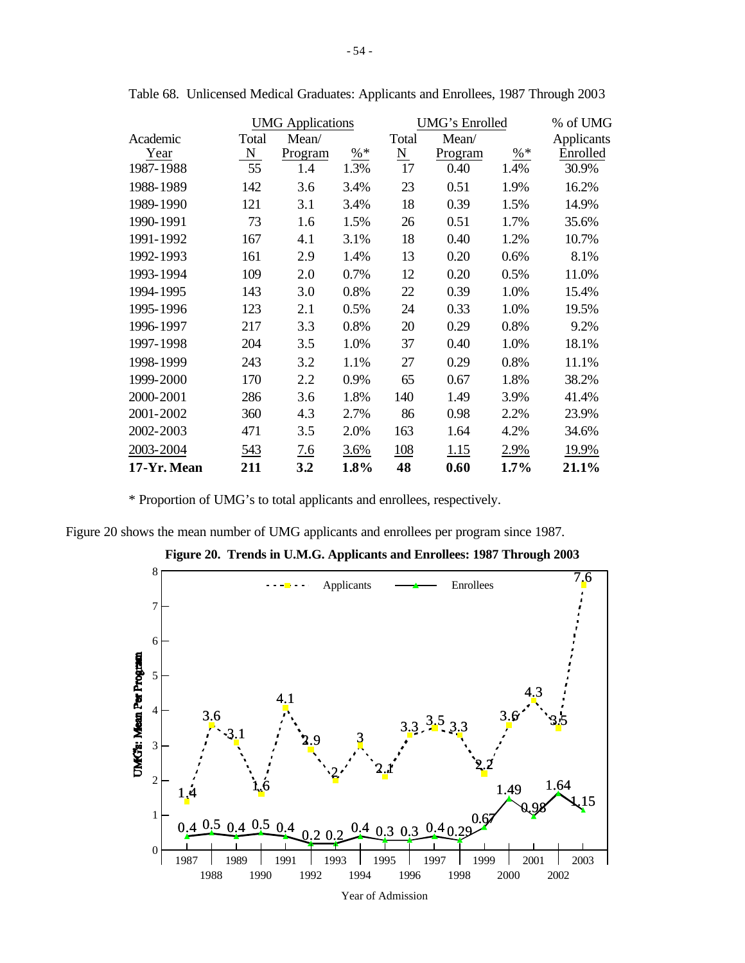|             |       | <b>UMG</b> Applications |                 |                     | <b>UMG's Enrolled</b> | % of UMG                 |            |
|-------------|-------|-------------------------|-----------------|---------------------|-----------------------|--------------------------|------------|
| Academic    | Total | Mean/                   |                 | Total               | Mean/                 |                          | Applicants |
| Year        | N     | Program                 | $\frac{9}{6}$ * | $\underline{\rm N}$ | Program               | $\frac{\%}{\frac{1}{2}}$ | Enrolled   |
| 1987-1988   | 55    | 1.4                     | 1.3%            | 17                  | 0.40                  | 1.4%                     | 30.9%      |
| 1988-1989   | 142   | 3.6                     | 3.4%            | 23                  | 0.51                  | 1.9%                     | 16.2%      |
| 1989-1990   | 121   | 3.1                     | 3.4%            | 18                  | 0.39                  | 1.5%                     | 14.9%      |
| 1990-1991   | 73    | 1.6                     | 1.5%            | 26                  | 0.51                  | 1.7%                     | 35.6%      |
| 1991-1992   | 167   | 4.1                     | 3.1%            | 18                  | 0.40                  | 1.2%                     | 10.7%      |
| 1992-1993   | 161   | 2.9                     | 1.4%            | 13                  | 0.20                  | 0.6%                     | 8.1%       |
| 1993-1994   | 109   | 2.0                     | 0.7%            | 12                  | 0.20                  | 0.5%                     | 11.0%      |
| 1994-1995   | 143   | 3.0                     | 0.8%            | 22                  | 0.39                  | 1.0%                     | 15.4%      |
| 1995-1996   | 123   | 2.1                     | 0.5%            | 24                  | 0.33                  | 1.0%                     | 19.5%      |
| 1996-1997   | 217   | 3.3                     | 0.8%            | 20                  | 0.29                  | 0.8%                     | 9.2%       |
| 1997-1998   | 204   | 3.5                     | 1.0%            | 37                  | 0.40                  | 1.0%                     | 18.1%      |
| 1998-1999   | 243   | 3.2                     | 1.1%            | 27                  | 0.29                  | 0.8%                     | 11.1%      |
| 1999-2000   | 170   | 2.2                     | 0.9%            | 65                  | 0.67                  | 1.8%                     | 38.2%      |
| 2000-2001   | 286   | 3.6                     | 1.8%            | 140                 | 1.49                  | 3.9%                     | 41.4%      |
| 2001-2002   | 360   | 4.3                     | 2.7%            | 86                  | 0.98                  | 2.2%                     | 23.9%      |
| 2002-2003   | 471   | 3.5                     | 2.0%            | 163                 | 1.64                  | 4.2%                     | 34.6%      |
| 2003-2004   | 543   | 7.6                     | 3.6%            | <u>108</u>          | 1.15                  | 2.9%                     | 19.9%      |
| 17-Yr. Mean | 211   | 3.2                     | 1.8%            | 48                  | 0.60                  | 1.7%                     | 21.1%      |

Table 68. Unlicensed Medical Graduates: Applicants and Enrollees, 1987 Through 2003

\* Proportion of UMG's to total applicants and enrollees, respectively.

Figure 20 shows the mean number of UMG applicants and enrollees per program since 1987.



**Figure 20. Trends in U.M.G. Applicants and Enrollees: 1987 Through 2003**

Year of Admission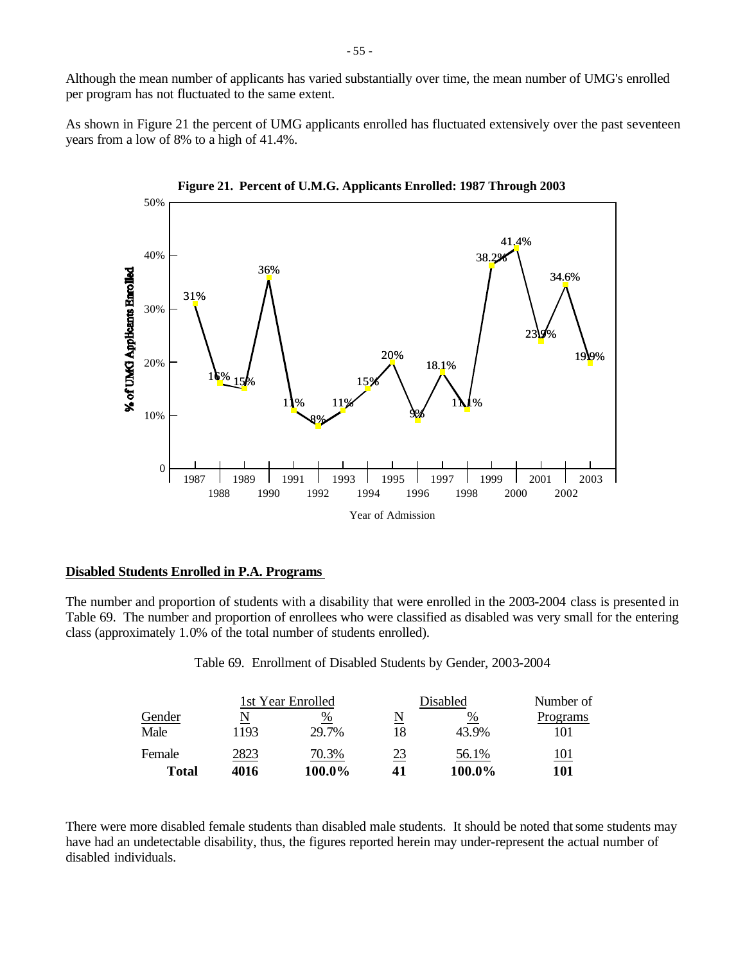Although the mean number of applicants has varied substantially over time, the mean number of UMG's enrolled per program has not fluctuated to the same extent.

As shown in Figure 21 the percent of UMG applicants enrolled has fluctuated extensively over the past seventeen years from a low of 8% to a high of 41.4%.





#### **Disabled Students Enrolled in P.A. Programs**

The number and proportion of students with a disability that were enrolled in the 2003-2004 class is presented in Table 69. The number and proportion of enrollees who were classified as disabled was very small for the entering class (approximately 1.0% of the total number of students enrolled).

Table 69. Enrollment of Disabled Students by Gender, 2003-2004

|        |      | 1st Year Enrolled |    | Disabled | Number of   |
|--------|------|-------------------|----|----------|-------------|
| Gender |      | %                 | N  | %        | Programs    |
| Male   | 1193 | 29.7%             | 18 | 43.9%    | 101         |
| Female | 2823 | 70.3%             | 23 | 56.1%    | <u> 101</u> |
| Total  | 4016 | 100.0%            | 41 | 100.0%   | 101         |

There were more disabled female students than disabled male students. It should be noted that some students may have had an undetectable disability, thus, the figures reported herein may under-represent the actual number of disabled individuals.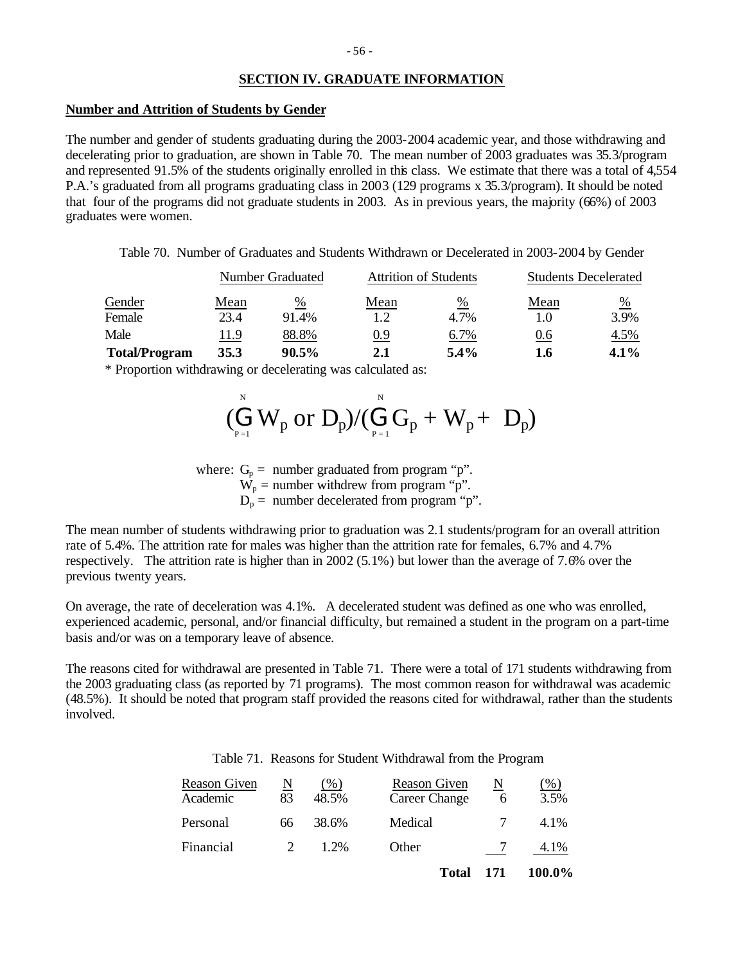# **SECTION IV. GRADUATE INFORMATION**

#### **Number and Attrition of Students by Gender**

The number and gender of students graduating during the 2003-2004 academic year, and those withdrawing and decelerating prior to graduation, are shown in Table 70. The mean number of 2003 graduates was 35.3/program and represented 91.5% of the students originally enrolled in this class. We estimate that there was a total of 4,554 P.A.'s graduated from all programs graduating class in 2003 (129 programs x 35.3/program). It should be noted that four of the programs did not graduate students in 2003. As in previous years, the majority (66%) of 2003 graduates were women.

Table 70. Number of Graduates and Students Withdrawn or Decelerated in 2003-2004 by Gender

|                      |      | Number Graduated |            | <b>Attrition of Students</b> | <b>Students Decelerated</b> |         |
|----------------------|------|------------------|------------|------------------------------|-----------------------------|---------|
| Gender               | Mean | %                | Mean       | %                            | Mean                        | %       |
| Female               | 23.4 | 91.4%            | 1.2        | 4.7%                         | 1.0                         | 3.9%    |
| Male                 | 11.9 | 88.8%            | <u>0.9</u> | 6.7%                         | 0.6                         | 4.5%    |
| <b>Total/Program</b> | 35.3 | 90.5%            | 2.1        | $5.4\%$                      | 1.6                         | $4.1\%$ |

\* Proportion withdrawing or decelerating was calculated as:

$$
(\stackrel{\scriptscriptstyle{N}}{\underset{\scriptscriptstyle{P=1}}{\bigoplus}}W_p~\textrm{or}~D_p)/(\stackrel{\scriptscriptstyle{N}}{\underset{\scriptscriptstyle{P=1}}{\bigoplus}}G_p+W_p+\ D_p)
$$

where:  $G_p =$  number graduated from program "p".

 $W_p$  = number withdrew from program "p".

 $D_p$  = number decelerated from program "p".

The mean number of students withdrawing prior to graduation was 2.1 students/program for an overall attrition rate of 5.4%. The attrition rate for males was higher than the attrition rate for females, 6.7% and 4.7% respectively. The attrition rate is higher than in 2002 (5.1%) but lower than the average of 7.6% over the previous twenty years.

On average, the rate of deceleration was 4.1%. A decelerated student was defined as one who was enrolled, experienced academic, personal, and/or financial difficulty, but remained a student in the program on a part-time basis and/or was on a temporary leave of absence.

The reasons cited for withdrawal are presented in Table 71. There were a total of 171 students withdrawing from the 2003 graduating class (as reported by 71 programs). The most common reason for withdrawal was academic (48.5%). It should be noted that program staff provided the reasons cited for withdrawal, rather than the students involved.

|  |  |  | Table 71. Reasons for Student Withdrawal from the Program |  |  |
|--|--|--|-----------------------------------------------------------|--|--|
|--|--|--|-----------------------------------------------------------|--|--|

| Reason Given<br>Academic | N<br>83 | $($ %)<br>48.5% | Reason Given<br><b>Career Change</b> | N<br>6 | $(\%)$<br>3.5% |
|--------------------------|---------|-----------------|--------------------------------------|--------|----------------|
| Personal                 | 66      | 38.6%           | Medical                              |        | 4.1%           |
| Financial                | 2       | 1.2%            | Other                                |        | 4.1%           |
|                          |         |                 | <b>Total</b>                         | 171    | 100.0%         |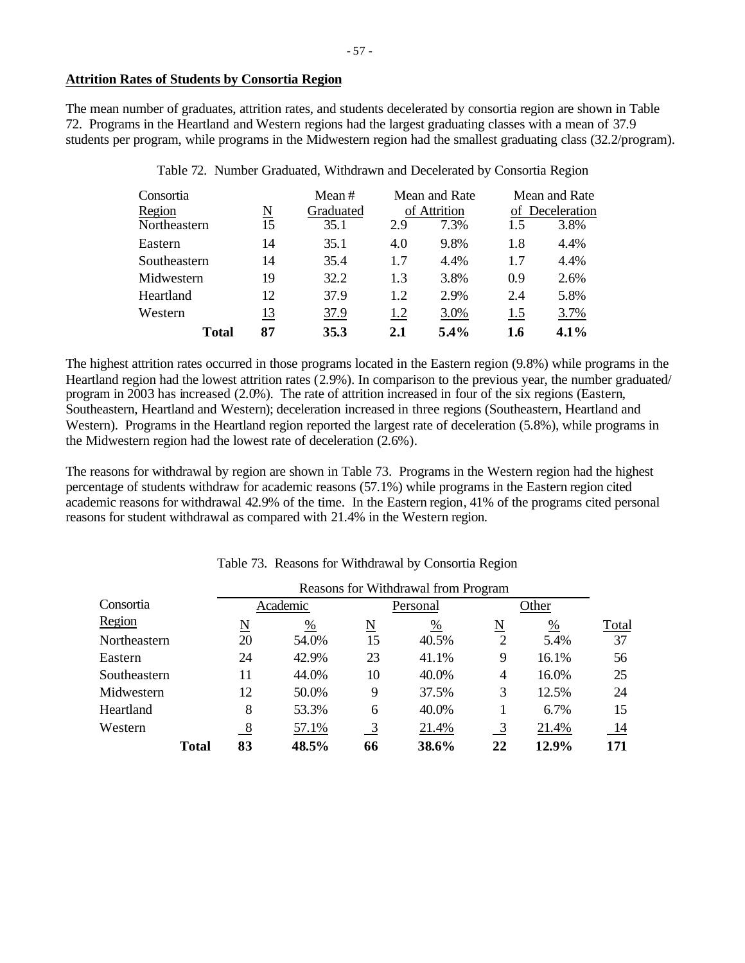## **Attrition Rates of Students by Consortia Region**

The mean number of graduates, attrition rates, and students decelerated by consortia region are shown in Table 72. Programs in the Heartland and Western regions had the largest graduating classes with a mean of 37.9 students per program, while programs in the Midwestern region had the smallest graduating class (32.2/program).

| Consortia    |    | Mean#     |              | Mean and Rate | Mean and Rate   |      |  |
|--------------|----|-----------|--------------|---------------|-----------------|------|--|
| Region       | N  | Graduated | of Attrition |               | of Deceleration |      |  |
| Northeastern | 15 | 35.1      | 2.9          | 7.3%          | 1.5             | 3.8% |  |
| Eastern      | 14 | 35.1      | 4.0          | 9.8%          | 1.8             | 4.4% |  |
| Southeastern | 14 | 35.4      | 1.7          | 4.4%          | 1.7             | 4.4% |  |
| Midwestern   | 19 | 32.2      | 1.3          | 3.8%          | 0.9             | 2.6% |  |
| Heartland    | 12 | 37.9      | 1.2          | 2.9%          | 2.4             | 5.8% |  |
| Western      | 13 | 37.9      | 1.2          | 3.0%          | 1.5             | 3.7% |  |
| <b>Total</b> | 87 | 35.3      | 2.1          | 5.4%          | 1.6             | 4.1% |  |

Table 72. Number Graduated, Withdrawn and Decelerated by Consortia Region

The highest attrition rates occurred in those programs located in the Eastern region (9.8%) while programs in the Heartland region had the lowest attrition rates (2.9%). In comparison to the previous year, the number graduated/ program in 2003 has increased (2.0%). The rate of attrition increased in four of the six regions (Eastern, Southeastern, Heartland and Western); deceleration increased in three regions (Southeastern, Heartland and Western). Programs in the Heartland region reported the largest rate of deceleration (5.8%), while programs in the Midwestern region had the lowest rate of deceleration (2.6%).

The reasons for withdrawal by region are shown in Table 73. Programs in the Western region had the highest percentage of students withdraw for academic reasons (57.1%) while programs in the Eastern region cited academic reasons for withdrawal 42.9% of the time. In the Eastern region, 41% of the programs cited personal reasons for student withdrawal as compared with 21.4% in the Western region.

|              | Reasons for Withdrawal from Program |                     |               |          |          |                          |       |       |
|--------------|-------------------------------------|---------------------|---------------|----------|----------|--------------------------|-------|-------|
| Consortia    |                                     |                     | Academic      |          | Personal | Other                    |       |       |
| Region       |                                     | $\underline{\rm N}$ | $\frac{0}{0}$ | <u>N</u> | %        | $\underline{\mathrm{N}}$ | %     | Total |
| Northeastern |                                     | 20                  | 54.0%         | 15       | 40.5%    | $\overline{2}$           | 5.4%  | 37    |
| Eastern      |                                     | 24                  | 42.9%         | 23       | 41.1%    | 9                        | 16.1% | 56    |
| Southeastern |                                     | 11                  | 44.0%         | 10       | 40.0%    | 4                        | 16.0% | 25    |
| Midwestern   |                                     | 12                  | 50.0%         | 9        | 37.5%    | 3                        | 12.5% | 24    |
| Heartland    |                                     | 8                   | 53.3%         | 6        | 40.0%    |                          | 6.7%  | 15    |
| Western      |                                     | -8                  | 57.1%         | 3        | 21.4%    |                          | 21.4% | 14    |
|              | Total                               | 83                  | 48.5%         | 66       | 38.6%    | 22                       | 12.9% | 171   |

Table 73. Reasons for Withdrawal by Consortia Region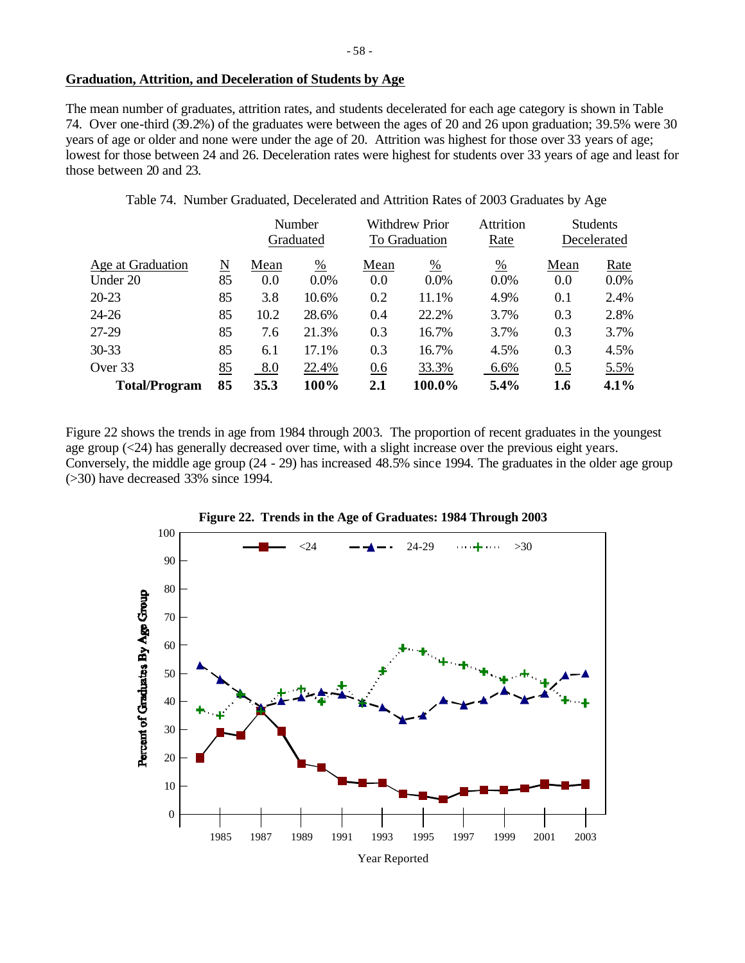The mean number of graduates, attrition rates, and students decelerated for each age category is shown in Table 74. Over one-third (39.2%) of the graduates were between the ages of 20 and 26 upon graduation; 39.5% were 30 years of age or older and none were under the age of 20. Attrition was highest for those over 33 years of age; lowest for those between 24 and 26. Deceleration rates were highest for students over 33 years of age and least for those between 20 and 23.

Table 74. Number Graduated, Decelerated and Attrition Rates of 2003 Graduates by Age

|                      |    | Number |                 |      | <b>Withdrew Prior</b> |               | <b>Students</b> |             |
|----------------------|----|--------|-----------------|------|-----------------------|---------------|-----------------|-------------|
|                      |    |        | Graduated       |      | To Graduation         | Rate          |                 | Decelerated |
| Age at Graduation    | N  | Mean   | $\frac{\%}{\ }$ | Mean | $\frac{0}{0}$         | $\frac{0}{0}$ | Mean            | Rate        |
| Under 20             | 85 | 0.0    | $0.0\%$         | 0.0  | $0.0\%$               | $0.0\%$       | 0.0             | $0.0\%$     |
| $20 - 23$            | 85 | 3.8    | 10.6%           | 0.2  | 11.1%                 | 4.9%          | 0.1             | 2.4%        |
| $24 - 26$            | 85 | 10.2   | 28.6%           | 0.4  | 22.2%                 | 3.7%          | 0.3             | 2.8%        |
| 27-29                | 85 | 7.6    | 21.3%           | 0.3  | 16.7%                 | 3.7%          | 0.3             | 3.7%        |
| $30 - 33$            | 85 | 6.1    | 17.1%           | 0.3  | 16.7%                 | 4.5%          | 0.3             | 4.5%        |
| Over 33              | 85 | 8.0    | 22.4%           | 0.6  | 33.3%                 | 6.6%          | 0.5             | 5.5%        |
| <b>Total/Program</b> | 85 | 35.3   | 100%            | 2.1  | 100.0%                | 5.4%          | 1.6             | 4.1%        |

Figure 22 shows the trends in age from 1984 through 2003. The proportion of recent graduates in the youngest age group (<24) has generally decreased over time, with a slight increase over the previous eight years. Conversely, the middle age group (24 - 29) has increased 48.5% since 1994. The graduates in the older age group (>30) have decreased 33% since 1994.

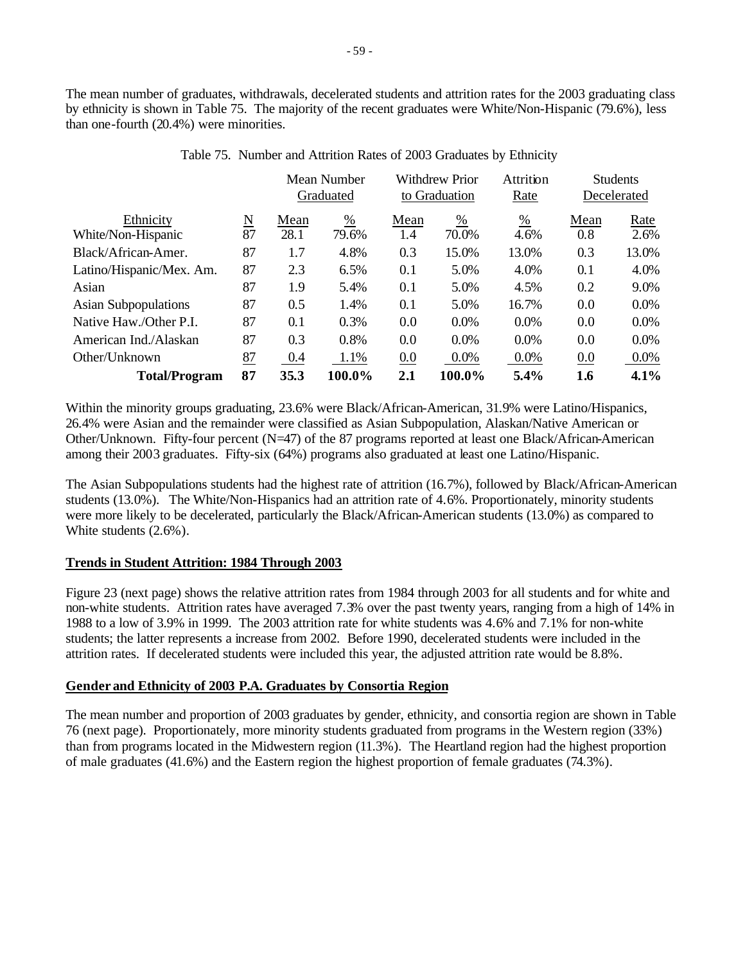The mean number of graduates, withdrawals, decelerated students and attrition rates for the 2003 graduating class by ethnicity is shown in Table 75. The majority of the recent graduates were White/Non-Hispanic (79.6%), less than one-fourth (20.4%) were minorities.

|                             |                          |      | Mean Number<br>Graduated | <b>Withdrew Prior</b><br>to Graduation |               | Attrition<br>Rate |      | <b>Students</b><br>Decelerated |
|-----------------------------|--------------------------|------|--------------------------|----------------------------------------|---------------|-------------------|------|--------------------------------|
| Ethnicity                   | $\underline{\mathbf{N}}$ | Mean | $\frac{0}{0}$            | Mean                                   | $\frac{0}{0}$ | $\frac{0}{0}$     | Mean | Rate                           |
| White/Non-Hispanic          | 87                       | 28.1 | 79.6%                    | 1.4                                    | 70.0%         | 4.6%              | 0.8  | 2.6%                           |
| Black/African-Amer.         | 87                       | 1.7  | 4.8%                     | 0.3                                    | 15.0%         | 13.0%             | 0.3  | 13.0%                          |
| Latino/Hispanic/Mex. Am.    | 87                       | 2.3  | 6.5%                     | 0.1                                    | 5.0%          | 4.0%              | 0.1  | 4.0%                           |
| Asian                       | 87                       | 1.9  | 5.4%                     | 0.1                                    | 5.0%          | 4.5%              | 0.2  | 9.0%                           |
| <b>Asian Subpopulations</b> | 87                       | 0.5  | 1.4%                     | 0.1                                    | 5.0%          | 16.7%             | 0.0  | 0.0%                           |
| Native Haw./Other P.I.      | 87                       | 0.1  | 0.3%                     | 0.0                                    | 0.0%          | 0.0%              | 0.0  | 0.0%                           |
| American Ind./Alaskan       | 87                       | 0.3  | 0.8%                     | 0.0                                    | $0.0\%$       | 0.0%              | 0.0  | 0.0%                           |
| Other/Unknown               | 87                       | 0.4  | 1.1%                     | 0.0                                    | $0.0\%$       | $0.0\%$           | 0.0  | $0.0\%$                        |
| <b>Total/Program</b>        | 87                       | 35.3 | 100.0%                   | 2.1                                    | 100.0%        | 5.4%              | 1.6  | 4.1%                           |

# Table 75. Number and Attrition Rates of 2003 Graduates by Ethnicity

Within the minority groups graduating, 23.6% were Black/African-American, 31.9% were Latino/Hispanics, 26.4% were Asian and the remainder were classified as Asian Subpopulation, Alaskan/Native American or Other/Unknown. Fifty-four percent (N=47) of the 87 programs reported at least one Black/African-American among their 2003 graduates. Fifty-six (64%) programs also graduated at least one Latino/Hispanic.

The Asian Subpopulations students had the highest rate of attrition (16.7%), followed by Black/African-American students (13.0%). The White/Non-Hispanics had an attrition rate of 4.6%. Proportionately, minority students were more likely to be decelerated, particularly the Black/African-American students (13.0%) as compared to White students (2.6%).

# **Trends in Student Attrition: 1984 Through 2003**

Figure 23 (next page) shows the relative attrition rates from 1984 through 2003 for all students and for white and non-white students. Attrition rates have averaged 7.3% over the past twenty years, ranging from a high of 14% in 1988 to a low of 3.9% in 1999. The 2003 attrition rate for white students was 4.6% and 7.1% for non-white students; the latter represents a increase from 2002. Before 1990, decelerated students were included in the attrition rates. If decelerated students were included this year, the adjusted attrition rate would be 8.8%.

# **Gender and Ethnicity of 2003 P.A. Graduates by Consortia Region**

The mean number and proportion of 2003 graduates by gender, ethnicity, and consortia region are shown in Table 76 (next page). Proportionately, more minority students graduated from programs in the Western region (33%) than from programs located in the Midwestern region (11.3%). The Heartland region had the highest proportion of male graduates (41.6%) and the Eastern region the highest proportion of female graduates (74.3%).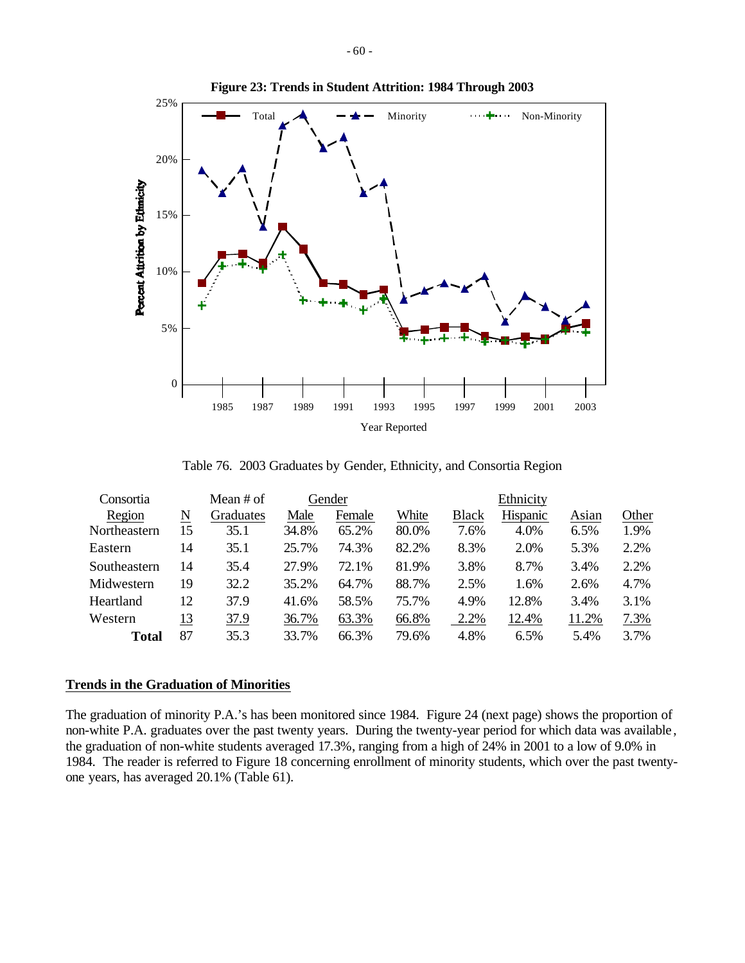

#### **Figure 23: Trends in Student Attrition: 1984 Through 2003**

Table 76. 2003 Graduates by Gender, Ethnicity, and Consortia Region

| Consortia    |    | Mean $#$ of |       | Gender |       |              | Ethnicity |       |       |
|--------------|----|-------------|-------|--------|-------|--------------|-----------|-------|-------|
| Region       | N  | Graduates   | Male  | Female | White | <b>Black</b> | Hispanic  | Asian | Other |
| Northeastern | 15 | 35.1        | 34.8% | 65.2%  | 80.0% | 7.6%         | 4.0%      | 6.5%  | 1.9%  |
| Eastern      | 14 | 35.1        | 25.7% | 74.3%  | 82.2% | 8.3%         | 2.0%      | 5.3%  | 2.2%  |
| Southeastern | 14 | 35.4        | 27.9% | 72.1%  | 81.9% | 3.8%         | 8.7%      | 3.4%  | 2.2%  |
| Midwestern   | 19 | 32.2        | 35.2% | 64.7%  | 88.7% | 2.5%         | 1.6%      | 2.6%  | 4.7%  |
| Heartland    | 12 | 37.9        | 41.6% | 58.5%  | 75.7% | 4.9%         | 12.8%     | 3.4%  | 3.1%  |
| Western      | 13 | 37.9        | 36.7% | 63.3%  | 66.8% | 2.2%         | 12.4%     | 11.2% | 7.3%  |
| Total        | 87 | 35.3        | 33.7% | 66.3%  | 79.6% | 4.8%         | 6.5%      | 5.4%  | 3.7%  |

## **Trends in the Graduation of Minorities**

The graduation of minority P.A.'s has been monitored since 1984. Figure 24 (next page) shows the proportion of non-white P.A. graduates over the past twenty years. During the twenty-year period for which data was available , the graduation of non-white students averaged 17.3%, ranging from a high of 24% in 2001 to a low of 9.0% in 1984. The reader is referred to Figure 18 concerning enrollment of minority students, which over the past twentyone years, has averaged 20.1% (Table 61).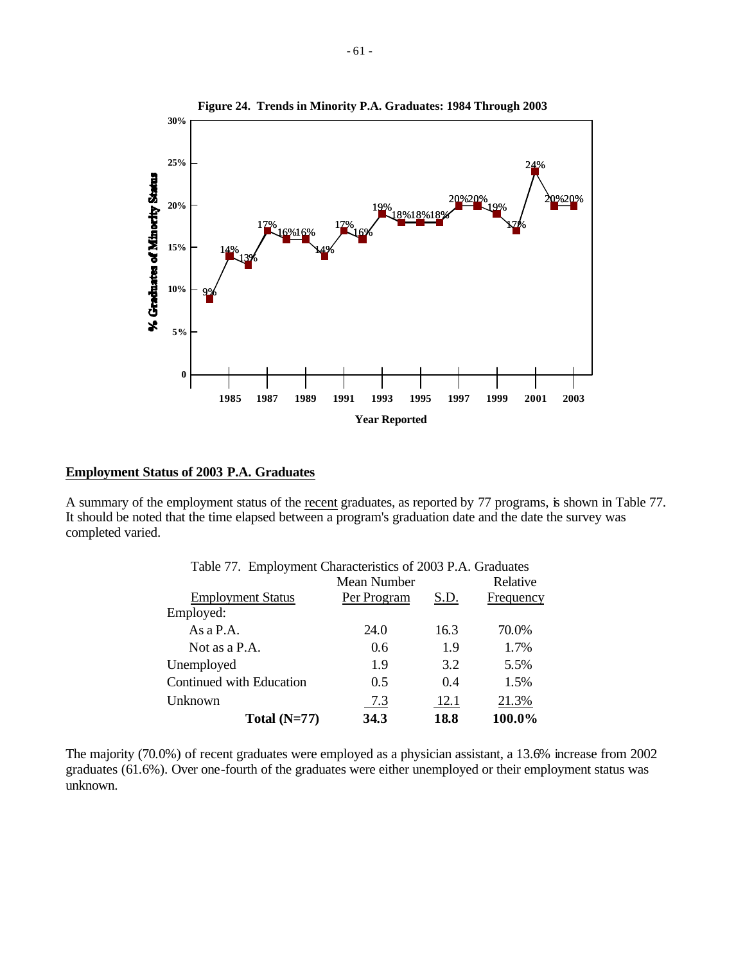

## **Employment Status of 2003 P.A. Graduates**

A summary of the employment status of the recent graduates, as reported by 77 programs, is shown in Table 77. It should be noted that the time elapsed between a program's graduation date and the date the survey was completed varied.

|                          | Table 77. Employment Characteristics of 2003 P.A. Graduates |      |           |  |  |  |  |  |  |  |  |
|--------------------------|-------------------------------------------------------------|------|-----------|--|--|--|--|--|--|--|--|
|                          | Mean Number                                                 |      | Relative  |  |  |  |  |  |  |  |  |
| <b>Employment Status</b> | Per Program                                                 | S.D. | Frequency |  |  |  |  |  |  |  |  |
| Employed:                |                                                             |      |           |  |  |  |  |  |  |  |  |
| As $a$ P.A.              | 24.0                                                        | 16.3 | 70.0%     |  |  |  |  |  |  |  |  |
| Not as a P.A.            | 0.6                                                         | 1.9  | 1.7%      |  |  |  |  |  |  |  |  |
| Unemployed               | 1.9                                                         | 3.2  | 5.5%      |  |  |  |  |  |  |  |  |
| Continued with Education | 0.5                                                         | 0.4  | 1.5%      |  |  |  |  |  |  |  |  |
| Unknown                  | 7.3                                                         | 12.1 | 21.3%     |  |  |  |  |  |  |  |  |
| Total $(N=77)$           | 34.3                                                        | 18.8 | 100.0%    |  |  |  |  |  |  |  |  |

The majority (70.0%) of recent graduates were employed as a physician assistant, a 13.6% increase from 2002 graduates (61.6%). Over one-fourth of the graduates were either unemployed or their employment status was unknown.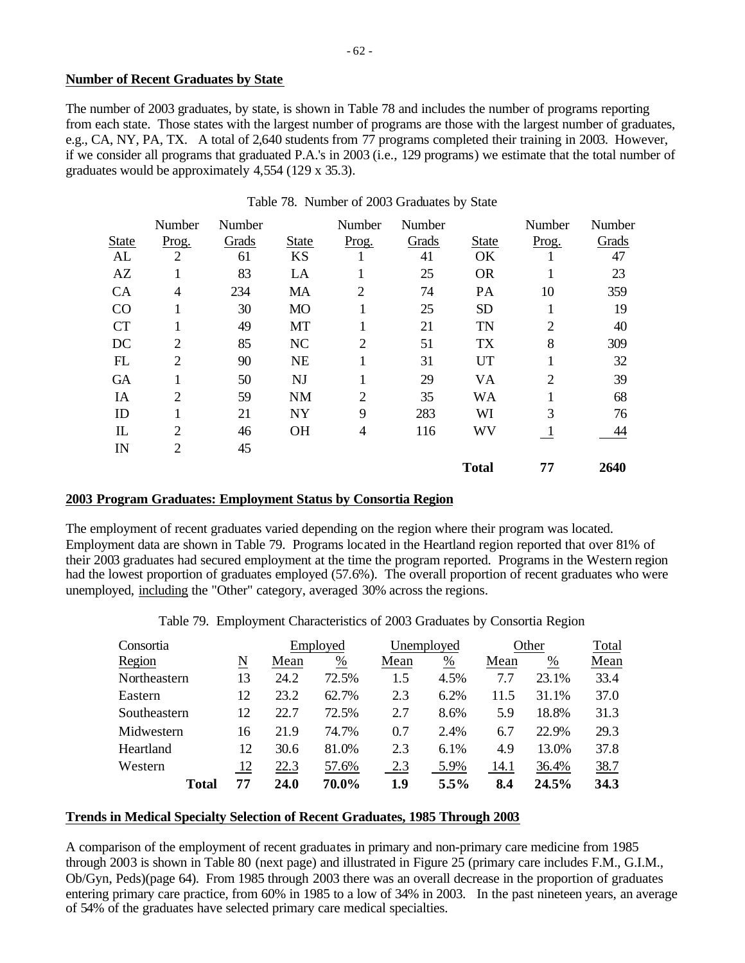## **Number of Recent Graduates by State**

The number of 2003 graduates, by state, is shown in Table 78 and includes the number of programs reporting from each state. Those states with the largest number of programs are those with the largest number of graduates, e.g., CA, NY, PA, TX. A total of 2,640 students from 77 programs completed their training in 2003. However, if we consider all programs that graduated P.A.'s in 2003 (i.e., 129 programs) we estimate that the total number of graduates would be approximately 4,554 (129 x 35.3).

|              | Number         | Number |              | Number         | Number |              | Number         | Number |
|--------------|----------------|--------|--------------|----------------|--------|--------------|----------------|--------|
| <b>State</b> | Prog.          | Grads  | <b>State</b> | Prog.          | Grads  | <b>State</b> | Prog.          | Grads  |
| AL           | $\overline{2}$ | 61     | <b>KS</b>    | 1              | 41     | OK           | 1              | 47     |
| AZ           |                | 83     | LA           | 1              | 25     | <b>OR</b>    |                | 23     |
| CA           | 4              | 234    | MA           | $\overline{2}$ | 74     | PA           | 10             | 359    |
| CO           | 1              | 30     | <b>MO</b>    | 1              | 25     | <b>SD</b>    | 1              | 19     |
| <b>CT</b>    | 1              | 49     | MT           | 1              | 21     | <b>TN</b>    | $\overline{2}$ | 40     |
| DC           | $\overline{2}$ | 85     | <b>NC</b>    | $\overline{2}$ | 51     | <b>TX</b>    | 8              | 309    |
| FL           | $\overline{2}$ | 90     | <b>NE</b>    | 1              | 31     | <b>UT</b>    | 1              | 32     |
| <b>GA</b>    |                | 50     | NJ           | 1              | 29     | VA           | $\overline{2}$ | 39     |
| IA           | 2              | 59     | <b>NM</b>    | $\overline{2}$ | 35     | <b>WA</b>    | 1              | 68     |
| ID           |                | 21     | <b>NY</b>    | 9              | 283    | WI           | 3              | 76     |
| IL           | 2              | 46     | <b>OH</b>    | $\overline{4}$ | 116    | WV           | $\mathbf{I}$   | 44     |
| $_{\rm IN}$  | 2              | 45     |              |                |        |              |                |        |
|              |                |        |              |                |        | <b>Total</b> | 77             | 2640   |

## Table 78. Number of 2003 Graduates by State

# **2003 Program Graduates: Employment Status by Consortia Region**

The employment of recent graduates varied depending on the region where their program was located. Employment data are shown in Table 79. Programs located in the Heartland region reported that over 81% of their 2003 graduates had secured employment at the time the program reported. Programs in the Western region had the lowest proportion of graduates employed (57.6%). The overall proportion of recent graduates who were unemployed, including the "Other" category, averaged 30% across the regions.

Table 79. Employment Characteristics of 2003 Graduates by Consortia Region

| Consortia    |    |      | Employed |      | Unemployed      |      | Other | Total |
|--------------|----|------|----------|------|-----------------|------|-------|-------|
| Region       | N  | Mean | %        | Mean | $\frac{\%}{\%}$ | Mean | %     | Mean  |
| Northeastern | 13 | 24.2 | 72.5%    | 1.5  | 4.5%            | 7.7  | 23.1% | 33.4  |
| Eastern      | 12 | 23.2 | 62.7%    | 2.3  | 6.2%            | 11.5 | 31.1% | 37.0  |
| Southeastern | 12 | 22.7 | 72.5%    | 2.7  | 8.6%            | 5.9  | 18.8% | 31.3  |
| Midwestern   | 16 | 21.9 | 74.7%    | 0.7  | 2.4%            | 6.7  | 22.9% | 29.3  |
| Heartland    | 12 | 30.6 | 81.0%    | 2.3  | 6.1%            | 4.9  | 13.0% | 37.8  |
| Western      | 12 | 22.3 | 57.6%    | 2.3  | 5.9%            | 14.1 | 36.4% | 38.7  |
| Total        | 77 | 24.0 | 70.0%    | 1.9  | $5.5\%$         | 8.4  | 24.5% | 34.3  |

#### **Trends in Medical Specialty Selection of Recent Graduates, 1985 Through 2003**

A comparison of the employment of recent graduates in primary and non-primary care medicine from 1985 through 2003 is shown in Table 80 (next page) and illustrated in Figure 25 (primary care includes F.M., G.I.M., Ob/Gyn, Peds)(page 64). From 1985 through 2003 there was an overall decrease in the proportion of graduates entering primary care practice, from 60% in 1985 to a low of 34% in 2003. In the past nineteen years, an average of 54% of the graduates have selected primary care medical specialties.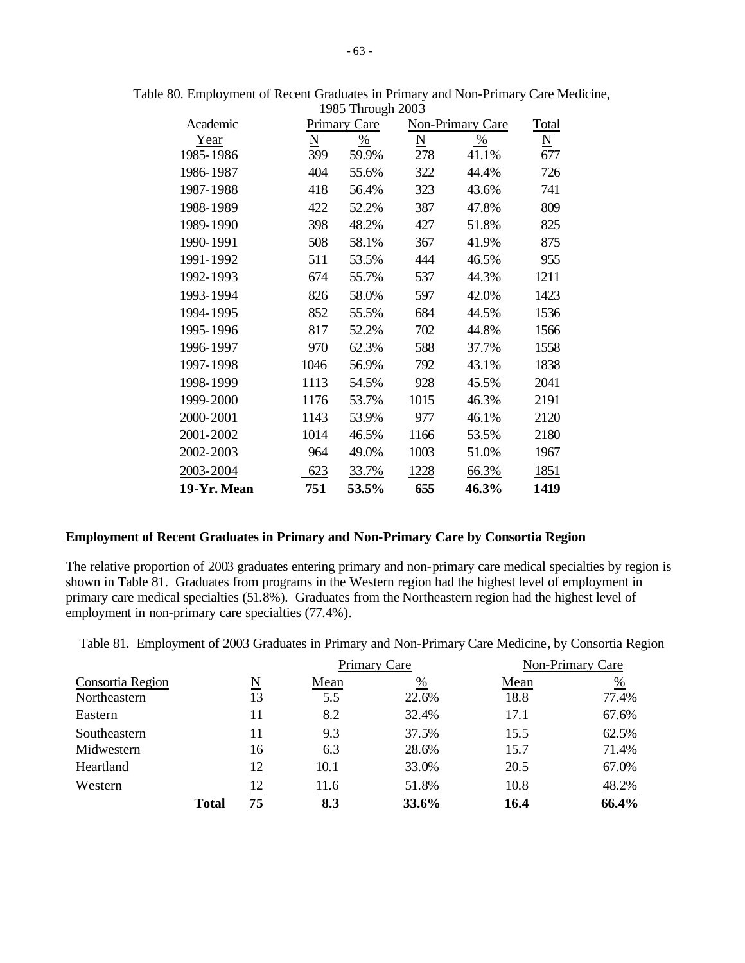| Academic    |                     | $1707$ THROUGH $2007$<br>Primary Care |                 | Non-Primary Care | Total                    |
|-------------|---------------------|---------------------------------------|-----------------|------------------|--------------------------|
| Year        | $\underline{\rm N}$ | $\frac{0}{0}$                         | $\underline{N}$ | $\%$             | $\underline{\mathbf{N}}$ |
| 1985-1986   | 399                 | 59.9%                                 | 278             | 41.1%            | 677                      |
| 1986-1987   | 404                 | 55.6%                                 | 322             | 44.4%            | 726                      |
| 1987-1988   | 418                 | 56.4%                                 | 323             | 43.6%            | 741                      |
| 1988-1989   | 422                 | 52.2%                                 | 387             | 47.8%            | 809                      |
| 1989-1990   | 398                 | 48.2%                                 | 427             | 51.8%            | 825                      |
| 1990-1991   | 508                 | 58.1%                                 | 367             | 41.9%            | 875                      |
| 1991-1992   | 511                 | 53.5%                                 | 444             | 46.5%            | 955                      |
| 1992-1993   | 674                 | 55.7%                                 | 537             | 44.3%            | 1211                     |
| 1993-1994   | 826                 | 58.0%                                 | 597             | 42.0%            | 1423                     |
| 1994-1995   | 852                 | 55.5%                                 | 684             | 44.5%            | 1536                     |
| 1995-1996   | 817                 | 52.2%                                 | 702             | 44.8%            | 1566                     |
| 1996-1997   | 970                 | 62.3%                                 | 588             | 37.7%            | 1558                     |
| 1997-1998   | 1046                | 56.9%                                 | 792             | 43.1%            | 1838                     |
| 1998-1999   | 1113                | 54.5%                                 | 928             | 45.5%            | 2041                     |
| 1999-2000   | 1176                | 53.7%                                 | 1015            | 46.3%            | 2191                     |
| 2000-2001   | 1143                | 53.9%                                 | 977             | 46.1%            | 2120                     |
| 2001-2002   | 1014                | 46.5%                                 | 1166            | 53.5%            | 2180                     |
| 2002-2003   | 964                 | 49.0%                                 | 1003            | 51.0%            | 1967                     |
| 2003-2004   | 623                 | 33.7%                                 | 1228            | 66.3%            | 1851                     |
| 19-Yr. Mean | 751                 | 53.5%                                 | 655             | 46.3%            | 1419                     |

Table 80. Employment of Recent Graduates in Primary and Non-Primary Care Medicine, 1985 Through 2003

#### **Employment of Recent Graduates in Primary and Non-Primary Care by Consortia Region**

The relative proportion of 2003 graduates entering primary and non-primary care medical specialties by region is shown in Table 81. Graduates from programs in the Western region had the highest level of employment in primary care medical specialties (51.8%). Graduates from the Northeastern region had the highest level of employment in non-primary care specialties (77.4%).

Table 81. Employment of 2003 Graduates in Primary and Non-Primary Care Medicine, by Consortia Region

|                  |              |    |      | Primary Care  |      | Non-Primary Care |  |  |
|------------------|--------------|----|------|---------------|------|------------------|--|--|
| Consortia Region |              | N  | Mean | $\frac{0}{0}$ | Mean | $\frac{0}{0}$    |  |  |
| Northeastern     |              | 13 | 5.5  | 22.6%         | 18.8 | 77.4%            |  |  |
| Eastern          |              | 11 | 8.2  | 32.4%         | 17.1 | 67.6%            |  |  |
| Southeastern     |              | 11 | 9.3  | 37.5%         | 15.5 | 62.5%            |  |  |
| Midwestern       |              | 16 | 6.3  | 28.6%         | 15.7 | 71.4%            |  |  |
| Heartland        |              | 12 | 10.1 | 33.0%         | 20.5 | 67.0%            |  |  |
| Western          |              | 12 | 11.6 | 51.8%         | 10.8 | 48.2%            |  |  |
|                  | <b>Total</b> | 75 | 8.3  | 33.6%         | 16.4 | 66.4%            |  |  |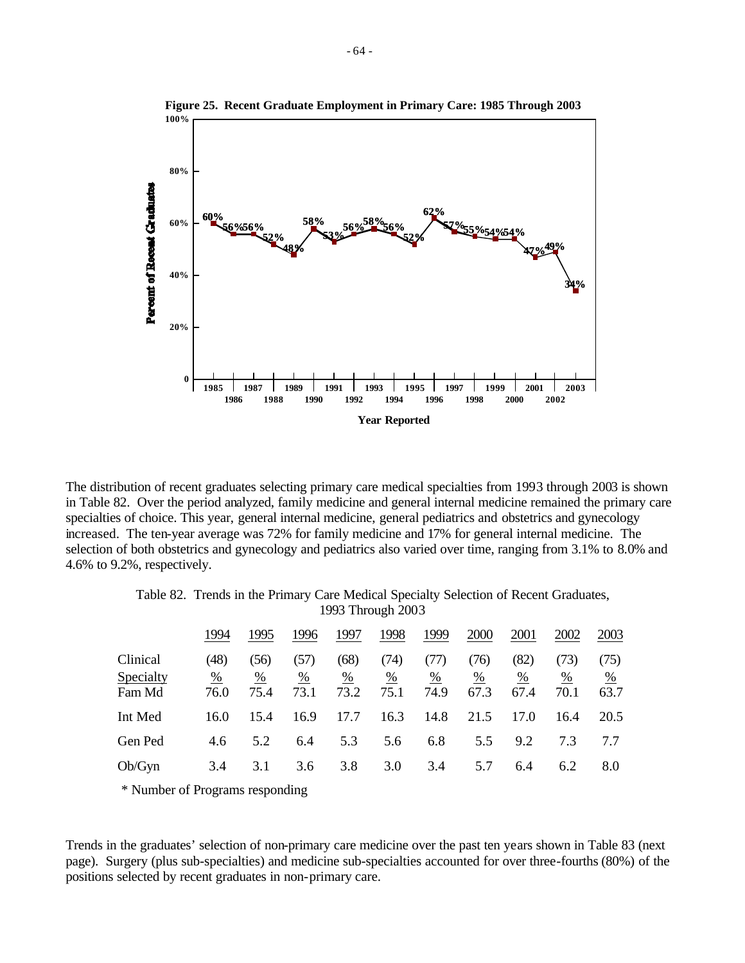

The distribution of recent graduates selecting primary care medical specialties from 1993 through 2003 is shown in Table 82. Over the period analyzed, family medicine and general internal medicine remained the primary care specialties of choice. This year, general internal medicine, general pediatrics and obstetrics and gynecology increased. The ten-year average was 72% for family medicine and 17% for general internal medicine. The selection of both obstetrics and gynecology and pediatrics also varied over time, ranging from 3.1% to 8.0% and 4.6% to 9.2%, respectively.

Table 82. Trends in the Primary Care Medical Specialty Selection of Recent Graduates, 1993 Through 2003

|                                 | 1994                          | 1995              | 1996              | 1997              | 1998              | 1999              | 2000              | 2001              | 2002              | 2003              |
|---------------------------------|-------------------------------|-------------------|-------------------|-------------------|-------------------|-------------------|-------------------|-------------------|-------------------|-------------------|
| Clinical<br>Specialty<br>Fam Md | (48)<br>$\frac{0}{0}$<br>76.0 | (56)<br>%<br>75.4 | (57)<br>%<br>73.1 | (68)<br>%<br>73.2 | (74)<br>%<br>75.1 | (TI)<br>%<br>74.9 | (76)<br>%<br>67.3 | (82)<br>%<br>67.4 | (73)<br>%<br>70.1 | (75)<br>%<br>63.7 |
| Int Med                         | 16.0                          | 15.4              | 16.9              | 17.7              | 16.3              | 14.8              | 21.5              | 17.0              | 16.4              | 20.5              |
| Gen Ped                         | 4.6                           | 5.2               | 6.4               | 5.3               | 5.6               | 6.8               | 5.5               | 9.2               | 7.3               | 7.7               |
| Ob/Gyn                          | 3.4                           | 3.1               | 3.6               | 3.8               | 3.0               | 3.4               | 5.7               | 6.4               | 6.2               | 8.0               |

\* Number of Programs responding

Trends in the graduates' selection of non-primary care medicine over the past ten years shown in Table 83 (next page). Surgery (plus sub-specialties) and medicine sub-specialties accounted for over three-fourths (80%) of the positions selected by recent graduates in non-primary care.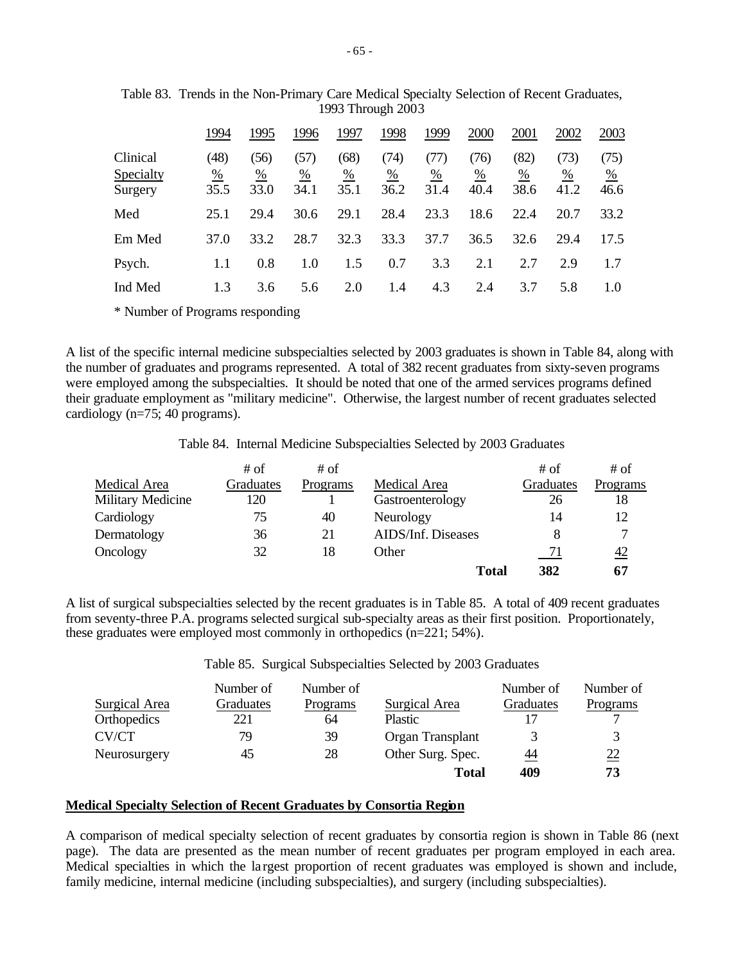|                                  | 1994              | 1995              | 1996                          | 1997              | 1998              | 1999                            | 2000              | 2001              | 2002              | 2003                            |
|----------------------------------|-------------------|-------------------|-------------------------------|-------------------|-------------------|---------------------------------|-------------------|-------------------|-------------------|---------------------------------|
| Clinical<br>Specialty<br>Surgery | (48)<br>%<br>35.5 | (56)<br>%<br>33.0 | (57)<br>$\frac{0}{0}$<br>34.1 | (68)<br>%<br>35.1 | (74)<br>%<br>36.2 | (TI)<br>$\frac{\%}{\%}$<br>31.4 | (76)<br>%<br>40.4 | (82)<br>%<br>38.6 | (73)<br>%<br>41.2 | (75)<br>$\frac{\%}{\%}$<br>46.6 |
| Med                              | 25.1              | 29.4              | 30.6                          | 29.1              | 28.4              | 23.3                            | 18.6              | 22.4              | 20.7              | 33.2                            |
| Em Med                           | 37.0              | 33.2              | 28.7                          | 32.3              | 33.3              | 37.7                            | 36.5              | 32.6              | 29.4              | 17.5                            |
| Psych.                           | 1.1               | 0.8               | 1.0                           | 1.5               | 0.7               | 3.3                             | 2.1               | 2.7               | 2.9               | 1.7                             |
| Ind Med                          | 1.3               | 3.6               | 5.6                           | 2.0               | 1.4               | 4.3                             | 2.4               | 3.7               | 5.8               | 1.0                             |

Table 83. Trends in the Non-Primary Care Medical Specialty Selection of Recent Graduates, 1993 Through 2003

\* Number of Programs responding

A list of the specific internal medicine subspecialties selected by 2003 graduates is shown in Table 84, along with the number of graduates and programs represented. A total of 382 recent graduates from sixty-seven programs were employed among the subspecialties. It should be noted that one of the armed services programs defined their graduate employment as "military medicine". Otherwise, the largest number of recent graduates selected cardiology (n=75; 40 programs).

|  |  |  | Table 84. Internal Medicine Subspecialties Selected by 2003 Graduates |  |  |  |  |
|--|--|--|-----------------------------------------------------------------------|--|--|--|--|
|--|--|--|-----------------------------------------------------------------------|--|--|--|--|

|                   | # of      | # of     |                    | # of      | $#$ of         |
|-------------------|-----------|----------|--------------------|-----------|----------------|
| Medical Area      | Graduates | Programs | Medical Area       | Graduates | Programs       |
| Military Medicine | 120       |          | Gastroenterology   | 26        | 18             |
| Cardiology        | 75        | 40       | Neurology          | 14        | 12             |
| Dermatology       | 36        | 21       | AIDS/Inf. Diseases |           |                |
| Oncology          | 32        | 18       | Other              | 71        | $\frac{42}{5}$ |
|                   |           |          | <b>Total</b>       | 382       | 67             |

A list of surgical subspecialties selected by the recent graduates is in Table 85. A total of 409 recent graduates from seventy-three P.A. programs selected surgical sub-specialty areas as their first position. Proportionately, these graduates were employed most commonly in orthopedics (n=221; 54%).

Table 85. Surgical Subspecialties Selected by 2003 Graduates

|               | Number of | Number of |                   | Number of    | Number of       |
|---------------|-----------|-----------|-------------------|--------------|-----------------|
| Surgical Area | Graduates | Programs  | Surgical Area     | Graduates    | Programs        |
| Orthopedics   | 221       | 64        | <b>Plastic</b>    | 17           |                 |
| CV/CT         | 79        | 39        | Organ Transplant  | $\mathbf{R}$ |                 |
| Neurosurgery  | 45        | 28        | Other Surg. Spec. | <u>44</u>    | $\overline{22}$ |
|               |           |           | <b>Total</b>      | 409          | 73              |

# **Medical Specialty Selection of Recent Graduates by Consortia Region**

A comparison of medical specialty selection of recent graduates by consortia region is shown in Table 86 (next page). The data are presented as the mean number of recent graduates per program employed in each area. Medical specialties in which the la rgest proportion of recent graduates was employed is shown and include, family medicine, internal medicine (including subspecialties), and surgery (including subspecialties).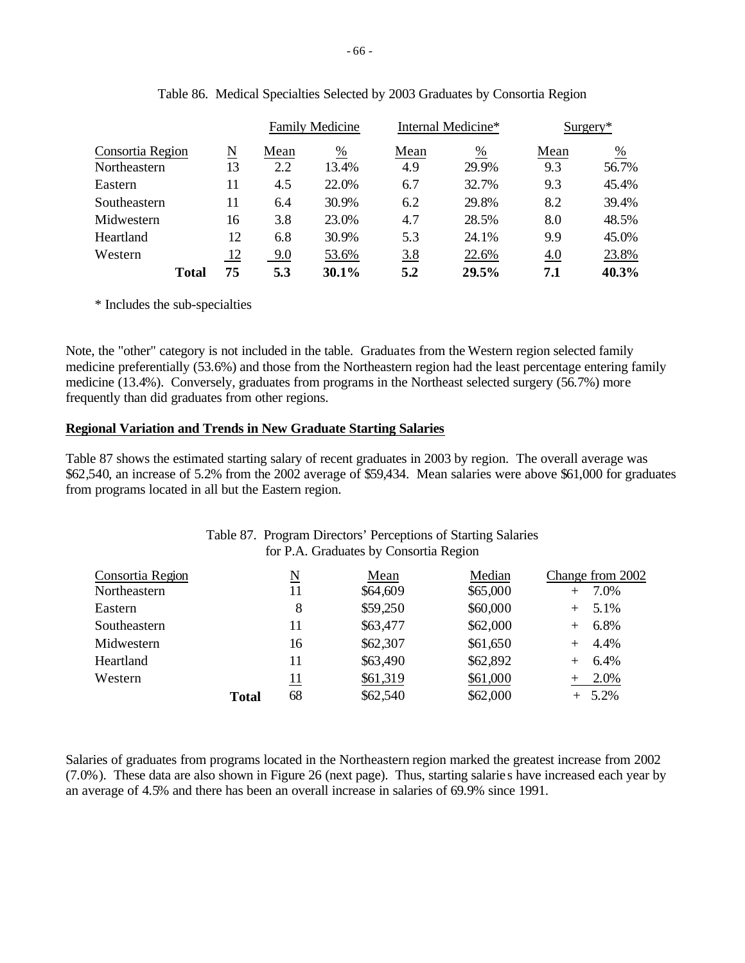|                  |           |      | <b>Family Medicine</b> |      | Internal Medicine* |      | $Surgery*$    |
|------------------|-----------|------|------------------------|------|--------------------|------|---------------|
| Consortia Region | N         | Mean | %                      | Mean | %                  | Mean | $\frac{0}{0}$ |
| Northeastern     | 13        | 2.2  | 13.4%                  | 4.9  | 29.9%              | 9.3  | 56.7%         |
| Eastern          | 11        | 4.5  | 22.0%                  | 6.7  | 32.7%              | 9.3  | 45.4%         |
| Southeastern     | 11        | 6.4  | 30.9%                  | 6.2  | 29.8%              | 8.2  | 39.4%         |
| Midwestern       | 16        | 3.8  | 23.0%                  | 4.7  | 28.5%              | 8.0  | 48.5%         |
| Heartland        | 12        | 6.8  | 30.9%                  | 5.3  | 24.1%              | 9.9  | 45.0%         |
| Western          | <u>12</u> | 9.0  | 53.6%                  | 3.8  | 22.6%              | 4.0  | 23.8%         |
| <b>Total</b>     | 75        | 5.3  | 30.1%                  | 5.2  | 29.5%              | 7.1  | 40.3%         |

|  |  | Table 86. Medical Specialties Selected by 2003 Graduates by Consortia Region |  |  |
|--|--|------------------------------------------------------------------------------|--|--|
|  |  |                                                                              |  |  |

\* Includes the sub-specialties

Note, the "other" category is not included in the table. Graduates from the Western region selected family medicine preferentially (53.6%) and those from the Northeastern region had the least percentage entering family medicine (13.4%). Conversely, graduates from programs in the Northeast selected surgery (56.7%) more frequently than did graduates from other regions.

# **Regional Variation and Trends in New Graduate Starting Salaries**

Table 87 shows the estimated starting salary of recent graduates in 2003 by region. The overall average was \$62,540, an increase of 5.2% from the 2002 average of \$59,434. Mean salaries were above \$61,000 for graduates from programs located in all but the Eastern region.

|                  |       |            | Table 87. Program Directors' Perceptions of Starting Salaries |          |                  |
|------------------|-------|------------|---------------------------------------------------------------|----------|------------------|
|                  |       |            | for P.A. Graduates by Consortia Region                        |          |                  |
| Consortia Region |       | N          | Mean                                                          | Median   | Change from 2002 |
| Northeastern     |       | 11         | \$64,609                                                      | \$65,000 | 7.0%             |
| Eastern          |       | 8          | \$59,250                                                      | \$60,000 | 5.1%             |
| Southeastern     |       | 11         | \$63,477                                                      | \$62,000 | 6.8%             |
| Midwestern       |       | 16         | \$62,307                                                      | \$61,650 | 4.4%             |
| Heartland        |       | 11         | \$63,490                                                      | \$62,892 | 6.4%             |
| Western          |       | <u> 11</u> | \$61,319                                                      | \$61,000 | 2.0%             |
|                  | Total | 68         | \$62,540                                                      | \$62,000 | $+ 5.2\%$        |

Salaries of graduates from programs located in the Northeastern region marked the greatest increase from 2002 (7.0%). These data are also shown in Figure 26 (next page). Thus, starting salarie s have increased each year by an average of 4.5% and there has been an overall increase in salaries of 69.9% since 1991.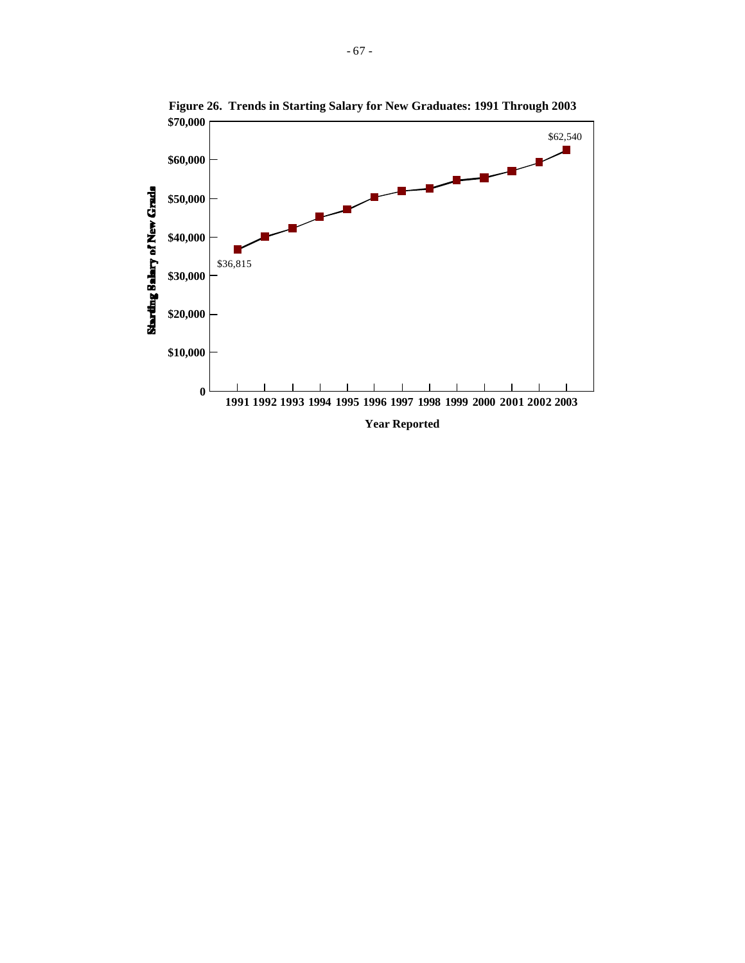

**Figure 26. Trends in Starting Salary for New Graduates: 1991 Through 2003**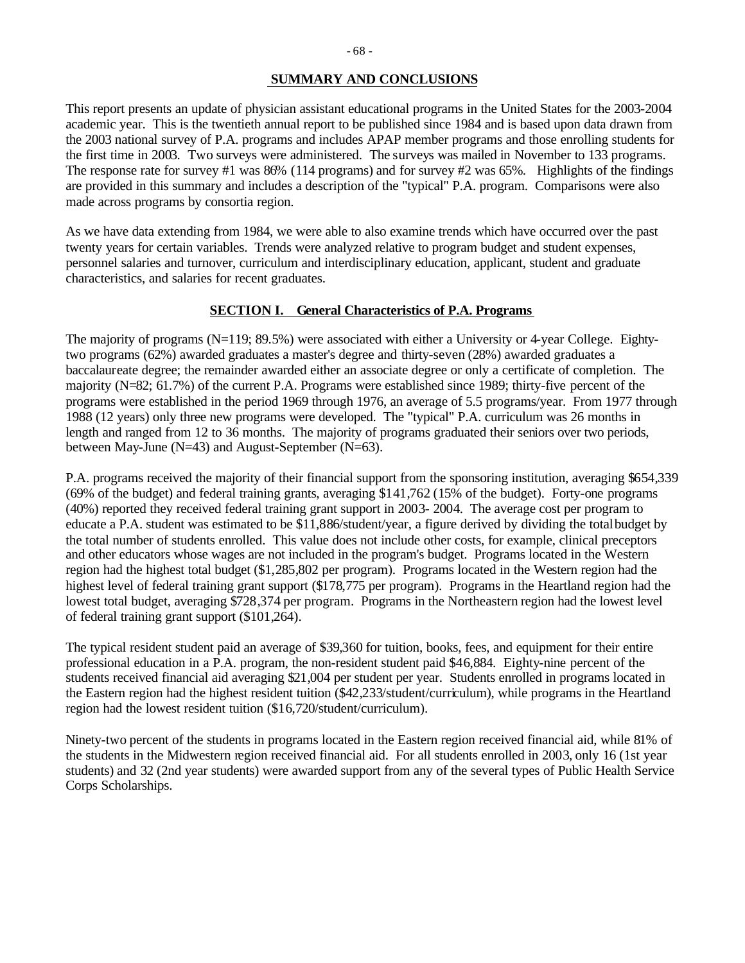## **SUMMARY AND CONCLUSIONS**

This report presents an update of physician assistant educational programs in the United States for the 2003-2004 academic year. This is the twentieth annual report to be published since 1984 and is based upon data drawn from the 2003 national survey of P.A. programs and includes APAP member programs and those enrolling students for the first time in 2003. Two surveys were administered. The surveys was mailed in November to 133 programs. The response rate for survey #1 was 86% (114 programs) and for survey #2 was 65%. Highlights of the findings are provided in this summary and includes a description of the "typical" P.A. program. Comparisons were also made across programs by consortia region.

As we have data extending from 1984, we were able to also examine trends which have occurred over the past twenty years for certain variables. Trends were analyzed relative to program budget and student expenses, personnel salaries and turnover, curriculum and interdisciplinary education, applicant, student and graduate characteristics, and salaries for recent graduates.

#### **SECTION I. General Characteristics of P.A. Programs**

The majority of programs (N=119; 89.5%) were associated with either a University or 4-year College. Eightytwo programs (62%) awarded graduates a master's degree and thirty-seven (28%) awarded graduates a baccalaureate degree; the remainder awarded either an associate degree or only a certificate of completion. The majority (N=82; 61.7%) of the current P.A. Programs were established since 1989; thirty-five percent of the programs were established in the period 1969 through 1976, an average of 5.5 programs/year. From 1977 through 1988 (12 years) only three new programs were developed. The "typical" P.A. curriculum was 26 months in length and ranged from 12 to 36 months. The majority of programs graduated their seniors over two periods, between May-June (N=43) and August-September (N=63).

P.A. programs received the majority of their financial support from the sponsoring institution, averaging \$654,339 (69% of the budget) and federal training grants, averaging \$141,762 (15% of the budget). Forty-one programs (40%) reported they received federal training grant support in 2003- 2004. The average cost per program to educate a P.A. student was estimated to be \$11,886/student/year, a figure derived by dividing the total budget by the total number of students enrolled. This value does not include other costs, for example, clinical preceptors and other educators whose wages are not included in the program's budget. Programs located in the Western region had the highest total budget (\$1,285,802 per program). Programs located in the Western region had the highest level of federal training grant support (\$178,775 per program). Programs in the Heartland region had the lowest total budget, averaging \$728,374 per program. Programs in the Northeastern region had the lowest level of federal training grant support (\$101,264).

The typical resident student paid an average of \$39,360 for tuition, books, fees, and equipment for their entire professional education in a P.A. program, the non-resident student paid \$46,884. Eighty-nine percent of the students received financial aid averaging \$21,004 per student per year. Students enrolled in programs located in the Eastern region had the highest resident tuition (\$42,233/student/curriculum), while programs in the Heartland region had the lowest resident tuition (\$16,720/student/curriculum).

Ninety-two percent of the students in programs located in the Eastern region received financial aid, while 81% of the students in the Midwestern region received financial aid. For all students enrolled in 2003, only 16 (1st year students) and 32 (2nd year students) were awarded support from any of the several types of Public Health Service Corps Scholarships.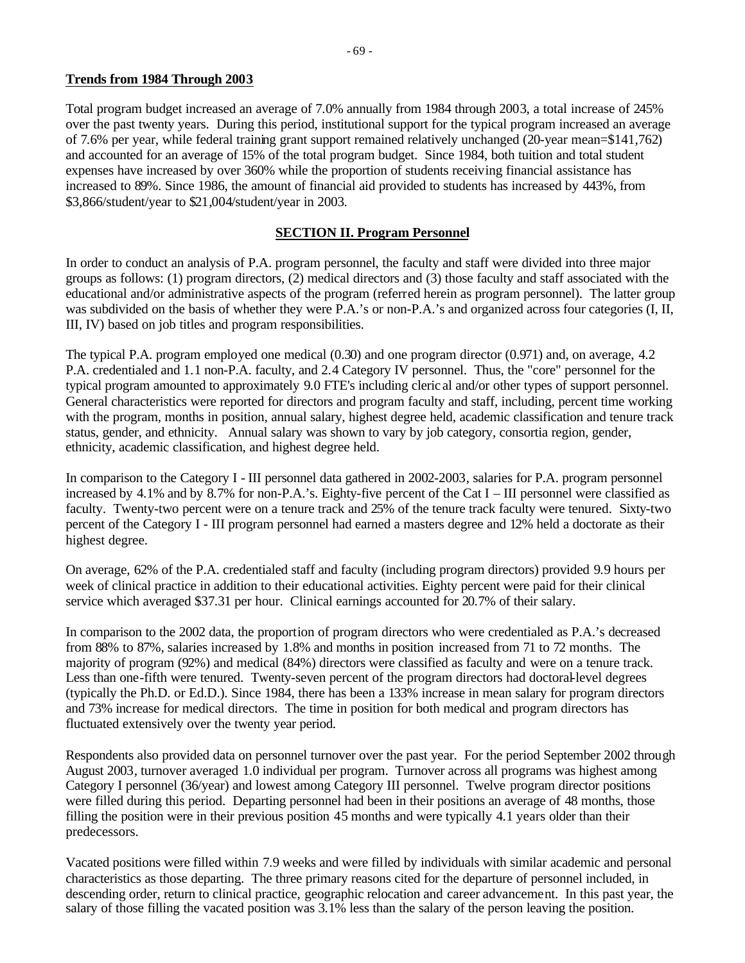## **Trends from 1984 Through 2003**

Total program budget increased an average of 7.0% annually from 1984 through 2003, a total increase of 245% over the past twenty years. During this period, institutional support for the typical program increased an average of 7.6% per year, while federal training grant support remained relatively unchanged (20-year mean=\$141,762) and accounted for an average of 15% of the total program budget. Since 1984, both tuition and total student expenses have increased by over 360% while the proportion of students receiving financial assistance has increased to 89%. Since 1986, the amount of financial aid provided to students has increased by 443%, from \$3,866/student/year to \$21,004/student/year in 2003.

## **SECTION II. Program Personnel**

In order to conduct an analysis of P.A. program personnel, the faculty and staff were divided into three major groups as follows: (1) program directors, (2) medical directors and (3) those faculty and staff associated with the educational and/or administrative aspects of the program (referred herein as program personnel). The latter group was subdivided on the basis of whether they were P.A.'s or non-P.A.'s and organized across four categories (I, II, III, IV) based on job titles and program responsibilities.

The typical P.A. program employed one medical (0.30) and one program director (0.971) and, on average, 4.2 P.A. credentialed and 1.1 non-P.A. faculty, and 2.4 Category IV personnel. Thus, the "core" personnel for the typical program amounted to approximately 9.0 FTE's including cleric al and/or other types of support personnel. General characteristics were reported for directors and program faculty and staff, including, percent time working with the program, months in position, annual salary, highest degree held, academic classification and tenure track status, gender, and ethnicity. Annual salary was shown to vary by job category, consortia region, gender, ethnicity, academic classification, and highest degree held.

In comparison to the Category I - III personnel data gathered in 2002-2003, salaries for P.A. program personnel increased by 4.1% and by 8.7% for non-P.A.'s. Eighty-five percent of the Cat I – III personnel were classified as faculty. Twenty-two percent were on a tenure track and 25% of the tenure track faculty were tenured. Sixty-two percent of the Category I - III program personnel had earned a masters degree and 12% held a doctorate as their highest degree.

On average, 62% of the P.A. credentialed staff and faculty (including program directors) provided 9.9 hours per week of clinical practice in addition to their educational activities. Eighty percent were paid for their clinical service which averaged \$37.31 per hour. Clinical earnings accounted for 20.7% of their salary.

In comparison to the 2002 data, the proportion of program directors who were credentialed as P.A.'s decreased from 88% to 87%, salaries increased by 1.8% and months in position increased from 71 to 72 months. The majority of program (92%) and medical (84%) directors were classified as faculty and were on a tenure track. Less than one-fifth were tenured. Twenty-seven percent of the program directors had doctoral-level degrees (typically the Ph.D. or Ed.D.). Since 1984, there has been a 133% increase in mean salary for program directors and 73% increase for medical directors. The time in position for both medical and program directors has fluctuated extensively over the twenty year period.

Respondents also provided data on personnel turnover over the past year. For the period September 2002 through August 2003, turnover averaged 1.0 individual per program. Turnover across all programs was highest among Category I personnel (36/year) and lowest among Category III personnel. Twelve program director positions were filled during this period. Departing personnel had been in their positions an average of 48 months, those filling the position were in their previous position 45 months and were typically 4.1 years older than their predecessors.

Vacated positions were filled within 7.9 weeks and were filled by individuals with similar academic and personal characteristics as those departing. The three primary reasons cited for the departure of personnel included, in descending order, return to clinical practice, geographic relocation and career advancement. In this past year, the salary of those filling the vacated position was 3.1% less than the salary of the person leaving the position.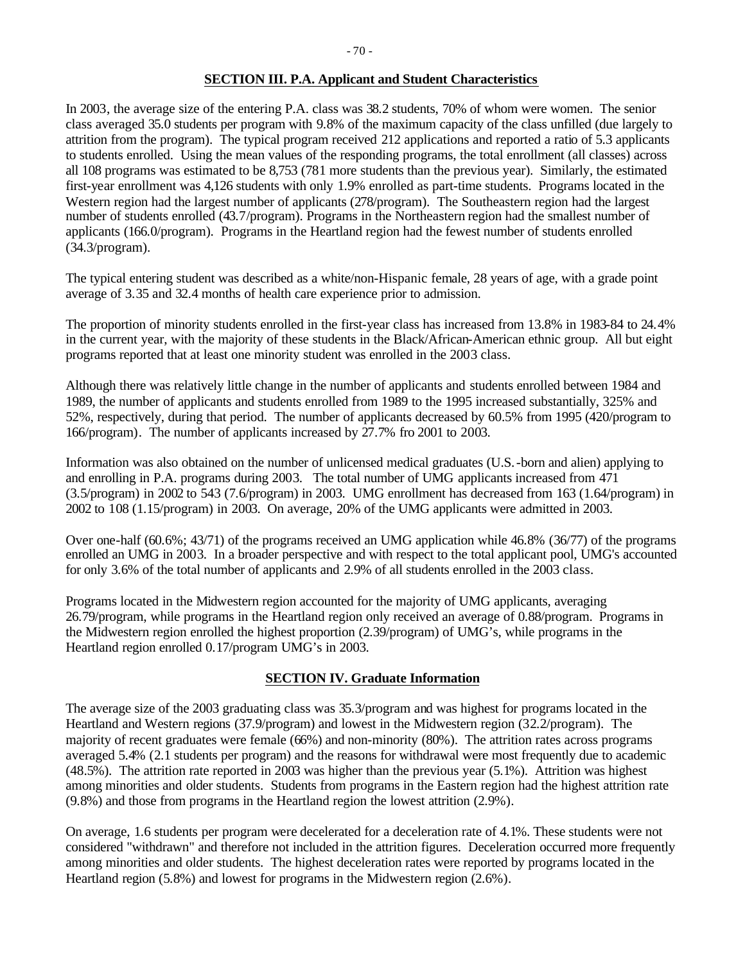#### **SECTION III. P.A. Applicant and Student Characteristics**

In 2003, the average size of the entering P.A. class was 38.2 students, 70% of whom were women. The senior class averaged 35.0 students per program with 9.8% of the maximum capacity of the class unfilled (due largely to attrition from the program). The typical program received 212 applications and reported a ratio of 5.3 applicants to students enrolled. Using the mean values of the responding programs, the total enrollment (all classes) across all 108 programs was estimated to be 8,753 (781 more students than the previous year). Similarly, the estimated first-year enrollment was 4,126 students with only 1.9% enrolled as part-time students. Programs located in the Western region had the largest number of applicants (278/program). The Southeastern region had the largest number of students enrolled (43.7/program). Programs in the Northeastern region had the smallest number of applicants (166.0/program). Programs in the Heartland region had the fewest number of students enrolled (34.3/program).

The typical entering student was described as a white/non-Hispanic female, 28 years of age, with a grade point average of 3.35 and 32.4 months of health care experience prior to admission.

The proportion of minority students enrolled in the first-year class has increased from 13.8% in 1983-84 to 24.4% in the current year, with the majority of these students in the Black/African-American ethnic group. All but eight programs reported that at least one minority student was enrolled in the 2003 class.

Although there was relatively little change in the number of applicants and students enrolled between 1984 and 1989, the number of applicants and students enrolled from 1989 to the 1995 increased substantially, 325% and 52%, respectively, during that period. The number of applicants decreased by 60.5% from 1995 (420/program to 166/program). The number of applicants increased by 27.7% fro 2001 to 2003.

Information was also obtained on the number of unlicensed medical graduates (U.S.-born and alien) applying to and enrolling in P.A. programs during 2003. The total number of UMG applicants increased from 471 (3.5/program) in 2002 to 543 (7.6/program) in 2003. UMG enrollment has decreased from 163 (1.64/program) in 2002 to 108 (1.15/program) in 2003. On average, 20% of the UMG applicants were admitted in 2003.

Over one-half (60.6%; 43/71) of the programs received an UMG application while 46.8% (36/77) of the programs enrolled an UMG in 2003. In a broader perspective and with respect to the total applicant pool, UMG's accounted for only 3.6% of the total number of applicants and 2.9% of all students enrolled in the 2003 class.

Programs located in the Midwestern region accounted for the majority of UMG applicants, averaging 26.79/program, while programs in the Heartland region only received an average of 0.88/program. Programs in the Midwestern region enrolled the highest proportion (2.39/program) of UMG's, while programs in the Heartland region enrolled 0.17/program UMG's in 2003.

# **SECTION IV. Graduate Information**

The average size of the 2003 graduating class was 35.3/program and was highest for programs located in the Heartland and Western regions (37.9/program) and lowest in the Midwestern region (32.2/program). The majority of recent graduates were female (66%) and non-minority (80%). The attrition rates across programs averaged 5.4% (2.1 students per program) and the reasons for withdrawal were most frequently due to academic (48.5%). The attrition rate reported in 2003 was higher than the previous year (5.1%). Attrition was highest among minorities and older students. Students from programs in the Eastern region had the highest attrition rate (9.8%) and those from programs in the Heartland region the lowest attrition (2.9%).

On average, 1.6 students per program were decelerated for a deceleration rate of 4.1%. These students were not considered "withdrawn" and therefore not included in the attrition figures. Deceleration occurred more frequently among minorities and older students. The highest deceleration rates were reported by programs located in the Heartland region (5.8%) and lowest for programs in the Midwestern region (2.6%).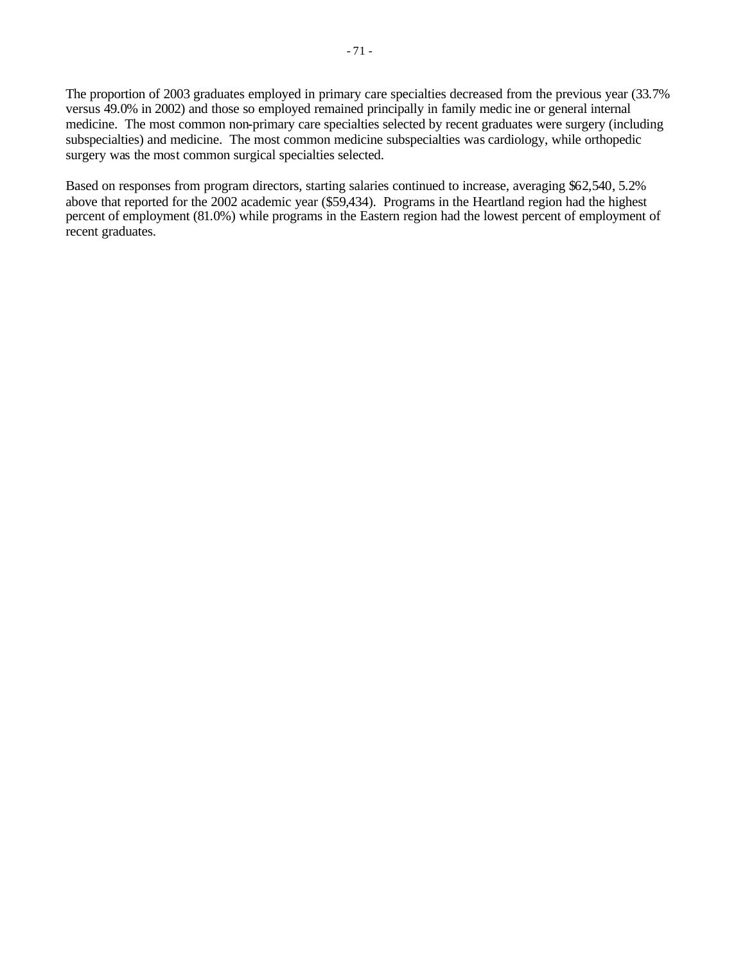The proportion of 2003 graduates employed in primary care specialties decreased from the previous year (33.7% versus 49.0% in 2002) and those so employed remained principally in family medic ine or general internal medicine. The most common non-primary care specialties selected by recent graduates were surgery (including subspecialties) and medicine. The most common medicine subspecialties was cardiology, while orthopedic surgery was the most common surgical specialties selected.

Based on responses from program directors, starting salaries continued to increase, averaging \$62,540, 5.2% above that reported for the 2002 academic year (\$59,434). Programs in the Heartland region had the highest percent of employment (81.0%) while programs in the Eastern region had the lowest percent of employment of recent graduates.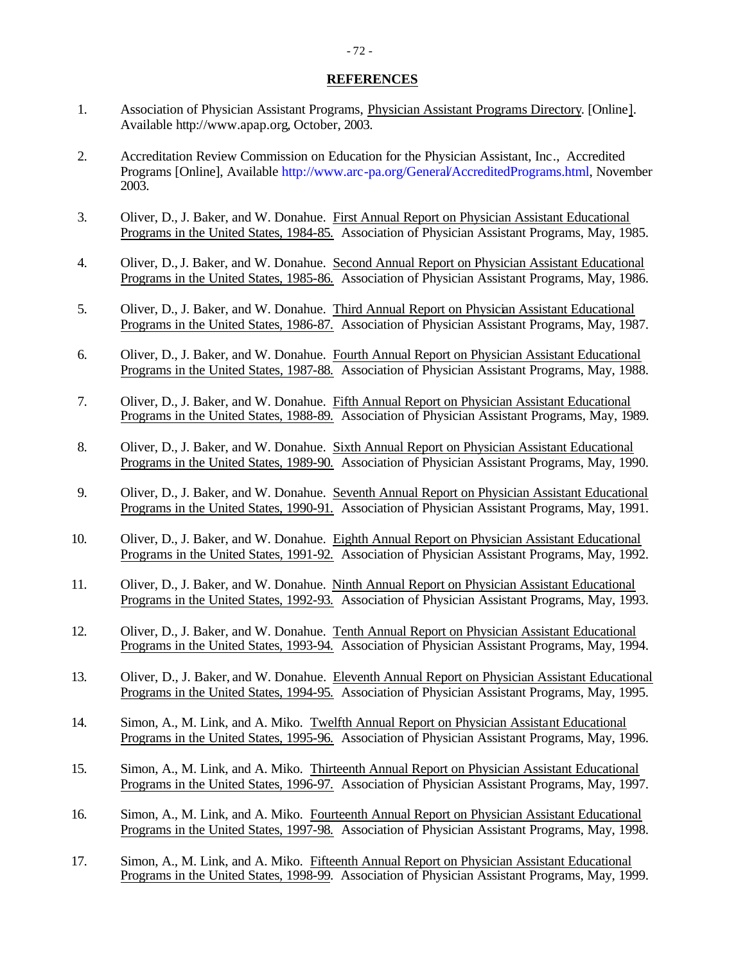#### **REFERENCES**

- 1. Association of Physician Assistant Programs, Physician Assistant Programs Directory. [Online]. Available http://www.apap.org, October, 2003.
- 2. Accreditation Review Commission on Education for the Physician Assistant, Inc., Accredited Programs [Online], Available http://www.arc-pa.org/General/AccreditedPrograms.html, November 2003.
- 3. Oliver, D., J. Baker, and W. Donahue. First Annual Report on Physician Assistant Educational Programs in the United States, 1984-85. Association of Physician Assistant Programs, May, 1985.
- 4. Oliver, D., J. Baker, and W. Donahue. Second Annual Report on Physician Assistant Educational Programs in the United States, 1985-86. Association of Physician Assistant Programs, May, 1986.
- 5. Oliver, D., J. Baker, and W. Donahue. Third Annual Report on Physician Assistant Educational Programs in the United States, 1986-87. Association of Physician Assistant Programs, May, 1987.
- 6. Oliver, D., J. Baker, and W. Donahue. Fourth Annual Report on Physician Assistant Educational Programs in the United States, 1987-88. Association of Physician Assistant Programs, May, 1988.
- 7. Oliver, D., J. Baker, and W. Donahue. Fifth Annual Report on Physician Assistant Educational Programs in the United States, 1988-89. Association of Physician Assistant Programs, May, 1989.
- 8. Oliver, D., J. Baker, and W. Donahue. Sixth Annual Report on Physician Assistant Educational Programs in the United States, 1989-90. Association of Physician Assistant Programs, May, 1990.
- 9. Oliver, D., J. Baker, and W. Donahue. Seventh Annual Report on Physician Assistant Educational Programs in the United States, 1990-91. Association of Physician Assistant Programs, May, 1991.
- 10. Oliver, D., J. Baker, and W. Donahue. Eighth Annual Report on Physician Assistant Educational Programs in the United States, 1991-92. Association of Physician Assistant Programs, May, 1992.
- 11. Oliver, D., J. Baker, and W. Donahue. Ninth Annual Report on Physician Assistant Educational Programs in the United States, 1992-93. Association of Physician Assistant Programs, May, 1993.
- 12. Oliver, D., J. Baker, and W. Donahue. Tenth Annual Report on Physician Assistant Educational Programs in the United States, 1993-94. Association of Physician Assistant Programs, May, 1994.
- 13. Oliver, D., J. Baker, and W. Donahue. Eleventh Annual Report on Physician Assistant Educational Programs in the United States, 1994-95. Association of Physician Assistant Programs, May, 1995.
- 14. Simon, A., M. Link, and A. Miko. Twelfth Annual Report on Physician Assistant Educational Programs in the United States, 1995-96. Association of Physician Assistant Programs, May, 1996.
- 15. Simon, A., M. Link, and A. Miko. Thirteenth Annual Report on Physician Assistant Educational Programs in the United States, 1996-97. Association of Physician Assistant Programs, May, 1997.
- 16. Simon, A., M. Link, and A. Miko. Fourteenth Annual Report on Physician Assistant Educational Programs in the United States, 1997-98. Association of Physician Assistant Programs, May, 1998.
- 17. Simon, A., M. Link, and A. Miko. Fifteenth Annual Report on Physician Assistant Educational Programs in the United States, 1998-99. Association of Physician Assistant Programs, May, 1999.